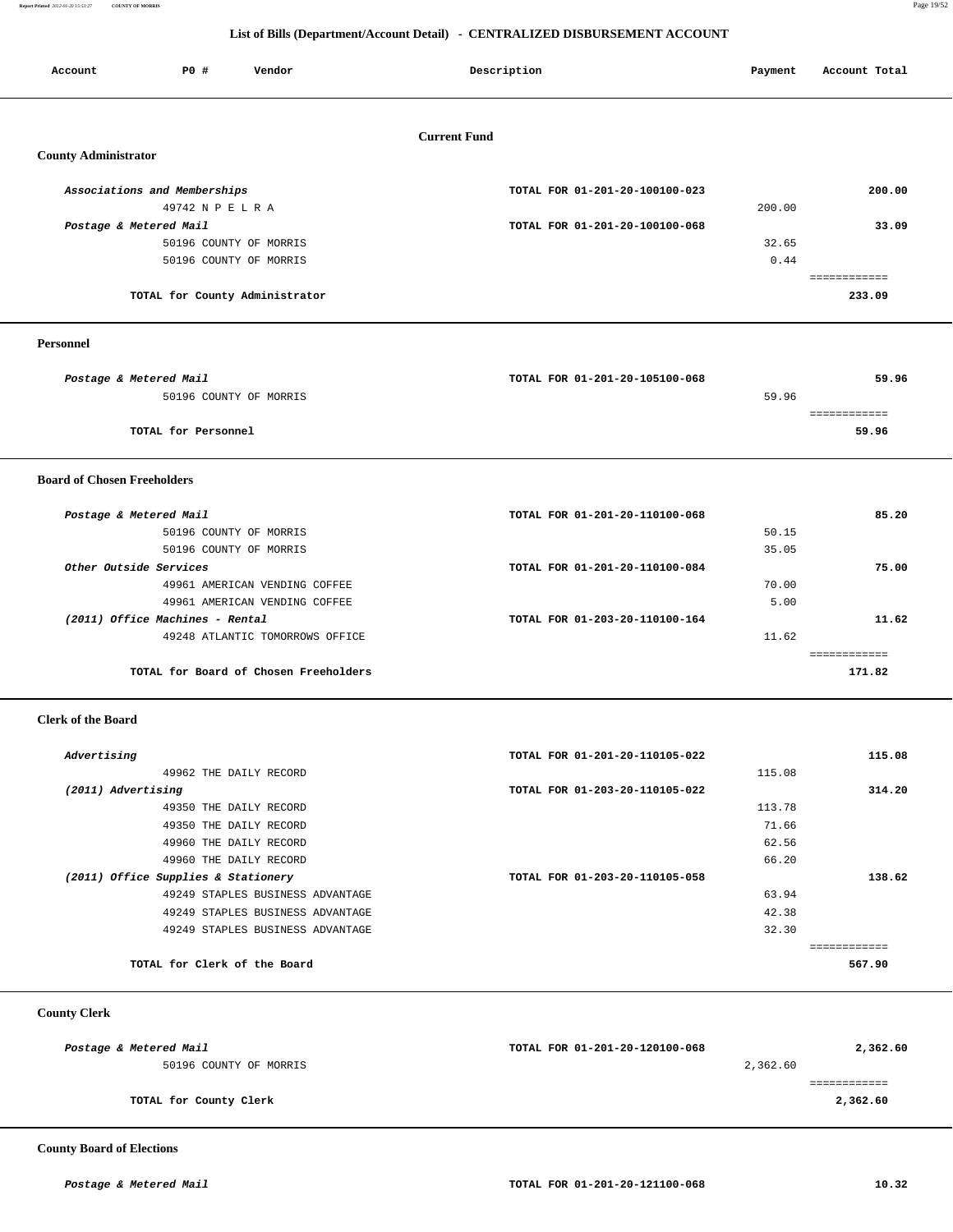**Report Printed** *2012-01-20 15:53:27* **COUNTY OF MORRIS** Page 19/52

## **List of Bills (Department/Account Detail) - CENTRALIZED DISBURSEMENT ACCOUNT**

| <b>PO #</b><br>Vendor<br>Account                              | Description                    | Payment        | Account Total          |
|---------------------------------------------------------------|--------------------------------|----------------|------------------------|
|                                                               | <b>Current Fund</b>            |                |                        |
| <b>County Administrator</b>                                   |                                |                |                        |
| Associations and Memberships<br>49742 N P E L R A             | TOTAL FOR 01-201-20-100100-023 | 200.00         | 200.00                 |
| Postage & Metered Mail<br>50196 COUNTY OF MORRIS              | TOTAL FOR 01-201-20-100100-068 | 32.65          | 33.09                  |
| 50196 COUNTY OF MORRIS                                        |                                | 0.44           | ============           |
| TOTAL for County Administrator                                |                                |                | 233.09                 |
| Personnel                                                     |                                |                |                        |
| Postage & Metered Mail                                        | TOTAL FOR 01-201-20-105100-068 |                | 59.96                  |
| 50196 COUNTY OF MORRIS                                        |                                | 59.96          | ============           |
| TOTAL for Personnel                                           |                                |                | 59.96                  |
| <b>Board of Chosen Freeholders</b>                            |                                |                |                        |
| Postage & Metered Mail                                        | TOTAL FOR 01-201-20-110100-068 |                | 85.20                  |
| 50196 COUNTY OF MORRIS<br>50196 COUNTY OF MORRIS              |                                | 50.15<br>35.05 |                        |
| Other Outside Services                                        | TOTAL FOR 01-201-20-110100-084 |                | 75.00                  |
| 49961 AMERICAN VENDING COFFEE                                 |                                | 70.00          |                        |
| 49961 AMERICAN VENDING COFFEE                                 |                                | 5.00           |                        |
| (2011) Office Machines - Rental                               | TOTAL FOR 01-203-20-110100-164 |                | 11.62                  |
| 49248 ATLANTIC TOMORROWS OFFICE                               |                                | 11.62          | ============           |
| TOTAL for Board of Chosen Freeholders                         |                                |                | 171.82                 |
| <b>Clerk of the Board</b>                                     |                                |                |                        |
| Advertising                                                   | TOTAL FOR 01-201-20-110105-022 |                | 115.08                 |
| 49962 THE DAILY RECORD                                        |                                | 115.08         |                        |
| (2011) Advertising                                            | TOTAL FOR 01-203-20-110105-022 |                | 314.20                 |
| 49350 THE DAILY RECORD                                        |                                | 113.78         |                        |
| 49350 THE DAILY RECORD                                        |                                | 71.66          |                        |
| 49960 THE DAILY RECORD                                        |                                | 62.56          |                        |
| 49960 THE DAILY RECORD<br>(2011) Office Supplies & Stationery | TOTAL FOR 01-203-20-110105-058 | 66.20          | 138.62                 |
| 49249 STAPLES BUSINESS ADVANTAGE                              |                                | 63.94          |                        |
| 49249 STAPLES BUSINESS ADVANTAGE                              |                                | 42.38          |                        |
| 49249 STAPLES BUSINESS ADVANTAGE                              |                                | 32.30          |                        |
| TOTAL for Clerk of the Board                                  |                                |                | ============<br>567.90 |

 **County Clerk** 

| TOTAL FOR 01-201-20-120100-068 | 2,362.60 |
|--------------------------------|----------|
| 2,362.60                       |          |
|                                |          |
|                                | 2,362.60 |
|                                |          |

 **County Board of Elections**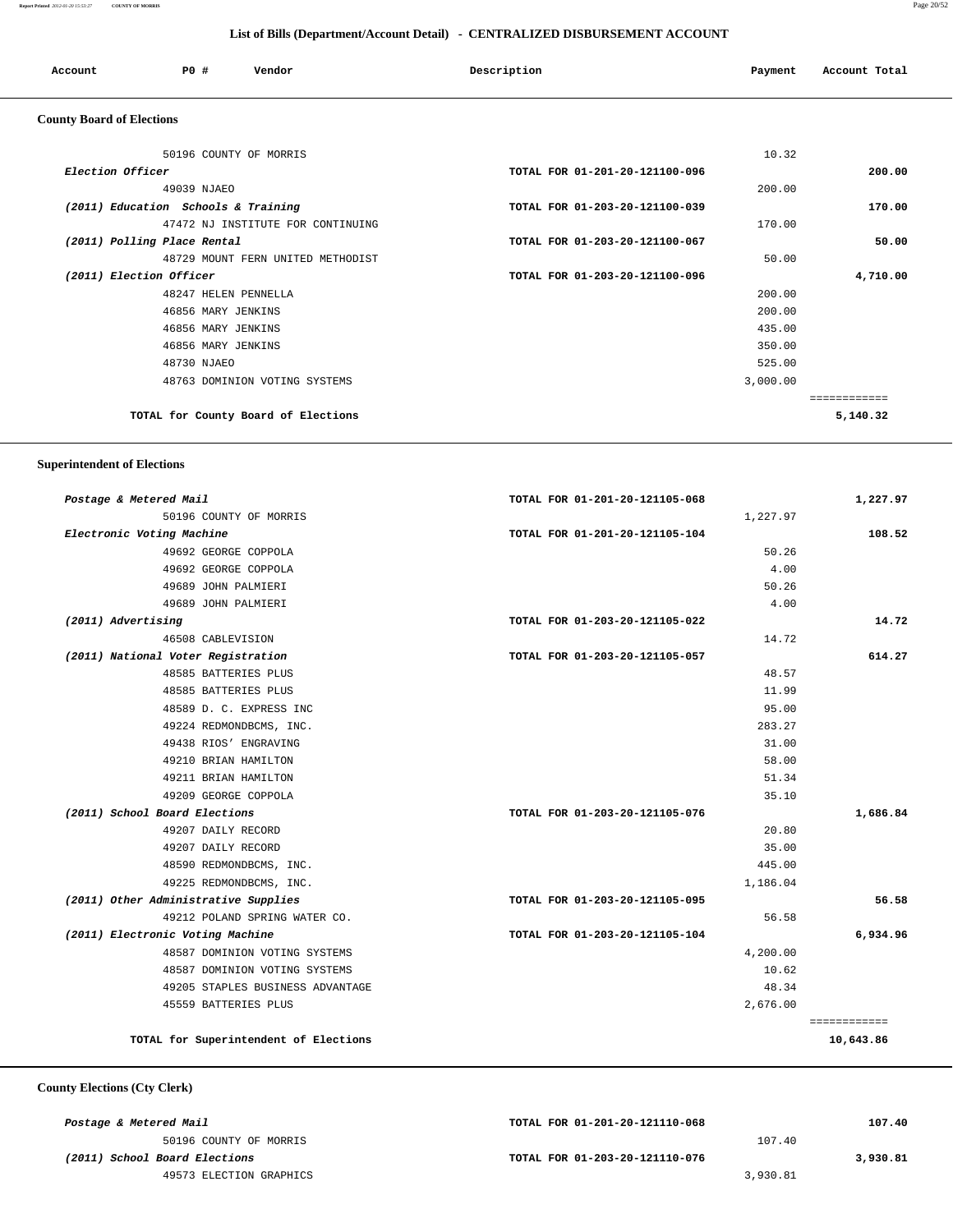#### **Report Printed** *2012-01-20 15:53:27* **COUNTY OF MORRIS** Page 20/52

 **List of Bills (Department/Account Detail) - CENTRALIZED DISBURSEMENT ACCOUNT**

| Account                          | PO#                                 | Vendor                              | Description                    | Payment  | Account Total |
|----------------------------------|-------------------------------------|-------------------------------------|--------------------------------|----------|---------------|
| <b>County Board of Elections</b> |                                     |                                     |                                |          |               |
|                                  |                                     | 50196 COUNTY OF MORRIS              |                                | 10.32    |               |
| Election Officer                 |                                     |                                     | TOTAL FOR 01-201-20-121100-096 |          | 200.00        |
|                                  | 49039 NJAEO                         |                                     |                                | 200.00   |               |
|                                  | (2011) Education Schools & Training |                                     | TOTAL FOR 01-203-20-121100-039 |          | 170.00        |
|                                  |                                     | 47472 NJ INSTITUTE FOR CONTINUING   |                                | 170.00   |               |
|                                  | (2011) Polling Place Rental         |                                     | TOTAL FOR 01-203-20-121100-067 |          | 50.00         |
|                                  |                                     | 48729 MOUNT FERN UNITED METHODIST   |                                | 50.00    |               |
| (2011) Election Officer          |                                     |                                     | TOTAL FOR 01-203-20-121100-096 |          | 4,710.00      |
|                                  | 48247 HELEN PENNELLA                |                                     |                                | 200.00   |               |
|                                  | 46856 MARY JENKINS                  |                                     |                                | 200.00   |               |
|                                  | 46856 MARY JENKINS                  |                                     |                                | 435.00   |               |
|                                  | 46856 MARY JENKINS                  |                                     |                                | 350.00   |               |
|                                  | 48730 NJAEO                         |                                     |                                | 525.00   |               |
|                                  |                                     | 48763 DOMINION VOTING SYSTEMS       |                                | 3,000.00 |               |
|                                  |                                     |                                     |                                |          | ============  |
|                                  |                                     | TOTAL for County Board of Elections |                                |          | 5,140.32      |

 **Superintendent of Elections**

| Postage & Metered Mail                | TOTAL FOR 01-201-20-121105-068 | 1,227.97     |
|---------------------------------------|--------------------------------|--------------|
| 50196 COUNTY OF MORRIS                | 1,227.97                       |              |
| Electronic Voting Machine             | TOTAL FOR 01-201-20-121105-104 | 108.52       |
| 49692 GEORGE COPPOLA                  | 50.26                          |              |
| 49692 GEORGE COPPOLA                  | 4.00                           |              |
| 49689 JOHN PALMIERI                   | 50.26                          |              |
| 49689 JOHN PALMIERI                   | 4.00                           |              |
| (2011) Advertising                    | TOTAL FOR 01-203-20-121105-022 | 14.72        |
| 46508 CABLEVISION                     | 14.72                          |              |
| (2011) National Voter Registration    | TOTAL FOR 01-203-20-121105-057 | 614.27       |
| 48585 BATTERIES PLUS                  | 48.57                          |              |
| 48585 BATTERIES PLUS                  | 11.99                          |              |
| 48589 D. C. EXPRESS INC               | 95.00                          |              |
| 49224 REDMONDBCMS, INC.               | 283.27                         |              |
| 49438 RIOS' ENGRAVING                 | 31.00                          |              |
| 49210 BRIAN HAMILTON                  | 58.00                          |              |
| 49211 BRIAN HAMILTON                  | 51.34                          |              |
| 49209 GEORGE COPPOLA                  | 35.10                          |              |
| (2011) School Board Elections         | TOTAL FOR 01-203-20-121105-076 | 1,686.84     |
| 49207 DAILY RECORD                    | 20.80                          |              |
| 49207 DAILY RECORD                    | 35.00                          |              |
| 48590 REDMONDBCMS, INC.               | 445.00                         |              |
| 49225 REDMONDBCMS, INC.               | 1,186.04                       |              |
| (2011) Other Administrative Supplies  | TOTAL FOR 01-203-20-121105-095 | 56.58        |
| 49212 POLAND SPRING WATER CO.         | 56.58                          |              |
| (2011) Electronic Voting Machine      | TOTAL FOR 01-203-20-121105-104 | 6,934.96     |
| 48587 DOMINION VOTING SYSTEMS         | 4,200.00                       |              |
| 48587 DOMINION VOTING SYSTEMS         | 10.62                          |              |
| 49205 STAPLES BUSINESS ADVANTAGE      | 48.34                          |              |
| 45559 BATTERIES PLUS                  | 2,676.00                       |              |
|                                       |                                | ============ |
| TOTAL for Superintendent of Elections |                                | 10,643.86    |

#### **County Elections (Cty Clerk)**

| Postage & Metered Mail        | TOTAL FOR 01-201-20-121110-068 | 107.40   |
|-------------------------------|--------------------------------|----------|
| 50196 COUNTY OF MORRIS        | 107.40                         |          |
| (2011) School Board Elections | TOTAL FOR 01-203-20-121110-076 | 3,930.81 |
| 49573 ELECTION GRAPHICS       | 3,930.81                       |          |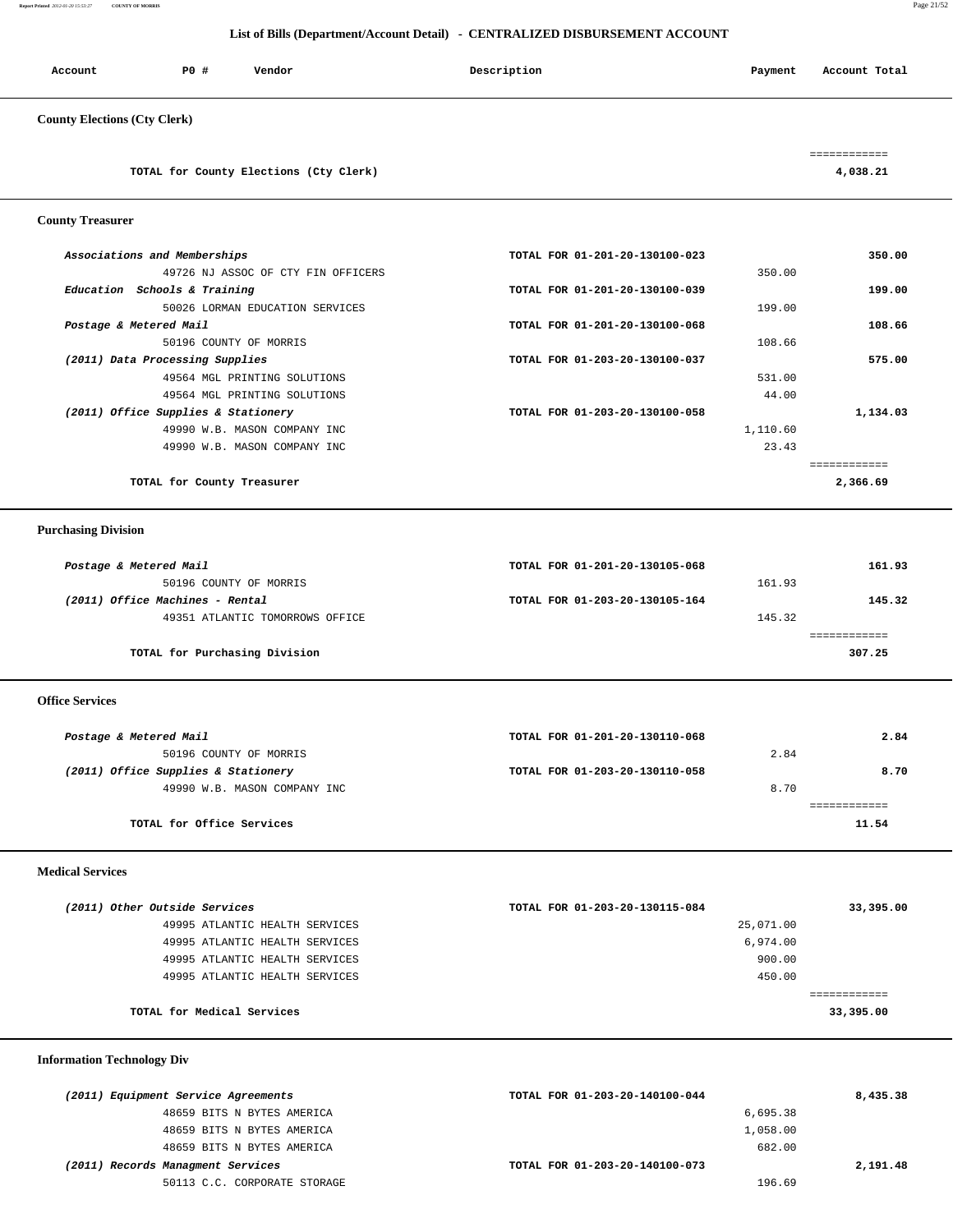**Report Printed** *2012-01-20 15:53:27* **COUNTY OF MORRIS** Page 21/52

## **List of Bills (Department/Account Detail) - CENTRALIZED DISBURSEMENT ACCOUNT**

| Account                             | PO# | Vendor | Description | Payment | Account Total |
|-------------------------------------|-----|--------|-------------|---------|---------------|
| <b>County Elections (Cty Clerk)</b> |     |        |             |         |               |

**TOTAL for County Elections (Cty Clerk) 4,038.21**

============

#### **County Treasurer**

| TOTAL for County Treasurer          |                                | 2,366.69     |
|-------------------------------------|--------------------------------|--------------|
|                                     |                                | ------------ |
| 49990 W.B. MASON COMPANY INC        |                                | 23.43        |
| 49990 W.B. MASON COMPANY INC        | 1,110.60                       |              |
| (2011) Office Supplies & Stationery | TOTAL FOR 01-203-20-130100-058 | 1,134.03     |
| 49564 MGL PRINTING SOLUTIONS        |                                | 44.00        |
| 49564 MGL PRINTING SOLUTIONS        |                                | 531.00       |
| (2011) Data Processing Supplies     | TOTAL FOR 01-203-20-130100-037 | 575.00       |
| 50196 COUNTY OF MORRIS              |                                | 108.66       |
| Postage & Metered Mail              | TOTAL FOR 01-201-20-130100-068 | 108.66       |
| 50026 LORMAN EDUCATION SERVICES     |                                | 199.00       |
| Education Schools & Training        | TOTAL FOR 01-201-20-130100-039 | 199.00       |
| 49726 NJ ASSOC OF CTY FIN OFFICERS  |                                | 350.00       |
| Associations and Memberships        | TOTAL FOR 01-201-20-130100-023 | 350.00       |
|                                     |                                |              |

# **Purchasing Division**

| Postage & Metered Mail          | TOTAL FOR 01-201-20-130105-068 |        | 161.93 |
|---------------------------------|--------------------------------|--------|--------|
| 50196 COUNTY OF MORRIS          |                                | 161.93 |        |
| (2011) Office Machines - Rental | TOTAL FOR 01-203-20-130105-164 |        | 145.32 |
| 49351 ATLANTIC TOMORROWS OFFICE |                                | 145.32 |        |
|                                 |                                |        |        |
| TOTAL for Purchasing Division   |                                |        | 307.25 |

 **Office Services** 

| Postage & Metered Mail              | TOTAL FOR 01-201-20-130110-068 |      | 2.84  |
|-------------------------------------|--------------------------------|------|-------|
| 50196 COUNTY OF MORRIS              |                                | 2.84 |       |
| (2011) Office Supplies & Stationery | TOTAL FOR 01-203-20-130110-058 |      | 8.70  |
| 49990 W.B. MASON COMPANY INC        |                                | 8.70 |       |
|                                     |                                |      |       |
| TOTAL for Office Services           |                                |      | 11.54 |
|                                     |                                |      |       |

## **Medical Services**

| (2011) Other Outside Services |                                | TOTAL FOR 01-203-20-130115-084 | 33,395.00 |
|-------------------------------|--------------------------------|--------------------------------|-----------|
|                               | 49995 ATLANTIC HEALTH SERVICES | 25,071.00                      |           |
|                               | 49995 ATLANTIC HEALTH SERVICES | 6,974.00                       |           |
|                               | 49995 ATLANTIC HEALTH SERVICES | 900.00                         |           |
|                               | 49995 ATLANTIC HEALTH SERVICES | 450.00                         |           |
|                               |                                |                                |           |
|                               | TOTAL for Medical Services     |                                | 33,395.00 |
|                               |                                |                                |           |

## **Information Technology Div**

| (2011) Equipment Service Agreements | TOTAL FOR 01-203-20-140100-044 | 8,435.38 |
|-------------------------------------|--------------------------------|----------|
| 48659 BITS N BYTES AMERICA          | 6,695.38                       |          |
| 48659 BITS N BYTES AMERICA          | 1,058.00                       |          |
| 48659 BITS N BYTES AMERICA          | 682.00                         |          |
| (2011) Records Managment Services   | TOTAL FOR 01-203-20-140100-073 | 2,191.48 |
| 50113 C.C. CORPORATE STORAGE        | 196.69                         |          |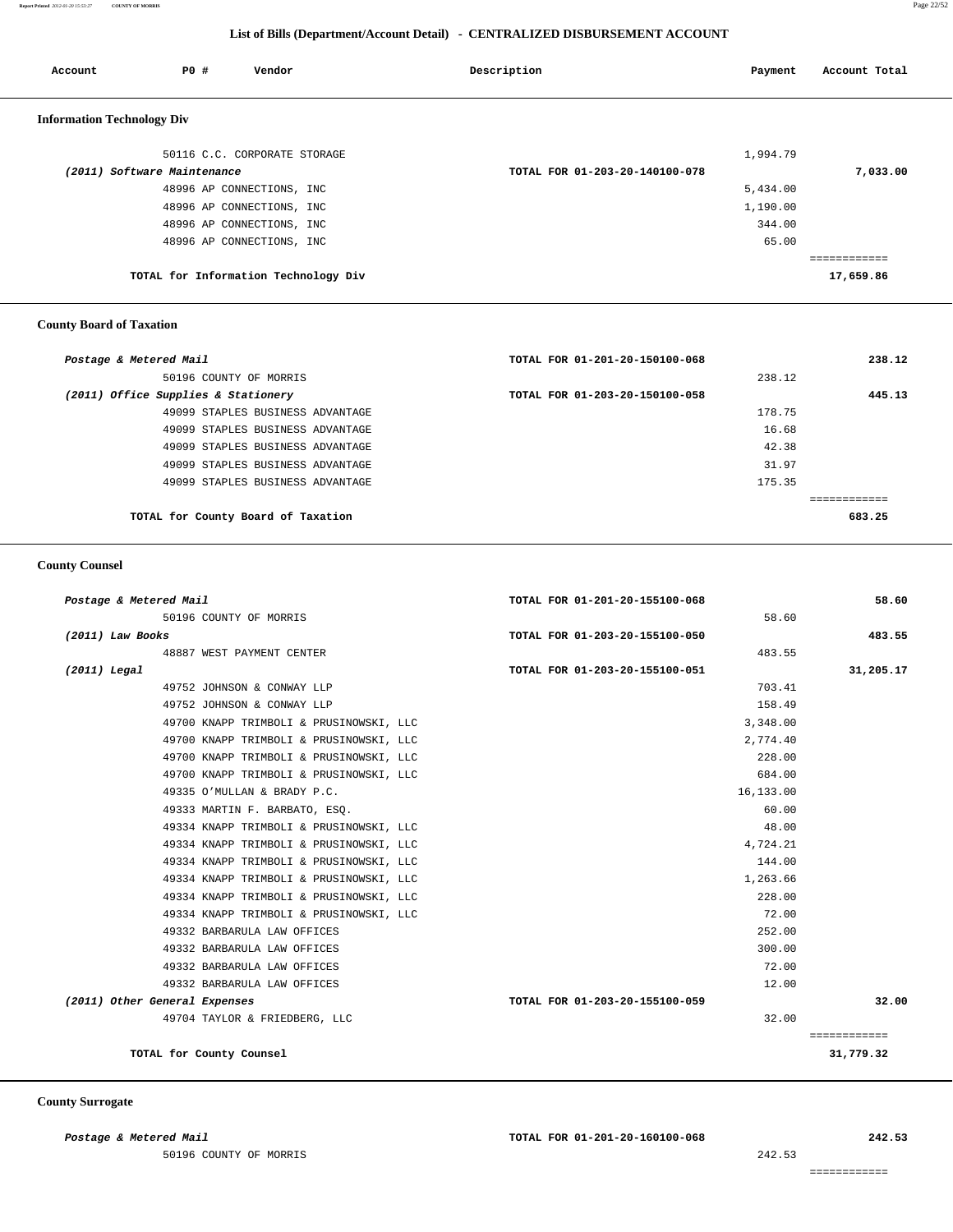**Report Printed** *2012-01-20 15:53:27* **COUNTY OF MORRIS** Page 22/52

## **List of Bills (Department/Account Detail) - CENTRALIZED DISBURSEMENT ACCOUNT**

| Account                           | PO#                         | Vendor                               | Description                    | Payment  | Account Total |
|-----------------------------------|-----------------------------|--------------------------------------|--------------------------------|----------|---------------|
| <b>Information Technology Div</b> |                             |                                      |                                |          |               |
|                                   |                             | 50116 C.C. CORPORATE STORAGE         |                                | 1,994.79 |               |
|                                   | (2011) Software Maintenance |                                      | TOTAL FOR 01-203-20-140100-078 |          | 7,033.00      |
|                                   |                             | 48996 AP CONNECTIONS, INC            |                                | 5,434.00 |               |
|                                   |                             | 48996 AP CONNECTIONS, INC            |                                | 1,190.00 |               |
|                                   |                             | 48996 AP CONNECTIONS, INC            |                                | 344.00   |               |
|                                   |                             | 48996 AP CONNECTIONS, INC            |                                | 65.00    |               |
|                                   |                             |                                      |                                |          | ------------  |
|                                   |                             | TOTAL for Information Technology Div |                                |          | 17,659.86     |

# **County Board of Taxation**

| Postage & Metered Mail              | TOTAL FOR 01-201-20-150100-068 | 238.12 |
|-------------------------------------|--------------------------------|--------|
| 50196 COUNTY OF MORRIS              | 238.12                         |        |
| (2011) Office Supplies & Stationery | TOTAL FOR 01-203-20-150100-058 | 445.13 |
| 49099 STAPLES BUSINESS ADVANTAGE    | 178.75                         |        |
| 49099 STAPLES BUSINESS ADVANTAGE    | 16.68                          |        |
| 49099 STAPLES BUSINESS ADVANTAGE    | 42.38                          |        |
| 49099 STAPLES BUSINESS ADVANTAGE    | 31.97                          |        |
| 49099 STAPLES BUSINESS ADVANTAGE    | 175.35                         |        |
|                                     |                                |        |
| TOTAL for County Board of Taxation  |                                | 683.25 |

## **County Counsel**

| Postage & Metered Mail        |                                         | TOTAL FOR 01-201-20-155100-068 | 58.60        |
|-------------------------------|-----------------------------------------|--------------------------------|--------------|
|                               | 50196 COUNTY OF MORRIS                  | 58.60                          |              |
| $(2011)$ Law Books            |                                         | TOTAL FOR 01-203-20-155100-050 | 483.55       |
|                               | 48887 WEST PAYMENT CENTER               | 483.55                         |              |
| $(2011)$ Legal                |                                         | TOTAL FOR 01-203-20-155100-051 | 31,205.17    |
|                               | 49752 JOHNSON & CONWAY LLP              | 703.41                         |              |
|                               | 49752 JOHNSON & CONWAY LLP              | 158.49                         |              |
|                               | 49700 KNAPP TRIMBOLI & PRUSINOWSKI, LLC | 3,348.00                       |              |
|                               | 49700 KNAPP TRIMBOLI & PRUSINOWSKI, LLC | 2,774.40                       |              |
|                               | 49700 KNAPP TRIMBOLI & PRUSINOWSKI, LLC | 228.00                         |              |
|                               | 49700 KNAPP TRIMBOLI & PRUSINOWSKI, LLC | 684.00                         |              |
|                               | 49335 O'MULLAN & BRADY P.C.             | 16,133.00                      |              |
|                               | 49333 MARTIN F. BARBATO, ESQ.           | 60.00                          |              |
|                               | 49334 KNAPP TRIMBOLI & PRUSINOWSKI, LLC | 48.00                          |              |
|                               | 49334 KNAPP TRIMBOLI & PRUSINOWSKI, LLC | 4,724.21                       |              |
|                               | 49334 KNAPP TRIMBOLI & PRUSINOWSKI, LLC | 144.00                         |              |
|                               | 49334 KNAPP TRIMBOLI & PRUSINOWSKI, LLC | 1,263.66                       |              |
|                               | 49334 KNAPP TRIMBOLI & PRUSINOWSKI, LLC | 228.00                         |              |
|                               | 49334 KNAPP TRIMBOLI & PRUSINOWSKI, LLC | 72.00                          |              |
|                               | 49332 BARBARULA LAW OFFICES             | 252.00                         |              |
|                               | 49332 BARBARULA LAW OFFICES             | 300.00                         |              |
|                               | 49332 BARBARULA LAW OFFICES             | 72.00                          |              |
|                               | 49332 BARBARULA LAW OFFICES             | 12.00                          |              |
| (2011) Other General Expenses |                                         | TOTAL FOR 01-203-20-155100-059 | 32.00        |
|                               | 49704 TAYLOR & FRIEDBERG, LLC           | 32.00                          |              |
|                               |                                         |                                | ============ |
|                               | TOTAL for County Counsel                |                                | 31,779.32    |
|                               |                                         |                                |              |

## **County Surrogate**

50196 COUNTY OF MORRIS 242.53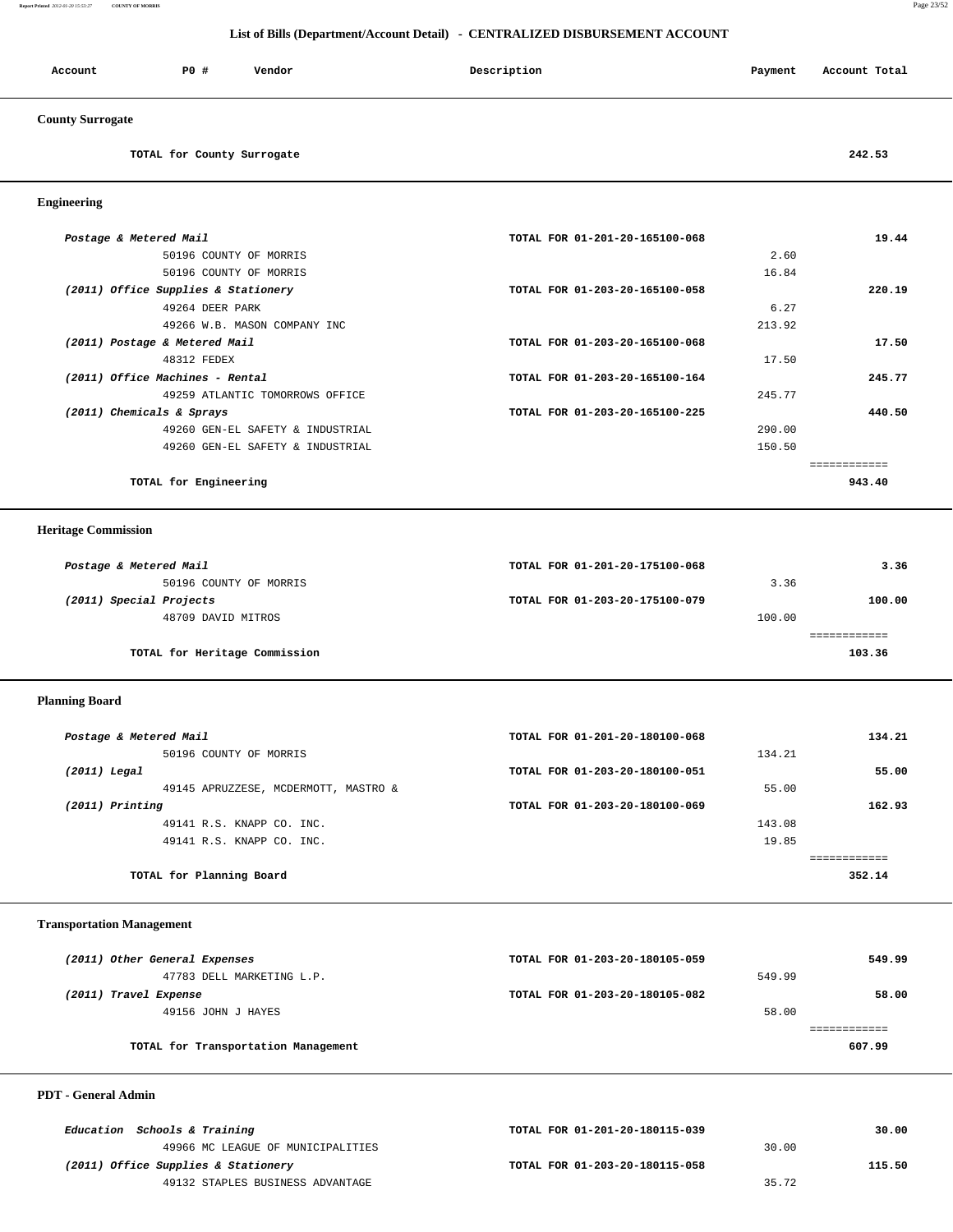**Report Printed** *2012-01-20 15:53:27* **COUNTY OF MORRIS** Page 23/52

#### **List of Bills (Department/Account Detail) - CENTRALIZED DISBURSEMENT ACCOUNT**

| PO#<br>Account                      | Vendor                           | Description                    | Payment | Account Total |
|-------------------------------------|----------------------------------|--------------------------------|---------|---------------|
| <b>County Surrogate</b>             |                                  |                                |         |               |
|                                     | TOTAL for County Surrogate       |                                |         | 242.53        |
| <b>Engineering</b>                  |                                  |                                |         |               |
| Postage & Metered Mail              |                                  | TOTAL FOR 01-201-20-165100-068 |         | 19.44         |
|                                     | 50196 COUNTY OF MORRIS           |                                | 2.60    |               |
|                                     | 50196 COUNTY OF MORRIS           |                                | 16.84   |               |
| (2011) Office Supplies & Stationery |                                  | TOTAL FOR 01-203-20-165100-058 |         | 220.19        |
|                                     | 49264 DEER PARK                  |                                | 6.27    |               |
|                                     | 49266 W.B. MASON COMPANY INC     |                                | 213.92  |               |
| (2011) Postage & Metered Mail       |                                  | TOTAL FOR 01-203-20-165100-068 |         | 17.50         |
| 48312 FEDEX                         |                                  |                                | 17.50   |               |
| (2011) Office Machines - Rental     |                                  | TOTAL FOR 01-203-20-165100-164 |         | 245.77        |
|                                     | 49259 ATLANTIC TOMORROWS OFFICE  |                                | 245.77  |               |
| (2011) Chemicals & Sprays           |                                  | TOTAL FOR 01-203-20-165100-225 |         | 440.50        |
|                                     | 49260 GEN-EL SAFETY & INDUSTRIAL |                                | 290.00  |               |
|                                     | 49260 GEN-EL SAFETY & INDUSTRIAL |                                | 150.50  |               |
|                                     |                                  |                                |         | ============  |

**TOTAL for Engineering 943.40**

# **Heritage Commission**

| Postage & Metered Mail        | TOTAL FOR 01-201-20-175100-068 |        | 3.36   |  |
|-------------------------------|--------------------------------|--------|--------|--|
| 50196 COUNTY OF MORRIS        |                                | 3.36   |        |  |
| (2011) Special Projects       | TOTAL FOR 01-203-20-175100-079 |        | 100.00 |  |
| 48709 DAVID MITROS            |                                | 100.00 |        |  |
|                               |                                |        |        |  |
| TOTAL for Heritage Commission |                                |        | 103.36 |  |

## **Planning Board**

| TOTAL FOR 01-201-20-180100-068 | 134.21 |
|--------------------------------|--------|
| 134.21                         |        |
| TOTAL FOR 01-203-20-180100-051 | 55.00  |
| 55.00                          |        |
| TOTAL FOR 01-203-20-180100-069 | 162.93 |
| 143.08                         |        |
| 19.85                          |        |
|                                |        |
|                                | 352.14 |
|                                |        |

## **Transportation Management**

| (2011) Other General Expenses       | TOTAL FOR 01-203-20-180105-059 |        | 549.99 |
|-------------------------------------|--------------------------------|--------|--------|
| 47783 DELL MARKETING L.P.           |                                | 549.99 |        |
| (2011) Travel Expense               | TOTAL FOR 01-203-20-180105-082 |        | 58.00  |
| 49156 JOHN J HAYES                  |                                | 58.00  |        |
|                                     |                                |        |        |
| TOTAL for Transportation Management |                                |        | 607.99 |

## **PDT - General Admin**

| Education Schools & Training        | TOTAL FOR 01-201-20-180115-039 |       | 30.00  |
|-------------------------------------|--------------------------------|-------|--------|
| 49966 MC LEAGUE OF MUNICIPALITIES   |                                | 30.00 |        |
| (2011) Office Supplies & Stationery | TOTAL FOR 01-203-20-180115-058 |       | 115.50 |
| 49132 STAPLES BUSINESS ADVANTAGE    |                                | 35.72 |        |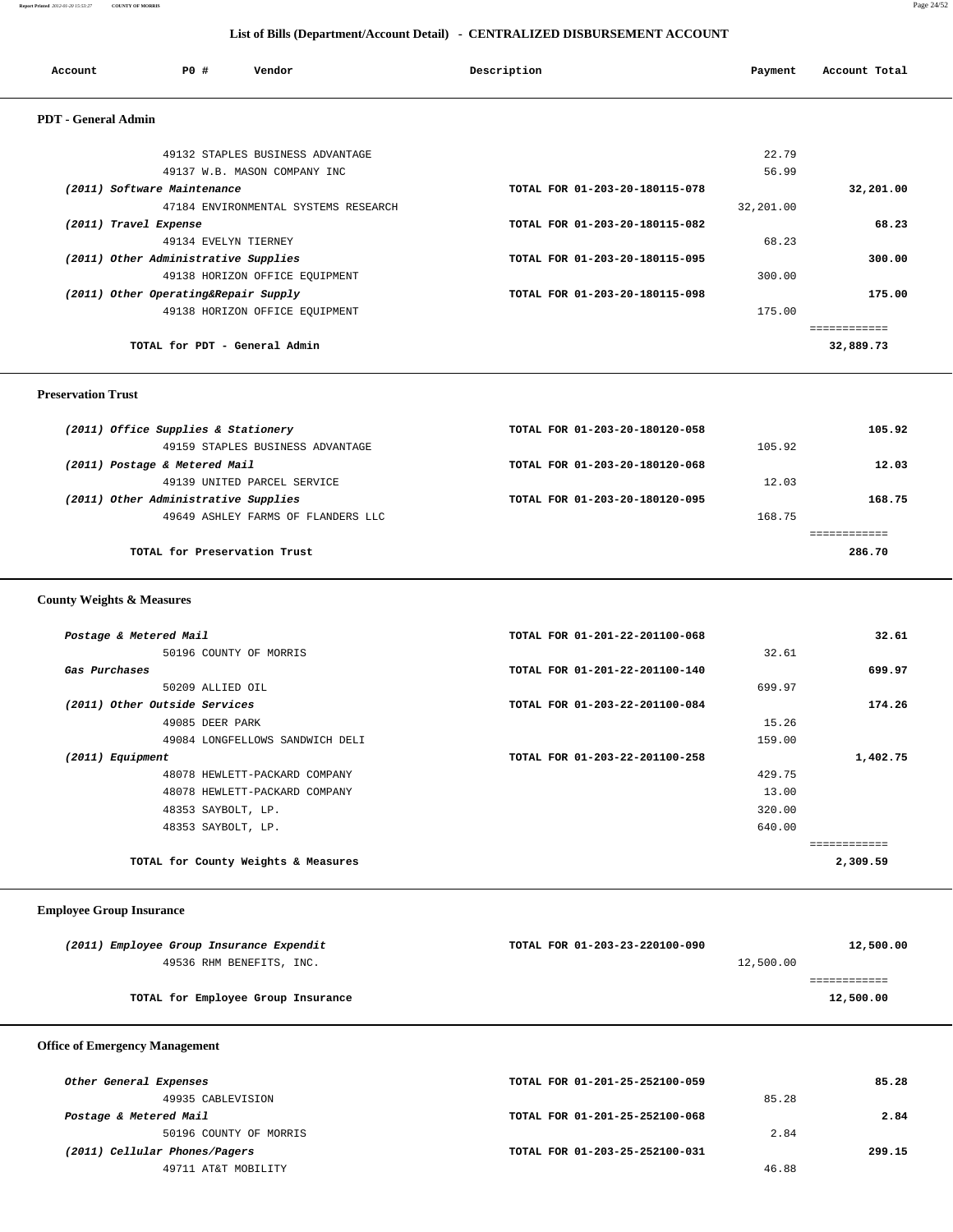| Account                    | PO#                                  | Vendor                               | Description                    | Payment   | Account Total |
|----------------------------|--------------------------------------|--------------------------------------|--------------------------------|-----------|---------------|
| <b>PDT</b> - General Admin |                                      |                                      |                                |           |               |
|                            |                                      | 49132 STAPLES BUSINESS ADVANTAGE     |                                | 22.79     |               |
|                            |                                      | 49137 W.B. MASON COMPANY INC         |                                | 56.99     |               |
|                            | (2011) Software Maintenance          |                                      | TOTAL FOR 01-203-20-180115-078 |           | 32,201.00     |
|                            |                                      | 47184 ENVIRONMENTAL SYSTEMS RESEARCH |                                | 32,201.00 |               |
| (2011) Travel Expense      |                                      |                                      | TOTAL FOR 01-203-20-180115-082 |           | 68.23         |
|                            | 49134 EVELYN TIERNEY                 |                                      |                                | 68.23     |               |
|                            | (2011) Other Administrative Supplies |                                      | TOTAL FOR 01-203-20-180115-095 |           | 300.00        |
|                            |                                      | 49138 HORIZON OFFICE EQUIPMENT       |                                | 300.00    |               |
|                            | (2011) Other Operating&Repair Supply |                                      | TOTAL FOR 01-203-20-180115-098 |           | 175.00        |
|                            |                                      | 49138 HORIZON OFFICE EQUIPMENT       |                                | 175.00    |               |
|                            |                                      |                                      |                                |           |               |
|                            | TOTAL for PDT - General Admin        |                                      |                                |           | 32,889.73     |

#### **Preservation Trust**

| (2011) Office Supplies & Stationery  | TOTAL FOR 01-203-20-180120-058 |        | 105.92 |
|--------------------------------------|--------------------------------|--------|--------|
| 49159 STAPLES BUSINESS ADVANTAGE     |                                | 105.92 |        |
| (2011) Postage & Metered Mail        | TOTAL FOR 01-203-20-180120-068 |        | 12.03  |
| 49139 INITED PARCEL SERVICE          |                                | 12.03  |        |
| (2011) Other Administrative Supplies | TOTAL FOR 01-203-20-180120-095 |        | 168.75 |
| 49649 ASHLEY FARMS OF FLANDERS LLC   |                                | 168.75 |        |
|                                      |                                |        |        |
| TOTAL for Preservation Trust         |                                |        | 286.70 |
|                                      |                                |        |        |

 **County Weights & Measures**

| Postage & Metered Mail              | TOTAL FOR 01-201-22-201100-068 | 32.61    |
|-------------------------------------|--------------------------------|----------|
| 50196 COUNTY OF MORRIS              | 32.61                          |          |
| Gas Purchases                       | TOTAL FOR 01-201-22-201100-140 | 699.97   |
| 50209 ALLIED OIL                    | 699.97                         |          |
| (2011) Other Outside Services       | TOTAL FOR 01-203-22-201100-084 | 174.26   |
| 49085 DEER PARK                     | 15.26                          |          |
| 49084 LONGFELLOWS SANDWICH DELI     | 159.00                         |          |
| (2011) Equipment                    | TOTAL FOR 01-203-22-201100-258 | 1,402.75 |
| 48078 HEWLETT-PACKARD COMPANY       | 429.75                         |          |
| 48078 HEWLETT-PACKARD COMPANY       | 13.00                          |          |
| 48353 SAYBOLT, LP.                  | 320.00                         |          |
| 48353 SAYBOLT, LP.                  | 640.00                         |          |
|                                     |                                |          |
| TOTAL for County Weights & Measures |                                | 2,309.59 |
|                                     |                                |          |

## **Employee Group Insurance**

| (2011) Employee Group Insurance Expendit | TOTAL FOR 01-203-23-220100-090 | 12,500.00 |
|------------------------------------------|--------------------------------|-----------|
| 49536 RHM BENEFITS, INC.                 | 12,500.00                      |           |
|                                          |                                |           |
| TOTAL for Employee Group Insurance       |                                | 12,500.00 |
|                                          |                                |           |

# **Office of Emergency Management**

| Other General Expenses        | TOTAL FOR 01-201-25-252100-059 | 85.28  |
|-------------------------------|--------------------------------|--------|
| 49935 CABLEVISION             | 85.28                          |        |
| Postage & Metered Mail        | TOTAL FOR 01-201-25-252100-068 | 2.84   |
| 50196 COUNTY OF MORRIS        | 2.84                           |        |
| (2011) Cellular Phones/Pagers | TOTAL FOR 01-203-25-252100-031 | 299.15 |
| 49711 AT&T MOBILITY           | 46.88                          |        |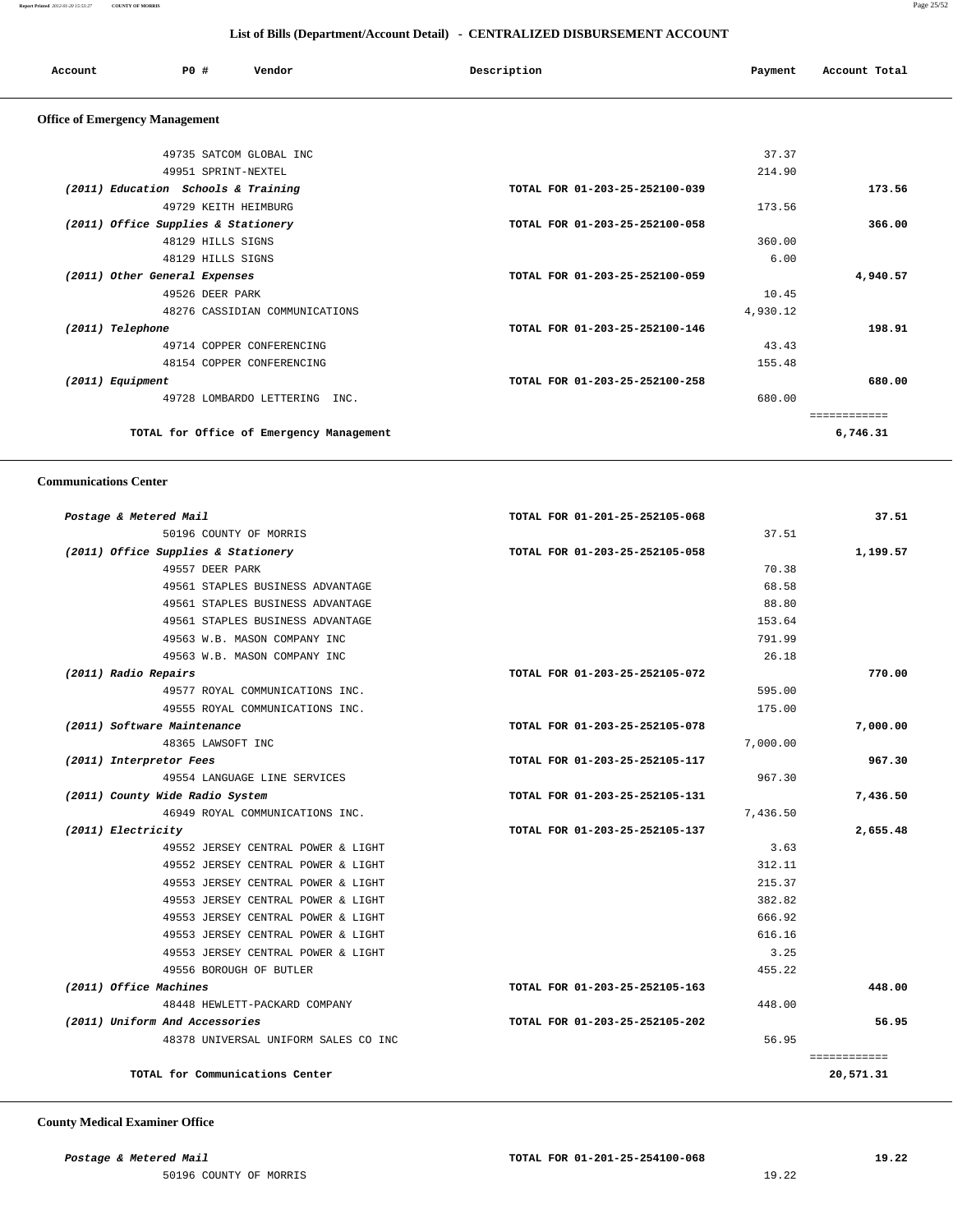| Account                               | PO#<br>Vendor                       | Description                    | Payment | Account Total |
|---------------------------------------|-------------------------------------|--------------------------------|---------|---------------|
| <b>Office of Emergency Management</b> |                                     |                                |         |               |
|                                       | 49735 SATCOM GLOBAL INC             |                                | 37.37   |               |
|                                       | 49951 SPRINT-NEXTEL                 |                                | 214.90  |               |
|                                       | (2011) Education Schools & Training | TOTAL FOR 01-203-25-252100-039 |         | 173.56        |
|                                       | 49729 KEITH HEIMBURG                |                                | 173.56  |               |
|                                       | (2011) Office Supplies & Stationery | TOTAL FOR 01-203-25-252100-058 |         | 366.00        |
|                                       | 48129 HILLS SIGNS                   |                                | 360.00  |               |
|                                       | 48129 HILLS SIGNS                   |                                | 6.00    |               |

 **(2011) Other General Expenses TOTAL FOR 01-203-25-252100-059 4,940.57** 49526 DEER PARK 10.45 48276 CASSIDIAN COMMUNICATIONS 4,930.12  **(2011) Telephone TOTAL FOR 01-203-25-252100-146 198.91** 49714 COPPER CONFERENCING 43.43 48154 COPPER CONFERENCING 155.48  **(2011) Equipment TOTAL FOR 01-203-25-252100-258 680.00** 49728 LOMBARDO LETTERING INC. 680.00

**TOTAL for Office of Emergency Management 6,746.31**

============

 **Communications Center** 

| Postage & Metered Mail               | TOTAL FOR 01-201-25-252105-068 | 37.51        |
|--------------------------------------|--------------------------------|--------------|
| 50196 COUNTY OF MORRIS               | 37.51                          |              |
| (2011) Office Supplies & Stationery  | TOTAL FOR 01-203-25-252105-058 | 1,199.57     |
| 49557 DEER PARK                      | 70.38                          |              |
| 49561 STAPLES BUSINESS ADVANTAGE     | 68.58                          |              |
| 49561 STAPLES BUSINESS ADVANTAGE     | 88.80                          |              |
| 49561 STAPLES BUSINESS ADVANTAGE     | 153.64                         |              |
| 49563 W.B. MASON COMPANY INC         | 791.99                         |              |
| 49563 W.B. MASON COMPANY INC         | 26.18                          |              |
| (2011) Radio Repairs                 | TOTAL FOR 01-203-25-252105-072 | 770.00       |
| 49577 ROYAL COMMUNICATIONS INC.      | 595.00                         |              |
| 49555 ROYAL COMMUNICATIONS INC.      | 175.00                         |              |
| (2011) Software Maintenance          | TOTAL FOR 01-203-25-252105-078 | 7,000.00     |
| 48365 LAWSOFT INC                    | 7,000.00                       |              |
| (2011) Interpretor Fees              | TOTAL FOR 01-203-25-252105-117 | 967.30       |
| 49554 LANGUAGE LINE SERVICES         | 967.30                         |              |
| (2011) County Wide Radio System      | TOTAL FOR 01-203-25-252105-131 | 7,436.50     |
| 46949 ROYAL COMMUNICATIONS INC.      | 7,436.50                       |              |
| (2011) Electricity                   | TOTAL FOR 01-203-25-252105-137 | 2,655.48     |
| 49552 JERSEY CENTRAL POWER & LIGHT   | 3.63                           |              |
| 49552 JERSEY CENTRAL POWER & LIGHT   | 312.11                         |              |
| 49553 JERSEY CENTRAL POWER & LIGHT   | 215.37                         |              |
| 49553 JERSEY CENTRAL POWER & LIGHT   | 382.82                         |              |
| 49553 JERSEY CENTRAL POWER & LIGHT   | 666.92                         |              |
| 49553 JERSEY CENTRAL POWER & LIGHT   | 616.16                         |              |
| 49553 JERSEY CENTRAL POWER & LIGHT   | 3.25                           |              |
| 49556 BOROUGH OF BUTLER              | 455.22                         |              |
| (2011) Office Machines               | TOTAL FOR 01-203-25-252105-163 | 448.00       |
| 48448 HEWLETT-PACKARD COMPANY        | 448.00                         |              |
| (2011) Uniform And Accessories       | TOTAL FOR 01-203-25-252105-202 | 56.95        |
| 48378 UNIVERSAL UNIFORM SALES CO INC | 56.95                          |              |
|                                      |                                | ============ |
| TOTAL for Communications Center      |                                | 20,571.31    |

 **County Medical Examiner Office**

50196 COUNTY OF MORRIS 19.22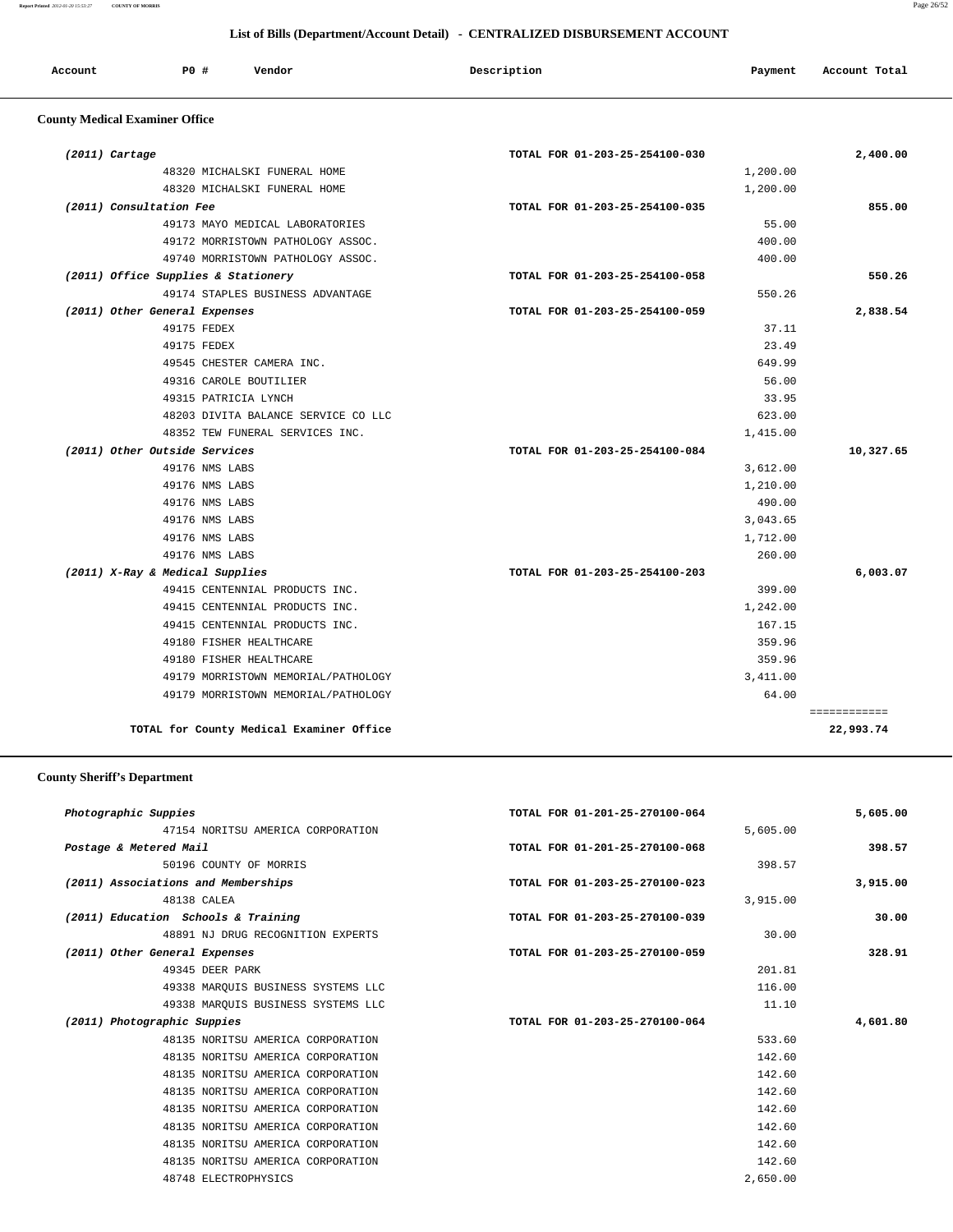#### **Report Printed** *2012-01-20 15:53:27* **COUNTY OF MORRIS** Page 26/52

# **List of Bills (Department/Account Detail) - CENTRALIZED DISBURSEMENT ACCOUNT**

| Account | PO# | Vendor | Description | Payment | Account Total |
|---------|-----|--------|-------------|---------|---------------|
|         |     |        |             |         |               |

# **County Medical Examiner Office**

| $(2011)$ Cartage                         | TOTAL FOR 01-203-25-254100-030 | 2,400.00     |
|------------------------------------------|--------------------------------|--------------|
| 48320 MICHALSKI FUNERAL HOME             | 1,200.00                       |              |
| 48320 MICHALSKI FUNERAL HOME             | 1,200.00                       |              |
| (2011) Consultation Fee                  | TOTAL FOR 01-203-25-254100-035 | 855.00       |
| 49173 MAYO MEDICAL LABORATORIES          | 55.00                          |              |
| 49172 MORRISTOWN PATHOLOGY ASSOC.        | 400.00                         |              |
| 49740 MORRISTOWN PATHOLOGY ASSOC.        | 400.00                         |              |
| (2011) Office Supplies & Stationery      | TOTAL FOR 01-203-25-254100-058 | 550.26       |
| 49174 STAPLES BUSINESS ADVANTAGE         | 550.26                         |              |
| (2011) Other General Expenses            | TOTAL FOR 01-203-25-254100-059 | 2,838.54     |
| 49175 FEDEX                              | 37.11                          |              |
| 49175 FEDEX                              | 23.49                          |              |
| 49545 CHESTER CAMERA INC.                | 649.99                         |              |
| 49316 CAROLE BOUTILIER                   | 56.00                          |              |
| 49315 PATRICIA LYNCH                     | 33.95                          |              |
| 48203 DIVITA BALANCE SERVICE CO LLC      | 623.00                         |              |
| 48352 TEW FUNERAL SERVICES INC.          | 1,415.00                       |              |
| (2011) Other Outside Services            | TOTAL FOR 01-203-25-254100-084 | 10,327.65    |
| 49176 NMS LABS                           | 3,612.00                       |              |
| 49176 NMS LABS                           | 1,210.00                       |              |
| 49176 NMS LABS                           | 490.00                         |              |
| 49176 NMS LABS                           | 3,043.65                       |              |
| 49176 NMS LABS                           | 1,712.00                       |              |
| 49176 NMS LABS                           | 260.00                         |              |
| (2011) X-Ray & Medical Supplies          | TOTAL FOR 01-203-25-254100-203 | 6,003.07     |
| 49415 CENTENNIAL PRODUCTS INC.           | 399.00                         |              |
| 49415 CENTENNIAL PRODUCTS INC.           | 1,242.00                       |              |
| 49415 CENTENNIAL PRODUCTS INC.           | 167.15                         |              |
| 49180 FISHER HEALTHCARE                  | 359.96                         |              |
| 49180 FISHER HEALTHCARE                  | 359.96                         |              |
| 49179 MORRISTOWN MEMORIAL/PATHOLOGY      | 3,411.00                       |              |
| 49179 MORRISTOWN MEMORIAL/PATHOLOGY      | 64.00                          |              |
|                                          |                                | ============ |
| TOTAL for County Medical Examiner Office |                                | 22,993.74    |

# **County Sheriff's Department**

| Photographic Suppies                | TOTAL FOR 01-201-25-270100-064 | 5,605.00 |
|-------------------------------------|--------------------------------|----------|
| 47154 NORITSU AMERICA CORPORATION   | 5,605.00                       |          |
| Postage & Metered Mail              | TOTAL FOR 01-201-25-270100-068 | 398.57   |
| 50196 COUNTY OF MORRIS              | 398.57                         |          |
| (2011) Associations and Memberships | TOTAL FOR 01-203-25-270100-023 | 3,915.00 |
| 48138 CALEA                         | 3,915.00                       |          |
| (2011) Education Schools & Training | TOTAL FOR 01-203-25-270100-039 | 30.00    |
| 48891 NJ DRUG RECOGNITION EXPERTS   | 30.00                          |          |
| (2011) Other General Expenses       | TOTAL FOR 01-203-25-270100-059 | 328.91   |
| 49345 DEER PARK                     | 201.81                         |          |
| 49338 MAROUIS BUSINESS SYSTEMS LLC  | 116.00                         |          |
| 49338 MARQUIS BUSINESS SYSTEMS LLC  | 11.10                          |          |
| (2011) Photographic Suppies         | TOTAL FOR 01-203-25-270100-064 | 4,601.80 |
| 48135 NORITSU AMERICA CORPORATION   | 533.60                         |          |
| 48135 NORITSU AMERICA CORPORATION   | 142.60                         |          |
| 48135 NORITSU AMERICA CORPORATION   | 142.60                         |          |
| 48135 NORITSU AMERICA CORPORATION   | 142.60                         |          |
| 48135 NORITSU AMERICA CORPORATION   | 142.60                         |          |
| 48135 NORITSU AMERICA CORPORATION   | 142.60                         |          |
| 48135 NORITSU AMERICA CORPORATION   | 142.60                         |          |
| 48135 NORITSU AMERICA CORPORATION   | 142.60                         |          |
| 48748 ELECTROPHYSICS                | 2,650.00                       |          |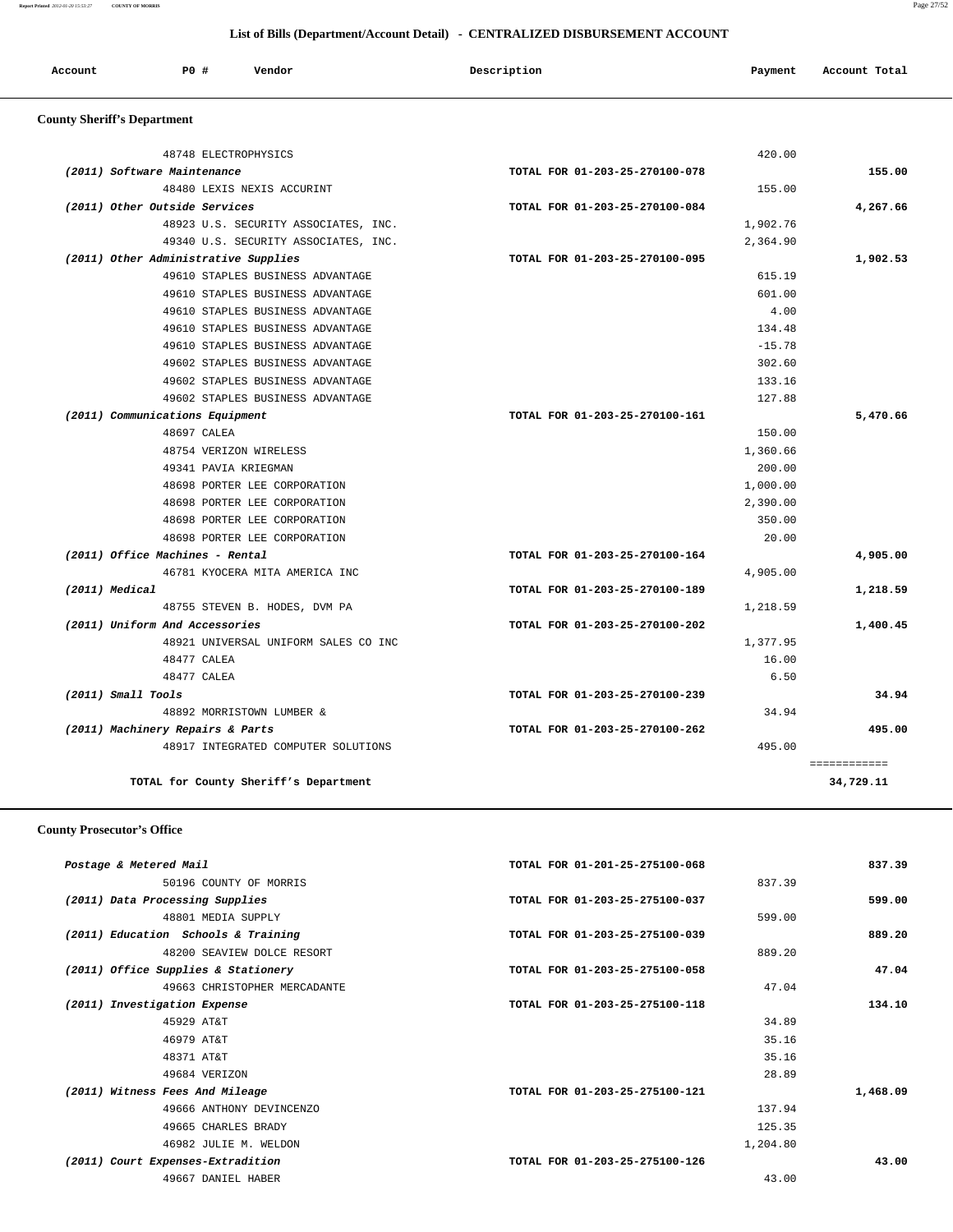| Account | PO # | Vendor | Description | Payment | Account Total |
|---------|------|--------|-------------|---------|---------------|
|         |      |        |             |         |               |

# **County Sheriff's Department**

| 48748 ELECTROPHYSICS                  | 420.00                         |              |
|---------------------------------------|--------------------------------|--------------|
| (2011) Software Maintenance           | TOTAL FOR 01-203-25-270100-078 | 155.00       |
| 48480 LEXIS NEXIS ACCURINT            | 155.00                         |              |
| (2011) Other Outside Services         | TOTAL FOR 01-203-25-270100-084 | 4,267.66     |
| 48923 U.S. SECURITY ASSOCIATES, INC.  | 1,902.76                       |              |
| 49340 U.S. SECURITY ASSOCIATES, INC.  | 2,364.90                       |              |
| (2011) Other Administrative Supplies  | TOTAL FOR 01-203-25-270100-095 | 1,902.53     |
| 49610 STAPLES BUSINESS ADVANTAGE      | 615.19                         |              |
| 49610 STAPLES BUSINESS ADVANTAGE      | 601.00                         |              |
| 49610 STAPLES BUSINESS ADVANTAGE      | 4.00                           |              |
| 49610 STAPLES BUSINESS ADVANTAGE      | 134.48                         |              |
| 49610 STAPLES BUSINESS ADVANTAGE      | $-15.78$                       |              |
| 49602 STAPLES BUSINESS ADVANTAGE      | 302.60                         |              |
| 49602 STAPLES BUSINESS ADVANTAGE      | 133.16                         |              |
| 49602 STAPLES BUSINESS ADVANTAGE      | 127.88                         |              |
| (2011) Communications Equipment       | TOTAL FOR 01-203-25-270100-161 | 5,470.66     |
| 48697 CALEA                           | 150.00                         |              |
| 48754 VERIZON WIRELESS                | 1,360.66                       |              |
| 49341 PAVIA KRIEGMAN                  | 200.00                         |              |
| 48698 PORTER LEE CORPORATION          | 1,000.00                       |              |
| 48698 PORTER LEE CORPORATION          | 2,390.00                       |              |
| 48698 PORTER LEE CORPORATION          | 350.00                         |              |
| 48698 PORTER LEE CORPORATION          | 20.00                          |              |
| (2011) Office Machines - Rental       | TOTAL FOR 01-203-25-270100-164 | 4,905.00     |
| 46781 KYOCERA MITA AMERICA INC        | 4,905.00                       |              |
| (2011) Medical                        | TOTAL FOR 01-203-25-270100-189 | 1,218.59     |
| 48755 STEVEN B. HODES, DVM PA         | 1,218.59                       |              |
| (2011) Uniform And Accessories        | TOTAL FOR 01-203-25-270100-202 | 1,400.45     |
| 48921 UNIVERSAL UNIFORM SALES CO INC  | 1,377.95                       |              |
| 48477 CALEA                           | 16.00                          |              |
| 48477 CALEA                           | 6.50                           |              |
| (2011) Small Tools                    | TOTAL FOR 01-203-25-270100-239 | 34.94        |
| 48892 MORRISTOWN LUMBER &             | 34.94                          |              |
| (2011) Machinery Repairs & Parts      | TOTAL FOR 01-203-25-270100-262 | 495.00       |
| 48917 INTEGRATED COMPUTER SOLUTIONS   | 495.00                         |              |
|                                       |                                | ============ |
| TOTAL for County Sheriff's Department |                                | 34,729.11    |

## **County Prosecutor's Office**

|                                     | TOTAL FOR 01-201-25-275100-068 | 837.39   |
|-------------------------------------|--------------------------------|----------|
| 50196 COUNTY OF MORRIS              |                                | 837.39   |
|                                     | TOTAL FOR 01-203-25-275100-037 | 599.00   |
|                                     |                                | 599.00   |
| (2011) Education Schools & Training | TOTAL FOR 01-203-25-275100-039 | 889.20   |
| 48200 SEAVIEW DOLCE RESORT          |                                | 889.20   |
|                                     | TOTAL FOR 01-203-25-275100-058 | 47.04    |
| 49663 CHRISTOPHER MERCADANTE        |                                | 47.04    |
|                                     | TOTAL FOR 01-203-25-275100-118 | 134.10   |
|                                     |                                | 34.89    |
|                                     |                                | 35.16    |
|                                     |                                | 35.16    |
|                                     |                                | 28.89    |
|                                     | TOTAL FOR 01-203-25-275100-121 | 1,468.09 |
| 49666 ANTHONY DEVINCENZO            |                                | 137.94   |
|                                     |                                | 125.35   |
|                                     |                                | 1,204.80 |
|                                     | TOTAL FOR 01-203-25-275100-126 | 43.00    |
|                                     |                                | 43.00    |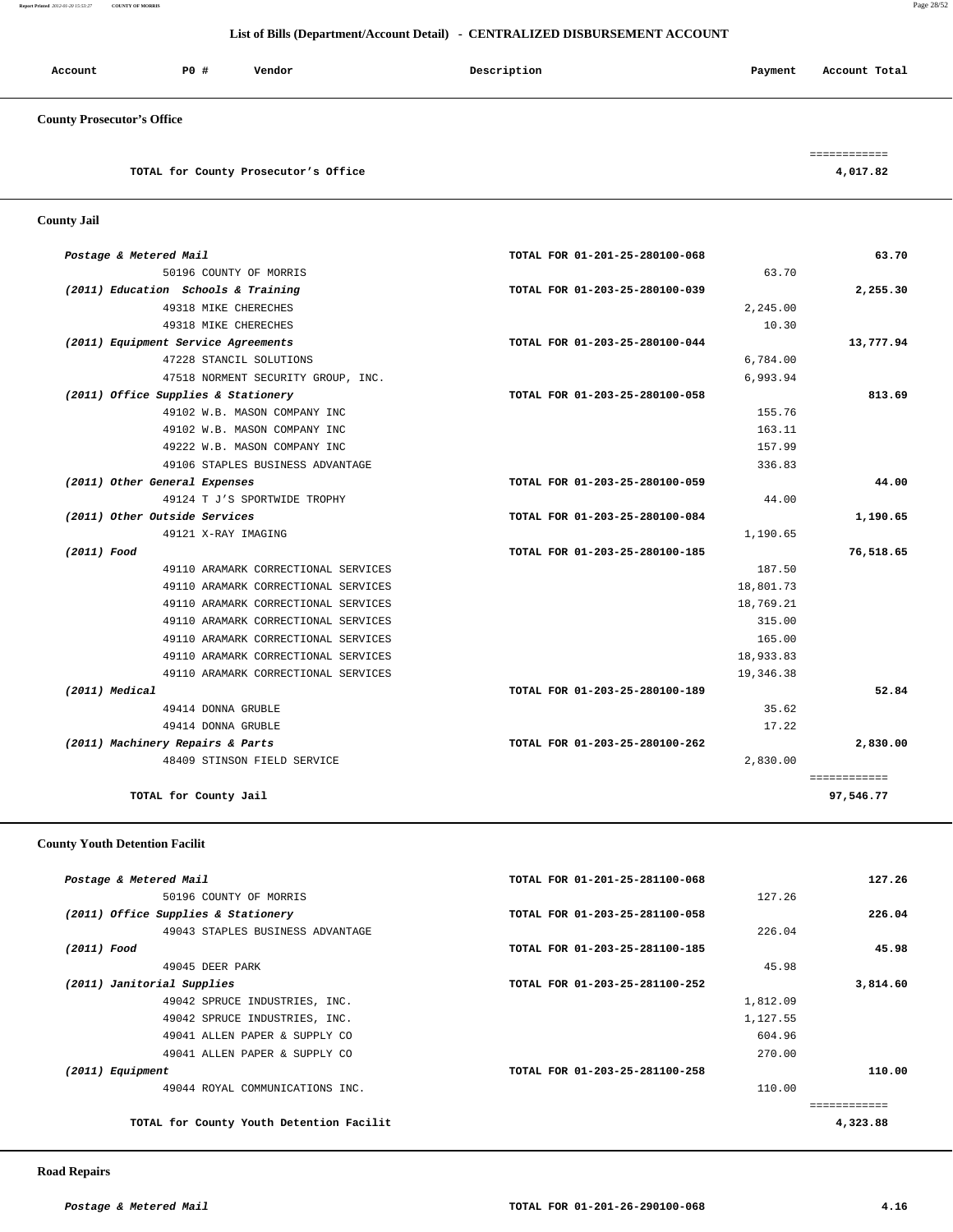**Report Printed** *2012-01-20 15:53:27* **COUNTY OF MORRIS** Page 28/52

## **List of Bills (Department/Account Detail) - CENTRALIZED DISBURSEMENT ACCOUNT**

| Account               | PO# | Vendor | Description | Payment | Account Total |
|-----------------------|-----|--------|-------------|---------|---------------|
| $\alpha$ in increased |     |        |             |         |               |

============

# **County Prosecutor's Office**

**TOTAL for County Prosecutor's Office 4,017.82**

 **County Jail** 

| 63.70     | TOTAL FOR 01-201-25-280100-068 | Postage & Metered Mail              |
|-----------|--------------------------------|-------------------------------------|
|           | 63.70                          | 50196 COUNTY OF MORRIS              |
| 2,255.30  | TOTAL FOR 01-203-25-280100-039 | (2011) Education Schools & Training |
|           | 2,245.00                       | 49318 MIKE CHERECHES                |
|           | 10.30                          | 49318 MIKE CHERECHES                |
| 13,777.94 | TOTAL FOR 01-203-25-280100-044 | (2011) Equipment Service Agreements |
|           | 6,784.00                       | 47228 STANCIL SOLUTIONS             |
|           | 6,993.94                       | 47518 NORMENT SECURITY GROUP, INC.  |
| 813.69    | TOTAL FOR 01-203-25-280100-058 | (2011) Office Supplies & Stationery |
|           | 155.76                         | 49102 W.B. MASON COMPANY INC        |
|           | 163.11                         | 49102 W.B. MASON COMPANY INC        |
|           | 157.99                         | 49222 W.B. MASON COMPANY INC        |
|           | 336.83                         | 49106 STAPLES BUSINESS ADVANTAGE    |
| 44.00     | TOTAL FOR 01-203-25-280100-059 | (2011) Other General Expenses       |
|           | 44.00                          | 49124 T J'S SPORTWIDE TROPHY        |
| 1,190.65  | TOTAL FOR 01-203-25-280100-084 | (2011) Other Outside Services       |
|           | 1,190.65                       | 49121 X-RAY IMAGING                 |
| 76,518.65 | TOTAL FOR 01-203-25-280100-185 | (2011) Food                         |
|           | 187.50                         | 49110 ARAMARK CORRECTIONAL SERVICES |
|           | 18,801.73                      | 49110 ARAMARK CORRECTIONAL SERVICES |
|           | 18,769.21                      | 49110 ARAMARK CORRECTIONAL SERVICES |
|           | 315.00                         | 49110 ARAMARK CORRECTIONAL SERVICES |
|           | 165.00                         | 49110 ARAMARK CORRECTIONAL SERVICES |
|           | 18,933.83                      | 49110 ARAMARK CORRECTIONAL SERVICES |
|           | 19,346.38                      | 49110 ARAMARK CORRECTIONAL SERVICES |
| 52.84     | TOTAL FOR 01-203-25-280100-189 | (2011) Medical                      |
|           | 35.62                          | 49414 DONNA GRUBLE                  |
|           | 17.22                          | 49414 DONNA GRUBLE                  |
|           |                                | (2011) Machinery Repairs & Parts    |
| 2,830.00  | TOTAL FOR 01-203-25-280100-262 |                                     |

#### **County Youth Detention Facilit**

| Postage & Metered Mail                   | TOTAL FOR 01-201-25-281100-068 | 127.26   |
|------------------------------------------|--------------------------------|----------|
| 50196 COUNTY OF MORRIS                   | 127.26                         |          |
| (2011) Office Supplies & Stationery      | TOTAL FOR 01-203-25-281100-058 | 226.04   |
| 49043 STAPLES BUSINESS ADVANTAGE         | 226.04                         |          |
| (2011) Food                              | TOTAL FOR 01-203-25-281100-185 | 45.98    |
| 49045 DEER PARK                          |                                | 45.98    |
| (2011) Janitorial Supplies               | TOTAL FOR 01-203-25-281100-252 | 3,814.60 |
| 49042 SPRUCE INDUSTRIES, INC.            | 1,812.09                       |          |
| 49042 SPRUCE INDUSTRIES, INC.            | 1,127.55                       |          |
| 49041 ALLEN PAPER & SUPPLY CO            | 604.96                         |          |
| 49041 ALLEN PAPER & SUPPLY CO            | 270.00                         |          |
| (2011) Equipment                         | TOTAL FOR 01-203-25-281100-258 | 110.00   |
| 49044 ROYAL COMMUNICATIONS INC.          | 110.00                         |          |
|                                          |                                |          |
| TOTAL for County Youth Detention Facilit |                                | 4,323.88 |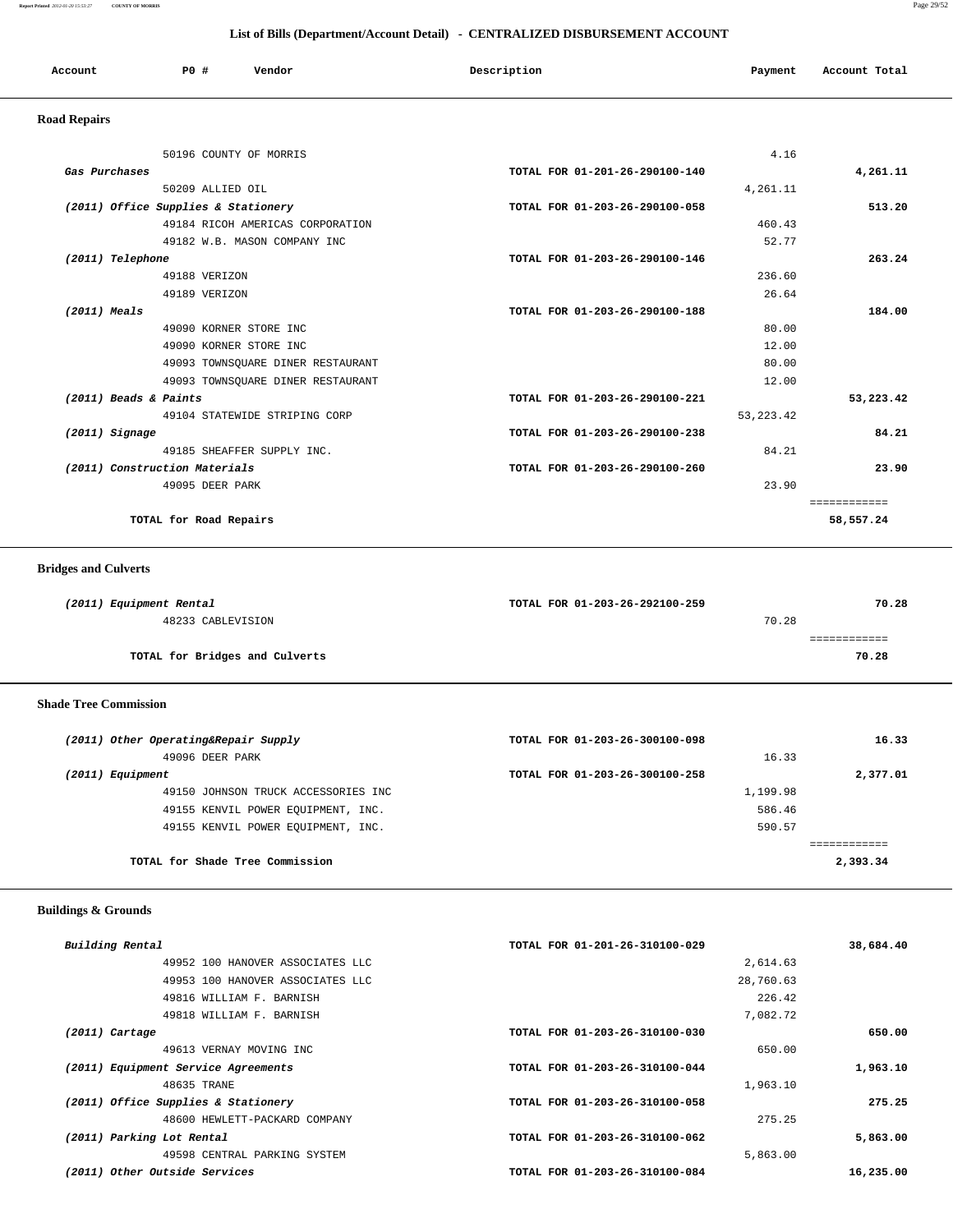**Report Printed** *2012-01-20 15:53:27* **COUNTY OF MORRIS** Page 29/52

## **List of Bills (Department/Account Detail) - CENTRALIZED DISBURSEMENT ACCOUNT**

| Account             | PO#                                 | Vendor | Description                    | Payment  | Account Total |
|---------------------|-------------------------------------|--------|--------------------------------|----------|---------------|
| <b>Road Repairs</b> |                                     |        |                                |          |               |
|                     | 50196 COUNTY OF MORRIS              |        |                                | 4.16     |               |
| Gas Purchases       |                                     |        | TOTAL FOR 01-201-26-290100-140 |          | 4,261.11      |
|                     | 50209 ALLIED OIL                    |        |                                | 4,261.11 |               |
|                     | (2011) Office Supplies & Stationery |        | TOTAL FOR 01-203-26-290100-058 |          | 513.20        |

| 49184 RICOH AMERICAS CORPORATION  |                                | 460.43    |
|-----------------------------------|--------------------------------|-----------|
| 49182 W.B. MASON COMPANY INC      |                                | 52.77     |
| (2011) Telephone                  | TOTAL FOR 01-203-26-290100-146 | 263.24    |
| 49188 VERIZON                     |                                | 236.60    |
| 49189 VERIZON                     |                                | 26.64     |
| $(2011)$ Meals                    | TOTAL FOR 01-203-26-290100-188 | 184.00    |
| 49090 KORNER STORE INC            |                                | 80.00     |
| 49090 KORNER STORE INC            |                                | 12.00     |
| 49093 TOWNSQUARE DINER RESTAURANT |                                | 80.00     |
| 49093 TOWNSOUARE DINER RESTAURANT |                                | 12.00     |
| (2011) Beads & Paints             | TOTAL FOR 01-203-26-290100-221 | 53,223.42 |
| 49104 STATEWIDE STRIPING CORP     | 53, 223. 42                    |           |
| (2011) Signage                    | TOTAL FOR 01-203-26-290100-238 | 84.21     |
| 49185 SHEAFFER SUPPLY INC.        |                                | 84.21     |
| (2011) Construction Materials     | TOTAL FOR 01-203-26-290100-260 | 23.90     |
| 49095 DEER PARK                   |                                | 23.90     |
|                                   |                                |           |
| TOTAL for Road Repairs            |                                | 58,557.24 |
|                                   |                                |           |

 **Bridges and Culverts** 

| (2011) Equipment Rental        | TOTAL FOR 01-203-26-292100-259 | 70.28 |
|--------------------------------|--------------------------------|-------|
| 48233 CABLEVISION              | 70.28                          |       |
|                                |                                |       |
| TOTAL for Bridges and Culverts |                                | 70.28 |
|                                |                                |       |

 **Shade Tree Commission** 

| (2011) Other Operating&Repair Supply | TOTAL FOR 01-203-26-300100-098 | 16.33    |
|--------------------------------------|--------------------------------|----------|
| 49096 DEER PARK                      | 16.33                          |          |
| (2011) Equipment                     | TOTAL FOR 01-203-26-300100-258 | 2,377.01 |
| 49150 JOHNSON TRUCK ACCESSORIES INC  | 1,199.98                       |          |
| 49155 KENVIL POWER EOUIPMENT, INC.   | 586.46                         |          |
| 49155 KENVIL POWER EOUIPMENT, INC.   | 590.57                         |          |
|                                      |                                |          |
| TOTAL for Shade Tree Commission      |                                | 2,393.34 |

 **Buildings & Grounds** 

| Building Rental                     | TOTAL FOR 01-201-26-310100-029 | 38,684.40 |
|-------------------------------------|--------------------------------|-----------|
| 49952 100 HANOVER ASSOCIATES LLC    | 2,614.63                       |           |
| 49953 100 HANOVER ASSOCIATES LLC    | 28,760.63                      |           |
| 49816 WILLIAM F. BARNISH            | 226.42                         |           |
| 49818 WILLIAM F. BARNISH            | 7,082.72                       |           |
| $(2011)$ Cartage                    | TOTAL FOR 01-203-26-310100-030 | 650.00    |
| 49613 VERNAY MOVING INC             | 650.00                         |           |
| (2011) Equipment Service Agreements | TOTAL FOR 01-203-26-310100-044 | 1,963.10  |
| 48635 TRANE                         | 1,963.10                       |           |
| (2011) Office Supplies & Stationery | TOTAL FOR 01-203-26-310100-058 | 275.25    |
| 48600 HEWLETT-PACKARD COMPANY       | 275.25                         |           |
| (2011) Parking Lot Rental           | TOTAL FOR 01-203-26-310100-062 | 5,863.00  |
| 49598 CENTRAL PARKING SYSTEM        | 5,863.00                       |           |
| (2011) Other Outside Services       | TOTAL FOR 01-203-26-310100-084 | 16,235.00 |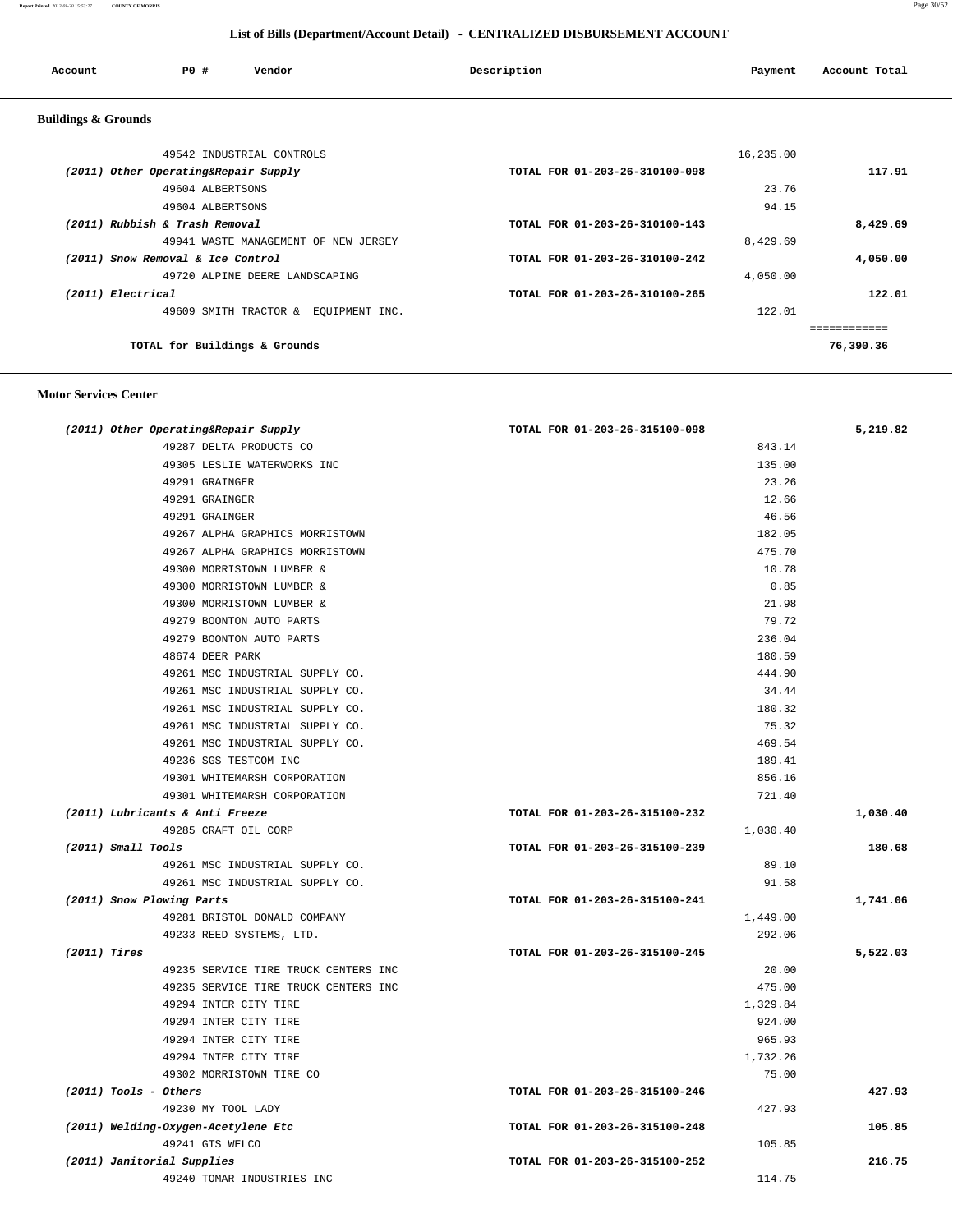| Account                        | PO#                                  | Vendor                               | Description                    | Payment   | Account Total |
|--------------------------------|--------------------------------------|--------------------------------------|--------------------------------|-----------|---------------|
| <b>Buildings &amp; Grounds</b> |                                      |                                      |                                |           |               |
|                                |                                      | 49542 INDUSTRIAL CONTROLS            |                                | 16,235.00 |               |
|                                | (2011) Other Operating&Repair Supply |                                      | TOTAL FOR 01-203-26-310100-098 |           | 117.91        |
|                                | 49604 ALBERTSONS                     |                                      |                                | 23.76     |               |
|                                | 49604 ALBERTSONS                     |                                      |                                | 94.15     |               |
|                                | (2011) Rubbish & Trash Removal       |                                      | TOTAL FOR 01-203-26-310100-143 |           | 8,429.69      |
|                                |                                      | 49941 WASTE MANAGEMENT OF NEW JERSEY |                                | 8,429.69  |               |
|                                | (2011) Snow Removal & Ice Control    |                                      | TOTAL FOR 01-203-26-310100-242 |           | 4,050.00      |
|                                |                                      | 49720 ALPINE DEERE LANDSCAPING       |                                | 4,050.00  |               |
| (2011) Electrical              |                                      |                                      | TOTAL FOR 01-203-26-310100-265 |           | 122.01        |
|                                |                                      | 49609 SMITH TRACTOR & EQUIPMENT INC. |                                | 122.01    |               |
|                                |                                      |                                      |                                |           | ============  |
|                                | TOTAL for Buildings & Grounds        |                                      |                                |           | 76,390.36     |
|                                |                                      |                                      |                                |           |               |

 **Motor Services Center** 

| (2011) Other Operating&Repair Supply | TOTAL FOR 01-203-26-315100-098 | 5,219.82 |
|--------------------------------------|--------------------------------|----------|
| 49287 DELTA PRODUCTS CO              | 843.14                         |          |
| 49305 LESLIE WATERWORKS INC          | 135.00                         |          |
| 49291 GRAINGER                       | 23.26                          |          |
| 49291 GRAINGER                       | 12.66                          |          |
| 49291 GRAINGER                       | 46.56                          |          |
| 49267 ALPHA GRAPHICS MORRISTOWN      | 182.05                         |          |
| 49267 ALPHA GRAPHICS MORRISTOWN      | 475.70                         |          |
| 49300 MORRISTOWN LUMBER &            | 10.78                          |          |
| 49300 MORRISTOWN LUMBER &            | 0.85                           |          |
| 49300 MORRISTOWN LUMBER &            | 21.98                          |          |
| 49279 BOONTON AUTO PARTS             | 79.72                          |          |
| 49279 BOONTON AUTO PARTS             | 236.04                         |          |
| 48674 DEER PARK                      | 180.59                         |          |
| 49261 MSC INDUSTRIAL SUPPLY CO.      | 444.90                         |          |
| 49261 MSC INDUSTRIAL SUPPLY CO.      | 34.44                          |          |
| 49261 MSC INDUSTRIAL SUPPLY CO.      | 180.32                         |          |
| 49261 MSC INDUSTRIAL SUPPLY CO.      | 75.32                          |          |
| 49261 MSC INDUSTRIAL SUPPLY CO.      | 469.54                         |          |
| 49236 SGS TESTCOM INC                | 189.41                         |          |
| 49301 WHITEMARSH CORPORATION         | 856.16                         |          |
| 49301 WHITEMARSH CORPORATION         | 721.40                         |          |
| (2011) Lubricants & Anti Freeze      | TOTAL FOR 01-203-26-315100-232 | 1,030.40 |
| 49285 CRAFT OIL CORP                 | 1,030.40                       |          |
| $(2011)$ Small Tools                 | TOTAL FOR 01-203-26-315100-239 | 180.68   |
| 49261 MSC INDUSTRIAL SUPPLY CO.      | 89.10                          |          |
| 49261 MSC INDUSTRIAL SUPPLY CO.      | 91.58                          |          |
| (2011) Snow Plowing Parts            | TOTAL FOR 01-203-26-315100-241 | 1,741.06 |
| 49281 BRISTOL DONALD COMPANY         | 1,449.00                       |          |
| 49233 REED SYSTEMS, LTD.             | 292.06                         |          |
| (2011) Tires                         | TOTAL FOR 01-203-26-315100-245 | 5,522.03 |
| 49235 SERVICE TIRE TRUCK CENTERS INC | 20.00                          |          |
| 49235 SERVICE TIRE TRUCK CENTERS INC | 475.00                         |          |
| 49294 INTER CITY TIRE                | 1,329.84                       |          |
| 49294 INTER CITY TIRE                | 924.00                         |          |
| 49294 INTER CITY TIRE                | 965.93                         |          |
| 49294 INTER CITY TIRE                | 1,732.26                       |          |
| 49302 MORRISTOWN TIRE CO             | 75.00                          |          |
| $(2011)$ Tools - Others              | TOTAL FOR 01-203-26-315100-246 | 427.93   |
| 49230 MY TOOL LADY                   | 427.93                         |          |
| (2011) Welding-Oxygen-Acetylene Etc  | TOTAL FOR 01-203-26-315100-248 | 105.85   |
| 49241 GTS WELCO                      | 105.85                         |          |
| (2011) Janitorial Supplies           | TOTAL FOR 01-203-26-315100-252 | 216.75   |
| 49240 TOMAR INDUSTRIES INC           | 114.75                         |          |
|                                      |                                |          |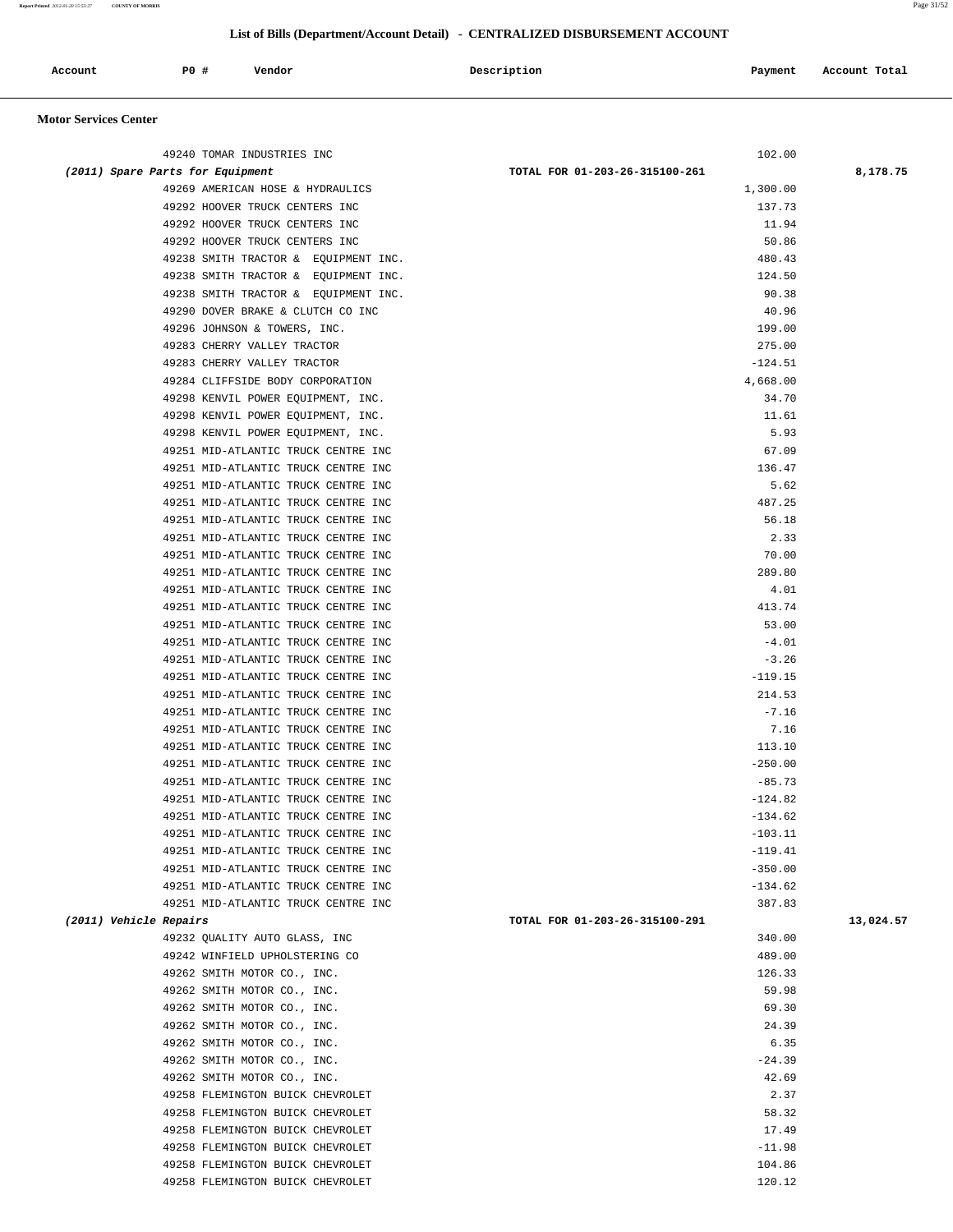**Report Printed** *2012-01-20 15:53:27* **COUNTY OF MORRIS** Page 31/52

## **List of Bills (Department/Account Detail) - CENTRALIZED DISBURSEMENT ACCOUNT**

| the contract of the contract of the contract of the contract of the contract of the contract of the contract of<br>Account | <b>PO #</b> | Vendor | Description | Payment | Account Total |
|----------------------------------------------------------------------------------------------------------------------------|-------------|--------|-------------|---------|---------------|
|                                                                                                                            |             |        |             |         |               |

## **Motor Services Center**

| 49240 TOMAR INDUSTRIES INC                                                 | 102.00                         |           |
|----------------------------------------------------------------------------|--------------------------------|-----------|
| (2011) Spare Parts for Equipment                                           | TOTAL FOR 01-203-26-315100-261 | 8,178.75  |
| 49269 AMERICAN HOSE & HYDRAULICS                                           | 1,300.00                       |           |
| 49292 HOOVER TRUCK CENTERS INC                                             | 137.73                         |           |
| 49292 HOOVER TRUCK CENTERS INC                                             | 11.94                          |           |
| 49292 HOOVER TRUCK CENTERS INC                                             | 50.86                          |           |
| 49238 SMITH TRACTOR & EQUIPMENT INC.                                       | 480.43                         |           |
| 49238 SMITH TRACTOR & EQUIPMENT INC.                                       | 124.50                         |           |
| 49238 SMITH TRACTOR & EQUIPMENT INC.                                       | 90.38                          |           |
| 49290 DOVER BRAKE & CLUTCH CO INC<br>49296 JOHNSON & TOWERS, INC.          | 40.96<br>199.00                |           |
| 49283 CHERRY VALLEY TRACTOR                                                | 275.00                         |           |
| 49283 CHERRY VALLEY TRACTOR                                                | $-124.51$                      |           |
| 49284 CLIFFSIDE BODY CORPORATION                                           | 4,668.00                       |           |
| 49298 KENVIL POWER EQUIPMENT, INC.                                         | 34.70                          |           |
| 49298 KENVIL POWER EQUIPMENT, INC.                                         | 11.61                          |           |
| 49298 KENVIL POWER EQUIPMENT, INC.                                         | 5.93                           |           |
| 49251 MID-ATLANTIC TRUCK CENTRE INC                                        | 67.09                          |           |
| 49251 MID-ATLANTIC TRUCK CENTRE INC                                        | 136.47                         |           |
| 49251 MID-ATLANTIC TRUCK CENTRE INC                                        | 5.62                           |           |
| 49251 MID-ATLANTIC TRUCK CENTRE INC                                        | 487.25                         |           |
| 49251 MID-ATLANTIC TRUCK CENTRE INC                                        | 56.18                          |           |
| 49251 MID-ATLANTIC TRUCK CENTRE INC                                        | 2.33                           |           |
| 49251 MID-ATLANTIC TRUCK CENTRE INC                                        | 70.00                          |           |
| 49251 MID-ATLANTIC TRUCK CENTRE INC                                        | 289.80                         |           |
| 49251 MID-ATLANTIC TRUCK CENTRE INC                                        | 4.01                           |           |
| 49251 MID-ATLANTIC TRUCK CENTRE INC                                        | 413.74                         |           |
| 49251 MID-ATLANTIC TRUCK CENTRE INC                                        | 53.00                          |           |
| 49251 MID-ATLANTIC TRUCK CENTRE INC                                        | $-4.01$                        |           |
| 49251 MID-ATLANTIC TRUCK CENTRE INC                                        | $-3.26$                        |           |
| 49251 MID-ATLANTIC TRUCK CENTRE INC                                        | $-119.15$                      |           |
| 49251 MID-ATLANTIC TRUCK CENTRE INC                                        | 214.53                         |           |
| 49251 MID-ATLANTIC TRUCK CENTRE INC                                        | $-7.16$                        |           |
| 49251 MID-ATLANTIC TRUCK CENTRE INC                                        | 7.16                           |           |
| 49251 MID-ATLANTIC TRUCK CENTRE INC                                        | 113.10                         |           |
| 49251 MID-ATLANTIC TRUCK CENTRE INC                                        | $-250.00$                      |           |
| 49251 MID-ATLANTIC TRUCK CENTRE INC                                        | $-85.73$                       |           |
| 49251 MID-ATLANTIC TRUCK CENTRE INC                                        | $-124.82$                      |           |
| 49251 MID-ATLANTIC TRUCK CENTRE INC<br>49251 MID-ATLANTIC TRUCK CENTRE INC | $-134.62$<br>$-103.11$         |           |
| 49251 MID-ATLANTIC TRUCK CENTRE INC                                        | $-119.41$                      |           |
| 49251 MID-ATLANTIC TRUCK CENTRE INC                                        | $-350.00$                      |           |
| 49251 MID-ATLANTIC TRUCK CENTRE INC                                        | $-134.62$                      |           |
| 49251 MID-ATLANTIC TRUCK CENTRE INC                                        | 387.83                         |           |
| (2011) Vehicle Repairs                                                     | TOTAL FOR 01-203-26-315100-291 | 13,024.57 |
| 49232 QUALITY AUTO GLASS, INC                                              | 340.00                         |           |
| 49242 WINFIELD UPHOLSTERING CO                                             | 489.00                         |           |
| 49262 SMITH MOTOR CO., INC.                                                | 126.33                         |           |
| 49262 SMITH MOTOR CO., INC.                                                | 59.98                          |           |
| 49262 SMITH MOTOR CO., INC.                                                | 69.30                          |           |
| 49262 SMITH MOTOR CO., INC.                                                | 24.39                          |           |
| 49262 SMITH MOTOR CO., INC.                                                | 6.35                           |           |
| 49262 SMITH MOTOR CO., INC.                                                | $-24.39$                       |           |
| 49262 SMITH MOTOR CO., INC.                                                | 42.69                          |           |
| 49258 FLEMINGTON BUICK CHEVROLET                                           | 2.37                           |           |
| 49258 FLEMINGTON BUICK CHEVROLET                                           | 58.32                          |           |
| 49258 FLEMINGTON BUICK CHEVROLET                                           | 17.49                          |           |
| 49258 FLEMINGTON BUICK CHEVROLET                                           | $-11.98$                       |           |
| 49258 FLEMINGTON BUICK CHEVROLET                                           | 104.86                         |           |
| 49258 FLEMINGTON BUICK CHEVROLET                                           | 120.12                         |           |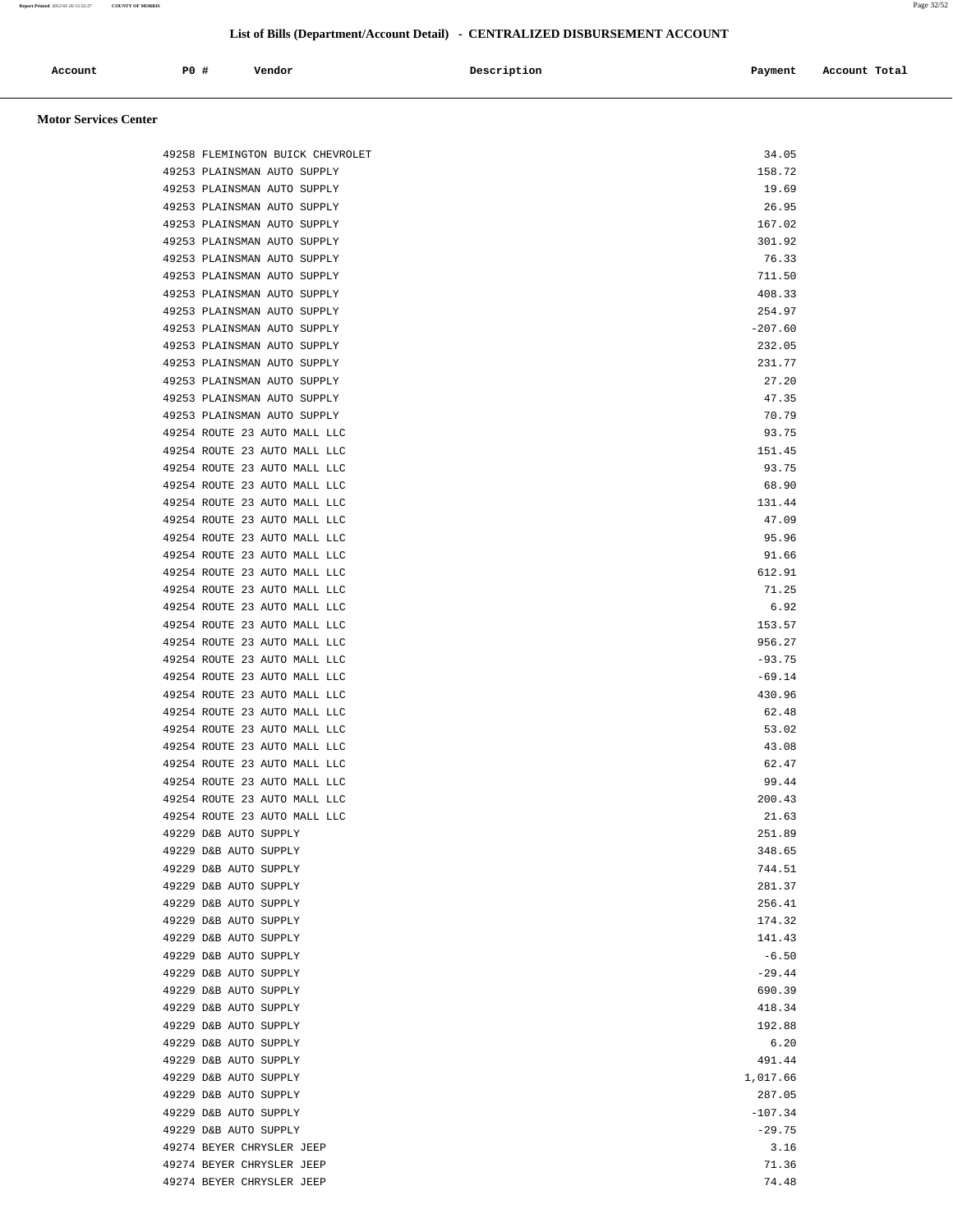| Account<br>. | PO# | Vendor<br>. | Description | Payment | Account Total<br>. |
|--------------|-----|-------------|-------------|---------|--------------------|
|              |     |             |             |         |                    |

## **Motor Services Center**

| 49258 FLEMINGTON BUICK CHEVROLET                             | 34.05                |
|--------------------------------------------------------------|----------------------|
| 49253 PLAINSMAN AUTO SUPPLY                                  | 158.72               |
| 49253 PLAINSMAN AUTO SUPPLY                                  | 19.69                |
| 49253 PLAINSMAN AUTO SUPPLY                                  | 26.95                |
| 49253 PLAINSMAN AUTO SUPPLY                                  | 167.02               |
| 49253 PLAINSMAN AUTO SUPPLY                                  | 301.92               |
| 49253 PLAINSMAN AUTO SUPPLY                                  | 76.33                |
| 49253 PLAINSMAN AUTO SUPPLY                                  | 711.50               |
| 49253 PLAINSMAN AUTO SUPPLY                                  | 408.33               |
| 49253 PLAINSMAN AUTO SUPPLY                                  | 254.97               |
| 49253 PLAINSMAN AUTO SUPPLY                                  | $-207.60$            |
| 49253 PLAINSMAN AUTO SUPPLY<br>49253 PLAINSMAN AUTO SUPPLY   | 232.05<br>231.77     |
| 49253 PLAINSMAN AUTO SUPPLY                                  | 27.20                |
| 49253 PLAINSMAN AUTO SUPPLY                                  | 47.35                |
| 49253 PLAINSMAN AUTO SUPPLY                                  | 70.79                |
| 49254 ROUTE 23 AUTO MALL LLC                                 | 93.75                |
| 49254 ROUTE 23 AUTO MALL LLC                                 | 151.45               |
| 49254 ROUTE 23 AUTO MALL LLC                                 | 93.75                |
| 49254 ROUTE 23 AUTO MALL LLC                                 | 68.90                |
| 49254 ROUTE 23 AUTO MALL LLC                                 | 131.44               |
| 49254 ROUTE 23 AUTO MALL LLC                                 | 47.09                |
| 49254 ROUTE 23 AUTO MALL LLC                                 | 95.96                |
| 49254 ROUTE 23 AUTO MALL LLC                                 | 91.66                |
| 49254 ROUTE 23 AUTO MALL LLC                                 | 612.91               |
| 49254 ROUTE 23 AUTO MALL LLC                                 | 71.25                |
| 49254 ROUTE 23 AUTO MALL LLC                                 | 6.92                 |
| 49254 ROUTE 23 AUTO MALL LLC                                 | 153.57               |
| 49254 ROUTE 23 AUTO MALL LLC                                 | 956.27               |
| 49254 ROUTE 23 AUTO MALL LLC<br>49254 ROUTE 23 AUTO MALL LLC | $-93.75$<br>$-69.14$ |
| 49254 ROUTE 23 AUTO MALL LLC                                 | 430.96               |
| 49254 ROUTE 23 AUTO MALL LLC                                 | 62.48                |
| 49254 ROUTE 23 AUTO MALL LLC                                 | 53.02                |
| 49254 ROUTE 23 AUTO MALL LLC                                 | 43.08                |
| 49254 ROUTE 23 AUTO MALL LLC                                 | 62.47                |
| 49254 ROUTE 23 AUTO MALL LLC                                 | 99.44                |
| 49254 ROUTE 23 AUTO MALL LLC                                 | 200.43               |
| 49254 ROUTE 23 AUTO MALL LLC                                 | 21.63                |
| 49229 D&B AUTO SUPPLY                                        | 251.89               |
| 49229 D&B AUTO SUPPLY                                        | 348.65               |
| 49229 D&B AUTO SUPPLY                                        | 744.51               |
| 49229 D&B AUTO SUPPLY                                        | 281.37               |
| 49229 D&B AUTO SUPPLY                                        | 256.41               |
| 49229 D&B AUTO SUPPLY                                        | 174.32               |
| 49229 D&B AUTO SUPPLY                                        | 141.43               |
| 49229 D&B AUTO SUPPLY                                        | $-6.50$<br>$-29.44$  |
| 49229 D&B AUTO SUPPLY<br>49229 D&B AUTO SUPPLY               | 690.39               |
| 49229 D&B AUTO SUPPLY                                        | 418.34               |
| 49229 D&B AUTO SUPPLY                                        | 192.88               |
| 49229 D&B AUTO SUPPLY                                        | 6.20                 |
| 49229 D&B AUTO SUPPLY                                        | 491.44               |
| 49229 D&B AUTO SUPPLY                                        | 1,017.66             |
| 49229 D&B AUTO SUPPLY                                        | 287.05               |
| 49229 D&B AUTO SUPPLY                                        | $-107.34$            |
| 49229 D&B AUTO SUPPLY                                        | $-29.75$             |
| 49274 BEYER CHRYSLER JEEP                                    | 3.16                 |
| 49274 BEYER CHRYSLER JEEP                                    | 71.36                |
| 49274 BEYER CHRYSLER JEEP                                    | 74.48                |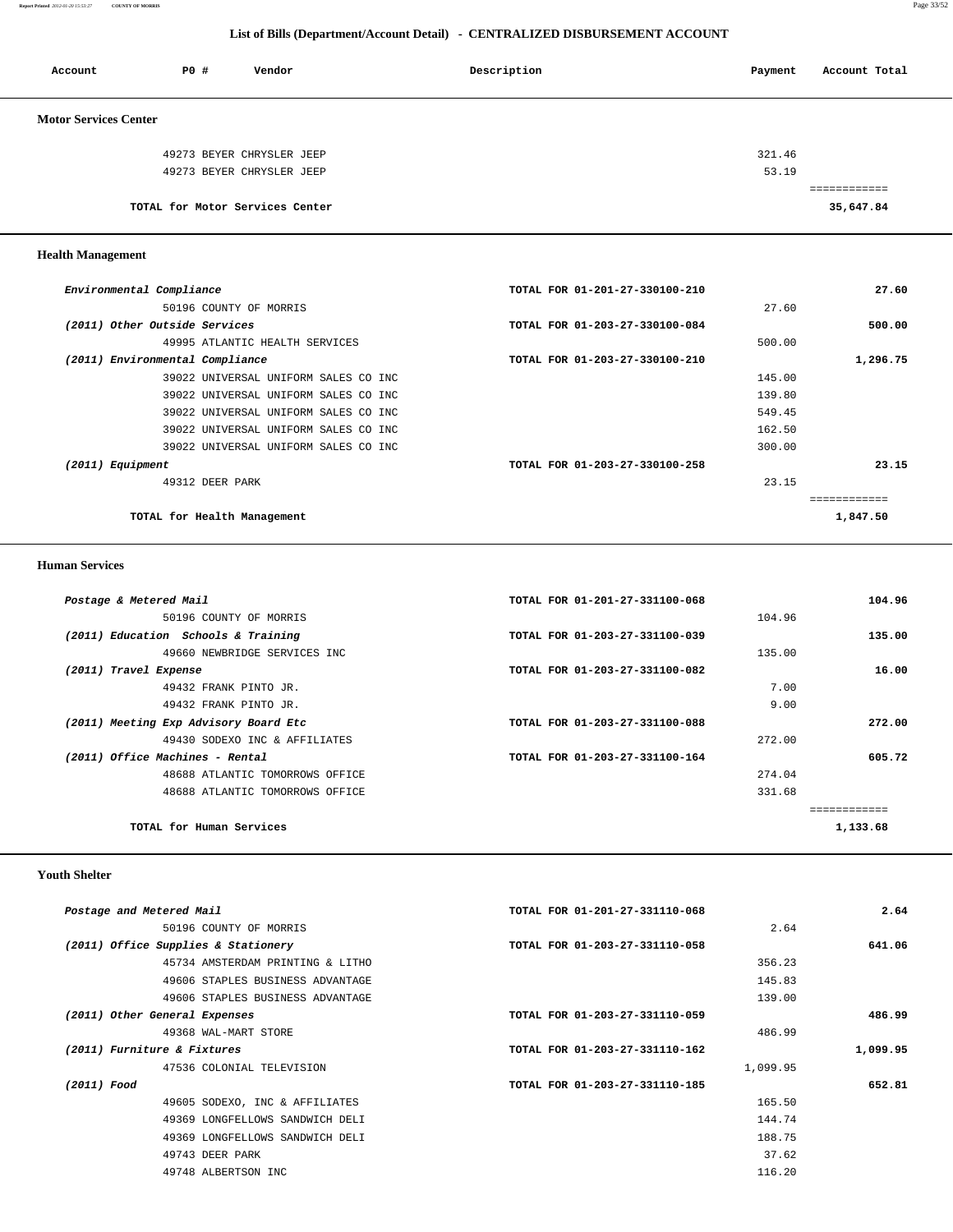**Report Printed** *2012-01-20 15:53:27* **COUNTY OF MORRIS** Page 33/52

## **List of Bills (Department/Account Detail) - CENTRALIZED DISBURSEMENT ACCOUNT**

| Account                      | PO# | Vendor                          | Description | Payment | Account Total |
|------------------------------|-----|---------------------------------|-------------|---------|---------------|
| <b>Motor Services Center</b> |     |                                 |             |         |               |
|                              |     | 49273 BEYER CHRYSLER JEEP       |             | 321.46  |               |
|                              |     | 49273 BEYER CHRYSLER JEEP       |             | 53.19   |               |
|                              |     |                                 |             |         | ----------    |
|                              |     | TOTAL for Motor Services Center |             |         | 35,647.84     |

 **Health Management** 

| Environmental Compliance        |                                      | TOTAL FOR 01-201-27-330100-210 | 27.60    |
|---------------------------------|--------------------------------------|--------------------------------|----------|
|                                 | 50196 COUNTY OF MORRIS               |                                | 27.60    |
| (2011) Other Outside Services   |                                      | TOTAL FOR 01-203-27-330100-084 | 500.00   |
|                                 | 49995 ATLANTIC HEALTH SERVICES       |                                | 500.00   |
| (2011) Environmental Compliance |                                      | TOTAL FOR 01-203-27-330100-210 | 1,296.75 |
|                                 | 39022 UNIVERSAL UNIFORM SALES CO INC |                                | 145.00   |
|                                 | 39022 UNIVERSAL UNIFORM SALES CO INC |                                | 139.80   |
|                                 | 39022 UNIVERSAL UNIFORM SALES CO INC |                                | 549.45   |
|                                 | 39022 UNIVERSAL UNIFORM SALES CO INC |                                | 162.50   |
|                                 | 39022 UNIVERSAL UNIFORM SALES CO INC |                                | 300.00   |
| (2011) Equipment                |                                      | TOTAL FOR 01-203-27-330100-258 | 23.15    |
|                                 | 49312 DEER PARK                      |                                | 23.15    |
|                                 |                                      |                                |          |
|                                 | TOTAL for Health Management          |                                | 1,847.50 |
|                                 |                                      |                                |          |

## **Human Services**

| Postage & Metered Mail                | TOTAL FOR 01-201-27-331100-068 | 104.96       |
|---------------------------------------|--------------------------------|--------------|
| 50196 COUNTY OF MORRIS                |                                | 104.96       |
| (2011) Education Schools & Training   | TOTAL FOR 01-203-27-331100-039 | 135.00       |
| 49660 NEWBRIDGE SERVICES INC          |                                | 135.00       |
| (2011) Travel Expense                 | TOTAL FOR 01-203-27-331100-082 | 16.00        |
| 49432 FRANK PINTO JR.                 |                                | 7.00         |
| 49432 FRANK PINTO JR.                 |                                | 9.00         |
| (2011) Meeting Exp Advisory Board Etc | TOTAL FOR 01-203-27-331100-088 | 272.00       |
| 49430 SODEXO INC & AFFILIATES         |                                | 272.00       |
| (2011) Office Machines - Rental       | TOTAL FOR 01-203-27-331100-164 | 605.72       |
| 48688 ATLANTIC TOMORROWS OFFICE       |                                | 274.04       |
| 48688 ATLANTIC TOMORROWS OFFICE       |                                | 331.68       |
|                                       |                                | ============ |
| TOTAL for Human Services              |                                | 1,133.68     |
|                                       |                                |              |

# **Youth Shelter**

| 2.64     |          | TOTAL FOR 01-201-27-331110-068 |                                  | Postage and Metered Mail            |
|----------|----------|--------------------------------|----------------------------------|-------------------------------------|
|          | 2.64     |                                | 50196 COUNTY OF MORRIS           |                                     |
| 641.06   |          | TOTAL FOR 01-203-27-331110-058 |                                  | (2011) Office Supplies & Stationery |
|          | 356.23   |                                | 45734 AMSTERDAM PRINTING & LITHO |                                     |
|          | 145.83   |                                | 49606 STAPLES BUSINESS ADVANTAGE |                                     |
|          | 139.00   |                                | 49606 STAPLES BUSINESS ADVANTAGE |                                     |
| 486.99   |          | TOTAL FOR 01-203-27-331110-059 |                                  | (2011) Other General Expenses       |
|          | 486.99   |                                | 49368 WAL-MART STORE             |                                     |
| 1,099.95 |          | TOTAL FOR 01-203-27-331110-162 |                                  | (2011) Furniture & Fixtures         |
|          | 1,099.95 |                                | 47536 COLONIAL TELEVISION        |                                     |
| 652.81   |          | TOTAL FOR 01-203-27-331110-185 |                                  | (2011) Food                         |
|          | 165.50   |                                | 49605 SODEXO, INC & AFFILIATES   |                                     |
|          | 144.74   |                                | 49369 LONGFELLOWS SANDWICH DELI  |                                     |
|          | 188.75   |                                | 49369 LONGFELLOWS SANDWICH DELI  |                                     |
|          | 37.62    |                                | 49743 DEER PARK                  |                                     |
|          | 116.20   |                                | 49748 ALBERTSON INC              |                                     |
|          |          |                                |                                  |                                     |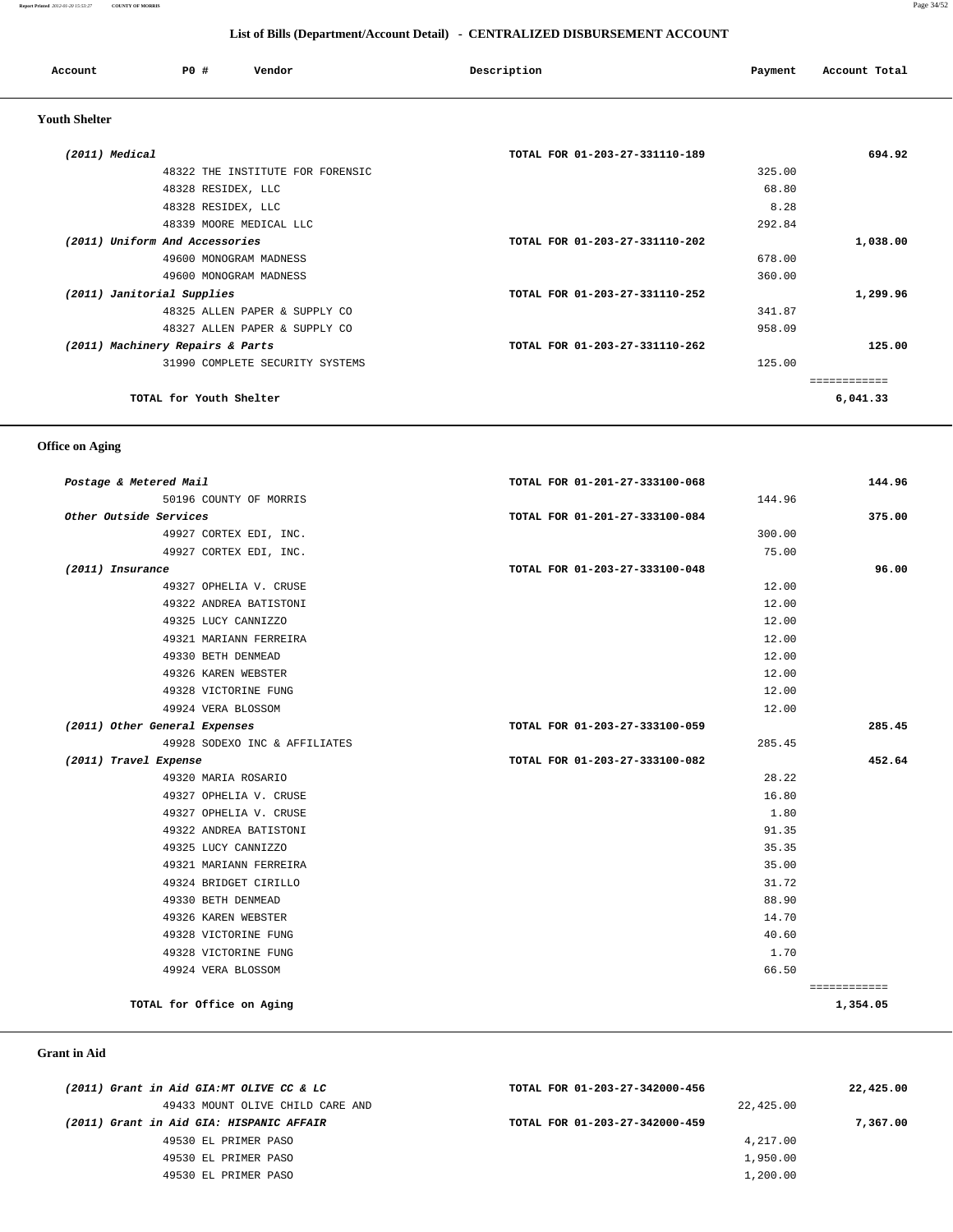#### **Report Printed** *2012-01-20 15:53:27* **COUNTY OF MORRIS** Page 34/52

| List of Bills (Department/Account Detail) - CENTRALIZED DISBURSEMENT ACCOUNT |                    |                                  |                                |         |               |
|------------------------------------------------------------------------------|--------------------|----------------------------------|--------------------------------|---------|---------------|
| Account                                                                      | PO#                | Vendor                           | Description                    | Payment | Account Total |
| <b>Youth Shelter</b>                                                         |                    |                                  |                                |         |               |
| (2011) Medical                                                               |                    |                                  | TOTAL FOR 01-203-27-331110-189 |         | 694.92        |
|                                                                              |                    | 48322 THE INSTITUTE FOR FORENSIC |                                | 325.00  |               |
|                                                                              | 48328 RESIDEX, LLC |                                  |                                | 68.80   |               |
|                                                                              | 48328 RESIDEX, LLC |                                  |                                | 8.28    |               |
|                                                                              |                    | 48339 MOORE MEDICAL LLC          |                                | 292.84  |               |
| (2011) Uniform And Accessories                                               |                    |                                  | TOTAL FOR 01-203-27-331110-202 |         | 1,038.00      |
|                                                                              |                    | 49600 MONOGRAM MADNESS           |                                | 678.00  |               |
|                                                                              |                    | 49600 MONOGRAM MADNESS           |                                | 360.00  |               |
| (2011) Janitorial Supplies                                                   |                    |                                  | TOTAL FOR 01-203-27-331110-252 |         | 1,299.96      |
|                                                                              |                    | 48325 ALLEN PAPER & SUPPLY CO    |                                | 341.87  |               |
|                                                                              |                    | 48327 ALLEN PAPER & SUPPLY CO    |                                | 958.09  |               |

 **(2011) Machinery Repairs & Parts TOTAL FOR 01-203-27-331110-262 125.00** 31990 COMPLETE SECURITY SYSTEMS 125.00

============

**TOTAL for Youth Shelter 6,041.33**

## **Office on Aging**

| Postage & Metered Mail        |                               | TOTAL FOR 01-201-27-333100-068 |        | 144.96       |
|-------------------------------|-------------------------------|--------------------------------|--------|--------------|
|                               | 50196 COUNTY OF MORRIS        |                                | 144.96 |              |
| Other Outside Services        |                               | TOTAL FOR 01-201-27-333100-084 |        | 375.00       |
|                               | 49927 CORTEX EDI, INC.        |                                | 300.00 |              |
|                               | 49927 CORTEX EDI, INC.        |                                | 75.00  |              |
| (2011) Insurance              |                               | TOTAL FOR 01-203-27-333100-048 |        | 96.00        |
|                               | 49327 OPHELIA V. CRUSE        |                                | 12.00  |              |
|                               | 49322 ANDREA BATISTONI        |                                | 12.00  |              |
|                               | 49325 LUCY CANNIZZO           |                                | 12.00  |              |
|                               | 49321 MARIANN FERREIRA        |                                | 12.00  |              |
|                               | 49330 BETH DENMEAD            |                                | 12.00  |              |
|                               | 49326 KAREN WEBSTER           |                                | 12.00  |              |
|                               | 49328 VICTORINE FUNG          |                                | 12.00  |              |
|                               | 49924 VERA BLOSSOM            |                                | 12.00  |              |
| (2011) Other General Expenses |                               | TOTAL FOR 01-203-27-333100-059 |        | 285.45       |
|                               | 49928 SODEXO INC & AFFILIATES |                                | 285.45 |              |
| (2011) Travel Expense         |                               | TOTAL FOR 01-203-27-333100-082 |        | 452.64       |
|                               | 49320 MARIA ROSARIO           |                                | 28.22  |              |
|                               | 49327 OPHELIA V. CRUSE        |                                | 16.80  |              |
|                               | 49327 OPHELIA V. CRUSE        |                                | 1.80   |              |
|                               | 49322 ANDREA BATISTONI        |                                | 91.35  |              |
|                               | 49325 LUCY CANNIZZO           |                                | 35.35  |              |
|                               | 49321 MARIANN FERREIRA        |                                | 35.00  |              |
|                               | 49324 BRIDGET CIRILLO         |                                | 31.72  |              |
|                               | 49330 BETH DENMEAD            |                                | 88.90  |              |
|                               | 49326 KAREN WEBSTER           |                                | 14.70  |              |
|                               | 49328 VICTORINE FUNG          |                                | 40.60  |              |
|                               | 49328 VICTORINE FUNG          |                                | 1.70   |              |
|                               | 49924 VERA BLOSSOM            |                                | 66.50  |              |
|                               |                               |                                |        | ============ |
|                               | TOTAL for Office on Aging     |                                |        | 1,354.05     |

 **Grant in Aid** 

| (2011) Grant in Aid GIA:MT OLIVE CC & LC | TOTAL FOR 01-203-27-342000-456 | 22,425.00 |
|------------------------------------------|--------------------------------|-----------|
| 49433 MOUNT OLIVE CHILD CARE AND         |                                | 22,425.00 |
| (2011) Grant in Aid GIA: HISPANIC AFFAIR | TOTAL FOR 01-203-27-342000-459 | 7,367.00  |
| 49530 EL PRIMER PASO                     |                                | 4,217.00  |
| 49530 EL PRIMER PASO                     |                                | 1,950.00  |
| 49530 EL PRIMER PASO                     |                                | 1,200.00  |
|                                          |                                |           |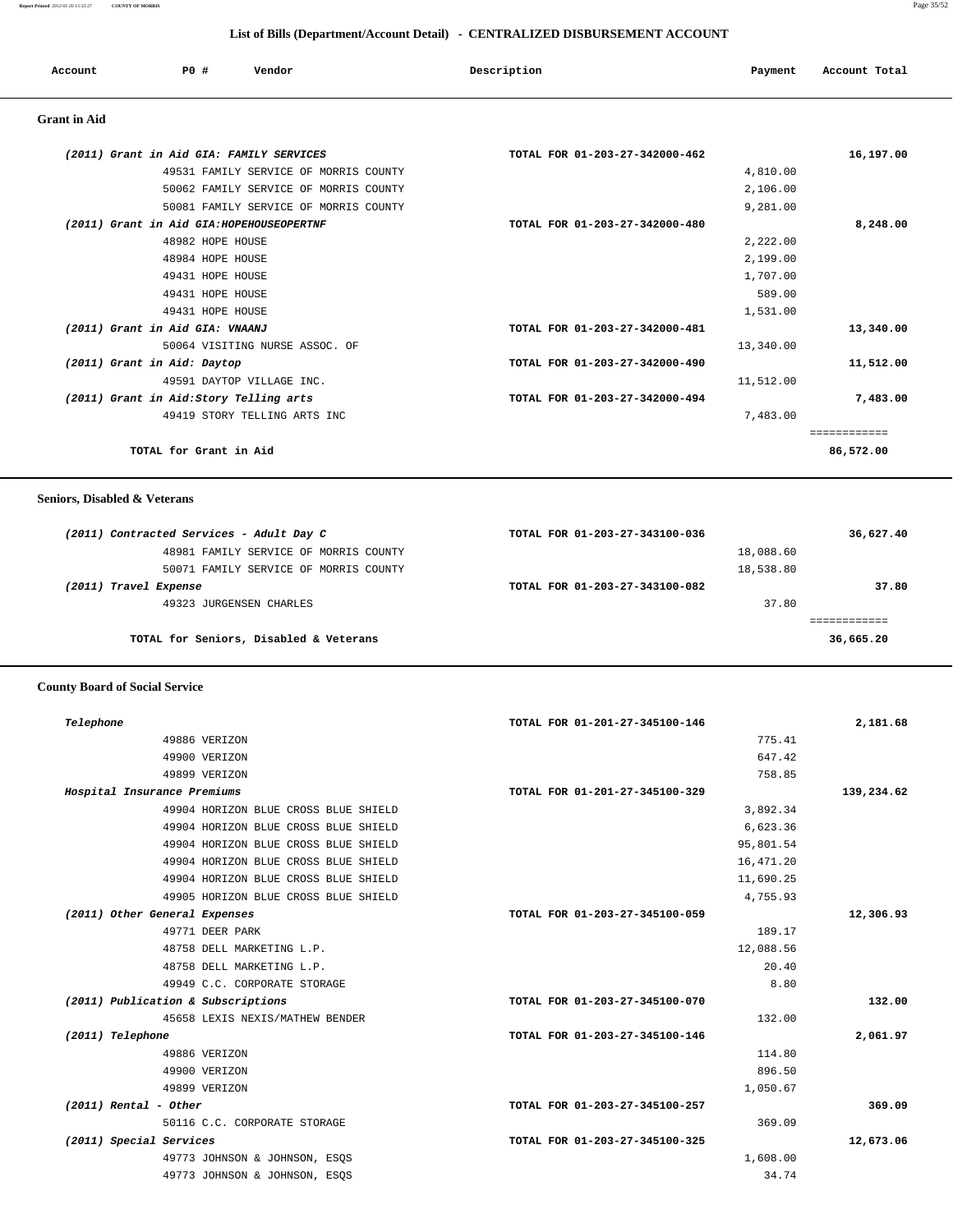**Report Printed** *2012-01-20 15:53:27* **COUNTY OF MORRIS** Page 35/52

## **List of Bills (Department/Account Detail) - CENTRALIZED DISBURSEMENT ACCOUNT**

| Account             | PO#              | Vendor                                    | Description                    | Payment  | Account Total |
|---------------------|------------------|-------------------------------------------|--------------------------------|----------|---------------|
| <b>Grant</b> in Aid |                  |                                           |                                |          |               |
|                     |                  | (2011) Grant in Aid GIA: FAMILY SERVICES  | TOTAL FOR 01-203-27-342000-462 |          | 16,197.00     |
|                     |                  | 49531 FAMILY SERVICE OF MORRIS COUNTY     |                                | 4,810.00 |               |
|                     |                  | 50062 FAMILY SERVICE OF MORRIS COUNTY     |                                | 2,106.00 |               |
|                     |                  | 50081 FAMILY SERVICE OF MORRIS COUNTY     |                                | 9,281.00 |               |
|                     |                  | (2011) Grant in Aid GIA: HOPEHOUSEOPERTNF | TOTAL FOR 01-203-27-342000-480 |          | 8,248.00      |
|                     | 48982 HOPE HOUSE |                                           |                                | 2,222.00 |               |

| 48984 HOPE HOUSE                       | 2,199.00                                    |
|----------------------------------------|---------------------------------------------|
| 49431 HOPE HOUSE                       | 1,707.00                                    |
| 49431 HOPE HOUSE                       | 589.00                                      |
| 49431 HOPE HOUSE                       | 1,531.00                                    |
| (2011) Grant in Aid GIA: VNAANJ        | 13,340.00<br>TOTAL FOR 01-203-27-342000-481 |
| 50064 VISITING NURSE ASSOC. OF         | 13,340.00                                   |
| (2011) Grant in Aid: Daytop            | TOTAL FOR 01-203-27-342000-490<br>11,512.00 |
| 49591 DAYTOP VILLAGE INC.              | 11,512.00                                   |
| (2011) Grant in Aid:Story Telling arts | TOTAL FOR 01-203-27-342000-494<br>7,483.00  |
| 49419 STORY TELLING ARTS INC           | 7,483.00                                    |
|                                        |                                             |
| TOTAL for Grant in Aid                 | 86,572.00                                   |

 **Seniors, Disabled & Veterans**

| (2011) Contracted Services - Adult Day C | TOTAL FOR 01-203-27-343100-036 | 36,627.40 |
|------------------------------------------|--------------------------------|-----------|
| 48981 FAMILY SERVICE OF MORRIS COUNTY    | 18,088.60                      |           |
| 50071 FAMILY SERVICE OF MORRIS COUNTY    | 18,538.80                      |           |
| (2011) Travel Expense                    | TOTAL FOR 01-203-27-343100-082 | 37.80     |
| 49323 JURGENSEN CHARLES                  | 37.80                          |           |
|                                          |                                |           |
| TOTAL for Seniors, Disabled & Veterans   |                                | 36,665.20 |
|                                          |                                |           |

## **County Board of Social Service**

| 2,181.68   | TOTAL FOR 01-201-27-345100-146 |                                      | Telephone                          |
|------------|--------------------------------|--------------------------------------|------------------------------------|
|            | 775.41                         | 49886 VERIZON                        |                                    |
|            | 647.42                         | 49900 VERIZON                        |                                    |
|            | 758.85                         | 49899 VERIZON                        |                                    |
| 139,234.62 | TOTAL FOR 01-201-27-345100-329 |                                      | Hospital Insurance Premiums        |
|            | 3,892.34                       | 49904 HORIZON BLUE CROSS BLUE SHIELD |                                    |
|            | 6,623.36                       | 49904 HORIZON BLUE CROSS BLUE SHIELD |                                    |
|            | 95,801.54                      | 49904 HORIZON BLUE CROSS BLUE SHIELD |                                    |
|            | 16, 471.20                     | 49904 HORIZON BLUE CROSS BLUE SHIELD |                                    |
|            | 11,690.25                      | 49904 HORIZON BLUE CROSS BLUE SHIELD |                                    |
|            | 4,755.93                       | 49905 HORIZON BLUE CROSS BLUE SHIELD |                                    |
| 12,306.93  | TOTAL FOR 01-203-27-345100-059 |                                      | (2011) Other General Expenses      |
|            | 189.17                         | 49771 DEER PARK                      |                                    |
|            | 12,088.56                      | 48758 DELL MARKETING L.P.            |                                    |
|            | 20.40                          | 48758 DELL MARKETING L.P.            |                                    |
|            | 8.80                           | 49949 C.C. CORPORATE STORAGE         |                                    |
| 132.00     | TOTAL FOR 01-203-27-345100-070 |                                      | (2011) Publication & Subscriptions |
|            | 132.00                         | 45658 LEXIS NEXIS/MATHEW BENDER      |                                    |
| 2,061.97   | TOTAL FOR 01-203-27-345100-146 |                                      | (2011) Telephone                   |
|            | 114.80                         | 49886 VERIZON                        |                                    |
|            | 896.50                         | 49900 VERIZON                        |                                    |
|            | 1,050.67                       | 49899 VERIZON                        |                                    |
| 369.09     | TOTAL FOR 01-203-27-345100-257 |                                      | $(2011)$ Rental - Other            |
|            | 369.09                         | 50116 C.C. CORPORATE STORAGE         |                                    |
| 12,673.06  | TOTAL FOR 01-203-27-345100-325 |                                      | (2011) Special Services            |
|            | 1,608.00                       | 49773 JOHNSON & JOHNSON, ESQS        |                                    |
|            | 34.74                          | 49773 JOHNSON & JOHNSON, ESQS        |                                    |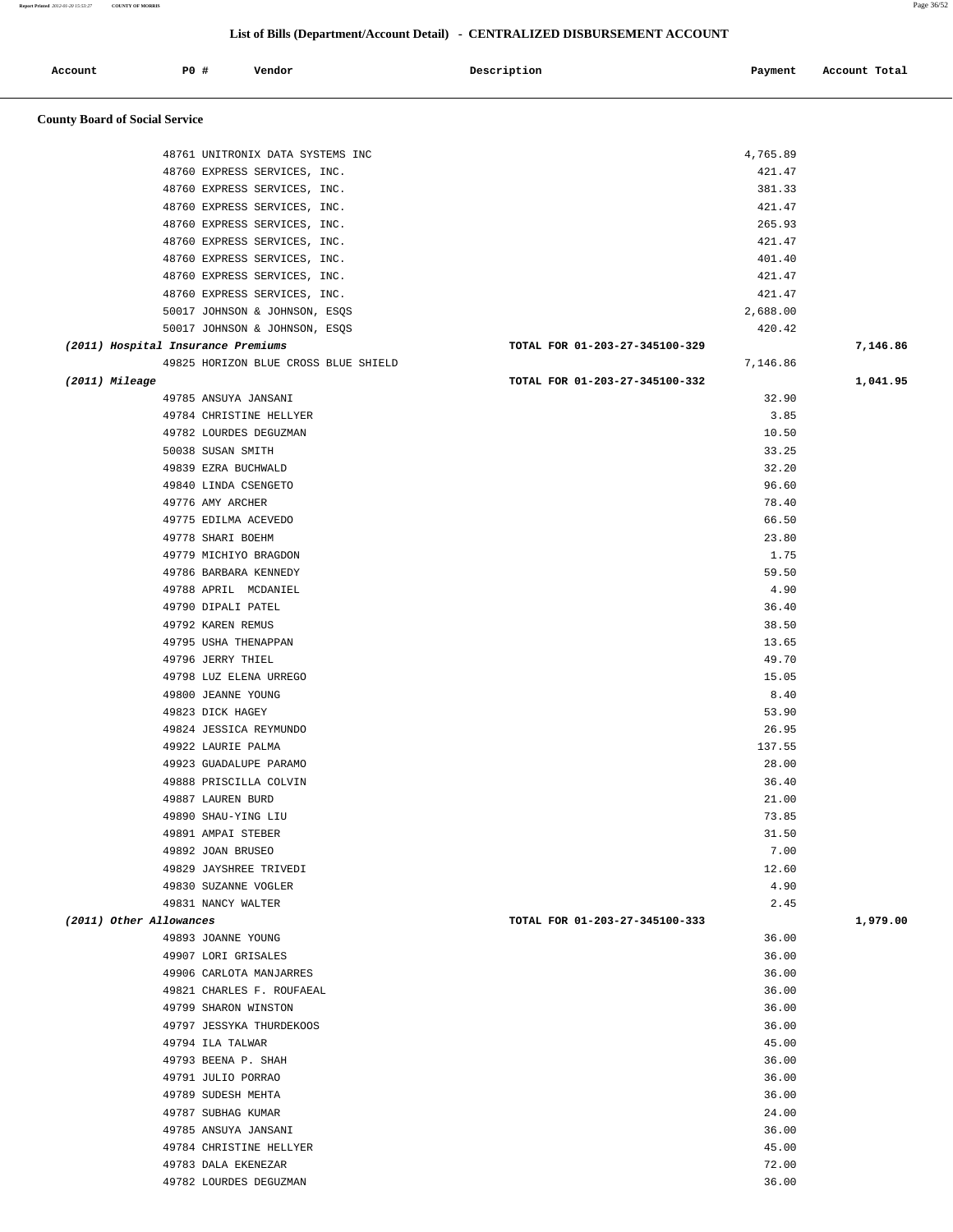| Report Printed 2012-01-20 15:53:27<br><b>COUNTY OF MORRIS</b> |                                    |                                                              |                                                                              |                  | Page 36/52    |
|---------------------------------------------------------------|------------------------------------|--------------------------------------------------------------|------------------------------------------------------------------------------|------------------|---------------|
|                                                               |                                    |                                                              |                                                                              |                  |               |
|                                                               |                                    |                                                              | List of Bills (Department/Account Detail) - CENTRALIZED DISBURSEMENT ACCOUNT |                  |               |
|                                                               | <b>PO #</b>                        |                                                              |                                                                              |                  |               |
| Account                                                       |                                    | Vendor                                                       | Description                                                                  | Payment          | Account Total |
|                                                               |                                    |                                                              |                                                                              |                  |               |
| <b>County Board of Social Service</b>                         |                                    |                                                              |                                                                              |                  |               |
|                                                               |                                    |                                                              |                                                                              |                  |               |
|                                                               |                                    | 48761 UNITRONIX DATA SYSTEMS INC                             |                                                                              | 4,765.89         |               |
|                                                               |                                    | 48760 EXPRESS SERVICES, INC.                                 |                                                                              | 421.47           |               |
|                                                               |                                    | 48760 EXPRESS SERVICES, INC.                                 |                                                                              | 381.33           |               |
|                                                               |                                    | 48760 EXPRESS SERVICES, INC.                                 |                                                                              | 421.47           |               |
|                                                               |                                    | 48760 EXPRESS SERVICES, INC.                                 |                                                                              | 265.93           |               |
|                                                               |                                    | 48760 EXPRESS SERVICES, INC.                                 |                                                                              | 421.47           |               |
|                                                               |                                    | 48760 EXPRESS SERVICES, INC.                                 |                                                                              | 401.40<br>421.47 |               |
|                                                               |                                    | 48760 EXPRESS SERVICES, INC.<br>48760 EXPRESS SERVICES, INC. |                                                                              | 421.47           |               |
|                                                               |                                    | 50017 JOHNSON & JOHNSON, ESQS                                |                                                                              | 2,688.00         |               |
|                                                               |                                    | 50017 JOHNSON & JOHNSON, ESQS                                |                                                                              | 420.42           |               |
|                                                               | (2011) Hospital Insurance Premiums |                                                              | TOTAL FOR 01-203-27-345100-329                                               |                  | 7,146.86      |
|                                                               |                                    | 49825 HORIZON BLUE CROSS BLUE SHIELD                         |                                                                              | 7,146.86         |               |
| (2011) Mileage                                                |                                    |                                                              | TOTAL FOR 01-203-27-345100-332                                               |                  | 1,041.95      |
|                                                               |                                    | 49785 ANSUYA JANSANI                                         |                                                                              | 32.90            |               |
|                                                               |                                    | 49784 CHRISTINE HELLYER                                      |                                                                              | 3.85             |               |
|                                                               |                                    | 49782 LOURDES DEGUZMAN                                       |                                                                              | 10.50            |               |
|                                                               | 50038 SUSAN SMITH                  |                                                              |                                                                              | 33.25            |               |
|                                                               | 49839 EZRA BUCHWALD                |                                                              |                                                                              | 32.20            |               |
|                                                               |                                    | 49840 LINDA CSENGETO                                         |                                                                              | 96.60            |               |
|                                                               | 49776 AMY ARCHER                   |                                                              |                                                                              | 78.40            |               |
|                                                               |                                    | 49775 EDILMA ACEVEDO                                         |                                                                              | 66.50            |               |
|                                                               | 49778 SHARI BOEHM                  |                                                              |                                                                              | 23.80            |               |
|                                                               |                                    | 49779 MICHIYO BRAGDON                                        |                                                                              | 1.75             |               |
|                                                               |                                    | 49786 BARBARA KENNEDY                                        |                                                                              | 59.50            |               |
|                                                               |                                    | 49788 APRIL MCDANIEL                                         |                                                                              | 4.90             |               |
|                                                               | 49790 DIPALI PATEL                 |                                                              |                                                                              | 36.40            |               |
|                                                               | 49792 KAREN REMUS                  |                                                              |                                                                              | 38.50            |               |
|                                                               | 49796 JERRY THIEL                  | 49795 USHA THENAPPAN                                         |                                                                              | 13.65<br>49.70   |               |
|                                                               |                                    | 49798 LUZ ELENA URREGO                                       |                                                                              | 15.05            |               |
|                                                               | 49800 JEANNE YOUNG                 |                                                              |                                                                              | 8.40             |               |
|                                                               | 49823 DICK HAGEY                   |                                                              |                                                                              | 53.90            |               |
|                                                               |                                    | 49824 JESSICA REYMUNDO                                       |                                                                              | 26.95            |               |
|                                                               | 49922 LAURIE PALMA                 |                                                              |                                                                              | 137.55           |               |
|                                                               |                                    | 49923 GUADALUPE PARAMO                                       |                                                                              | 28.00            |               |
|                                                               |                                    | 49888 PRISCILLA COLVIN                                       |                                                                              | 36.40            |               |
|                                                               | 49887 LAUREN BURD                  |                                                              |                                                                              | 21.00            |               |
|                                                               | 49890 SHAU-YING LIU                |                                                              |                                                                              | 73.85            |               |
|                                                               | 49891 AMPAI STEBER                 |                                                              |                                                                              | 31.50            |               |
|                                                               | 49892 JOAN BRUSEO                  |                                                              |                                                                              | 7.00             |               |
|                                                               |                                    | 49829 JAYSHREE TRIVEDI                                       |                                                                              | 12.60            |               |
|                                                               |                                    | 49830 SUZANNE VOGLER                                         |                                                                              | 4.90             |               |
|                                                               | 49831 NANCY WALTER                 |                                                              |                                                                              | 2.45             |               |
|                                                               | (2011) Other Allowances            |                                                              | TOTAL FOR 01-203-27-345100-333                                               |                  | 1,979.00      |
|                                                               | 49893 JOANNE YOUNG                 |                                                              |                                                                              | 36.00            |               |
|                                                               | 49907 LORI GRISALES                |                                                              |                                                                              | 36.00            |               |
|                                                               |                                    | 49906 CARLOTA MANJARRES                                      |                                                                              | 36.00            |               |
|                                                               |                                    | 49821 CHARLES F. ROUFAEAL                                    |                                                                              | 36.00            |               |
|                                                               |                                    | 49799 SHARON WINSTON                                         |                                                                              | 36.00            |               |
|                                                               | 49794 ILA TALWAR                   | 49797 JESSYKA THURDEKOOS                                     |                                                                              | 36.00<br>45.00   |               |
|                                                               | 49793 BEENA P. SHAH                |                                                              |                                                                              | 36.00            |               |
|                                                               | 49791 JULIO PORRAO                 |                                                              |                                                                              | 36.00            |               |
|                                                               |                                    |                                                              |                                                                              |                  |               |

 49789 SUDESH MEHTA 36.00 49787 SUBHAG KUMAR 24.00 49785 ANSUYA JANSANI 36.00 49784 CHRISTINE HELLYER 45.00 49783 DALA EKENEZAR 72.00 49782 LOURDES DEGUZMAN 36.00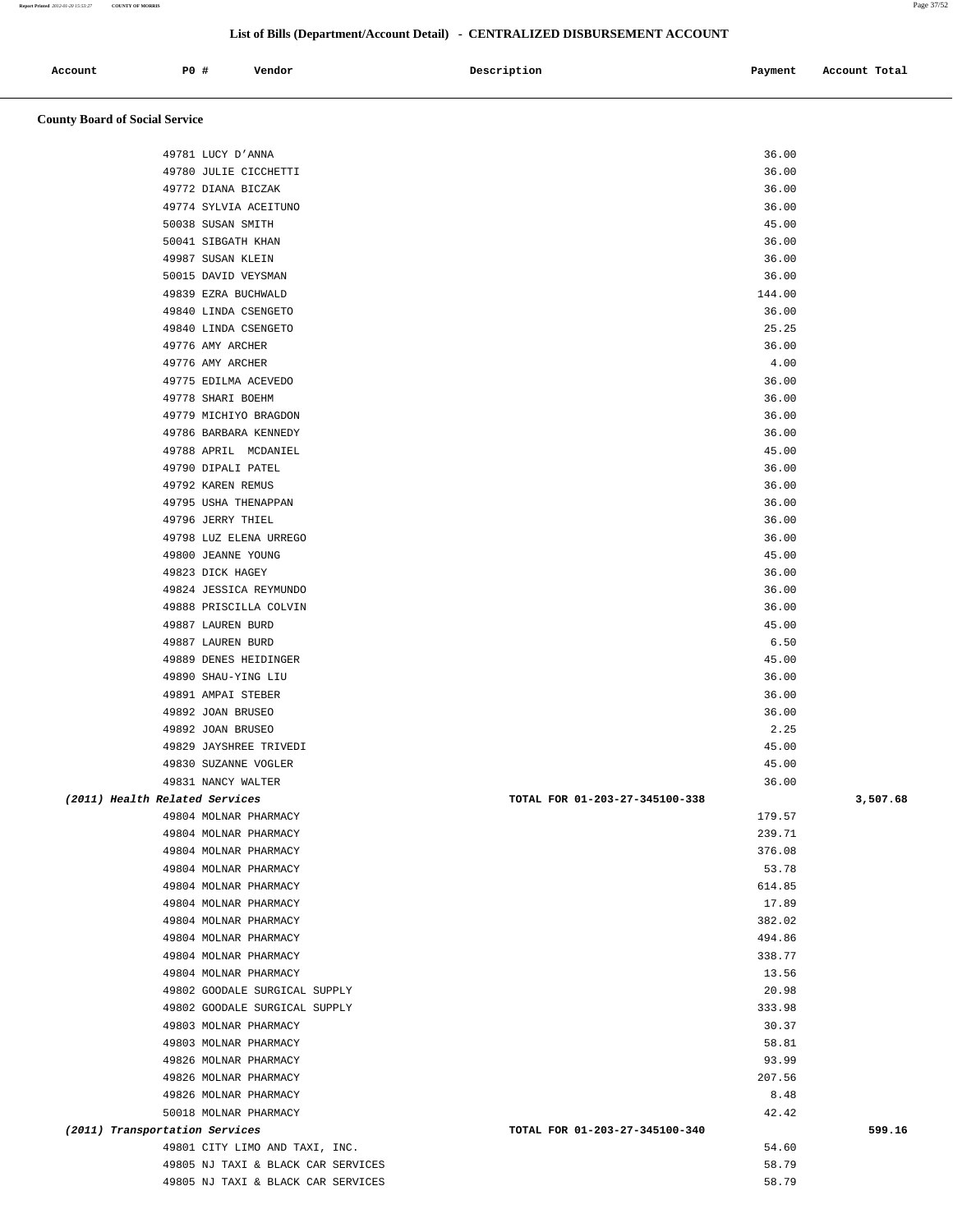| Account | <b>PO#</b> | Vendor | Description | Payment | Account Total |
|---------|------------|--------|-------------|---------|---------------|
|         |            |        |             |         |               |

# **County Board of Social Service**

| 49781 LUCY D'ANNA                  |                                | 36.00  |          |
|------------------------------------|--------------------------------|--------|----------|
| 49780 JULIE CICCHETTI              |                                | 36.00  |          |
| 49772 DIANA BICZAK                 |                                | 36.00  |          |
| 49774 SYLVIA ACEITUNO              |                                | 36.00  |          |
| 50038 SUSAN SMITH                  |                                | 45.00  |          |
| 50041 SIBGATH KHAN                 |                                | 36.00  |          |
| 49987 SUSAN KLEIN                  |                                | 36.00  |          |
| 50015 DAVID VEYSMAN                |                                | 36.00  |          |
| 49839 EZRA BUCHWALD                |                                | 144.00 |          |
| 49840 LINDA CSENGETO               |                                | 36.00  |          |
| 49840 LINDA CSENGETO               |                                | 25.25  |          |
| 49776 AMY ARCHER                   |                                | 36.00  |          |
| 49776 AMY ARCHER                   |                                | 4.00   |          |
| 49775 EDILMA ACEVEDO               |                                | 36.00  |          |
| 49778 SHARI BOEHM                  |                                | 36.00  |          |
| 49779 MICHIYO BRAGDON              |                                | 36.00  |          |
| 49786 BARBARA KENNEDY              |                                | 36.00  |          |
| 49788 APRIL MCDANIEL               |                                | 45.00  |          |
| 49790 DIPALI PATEL                 |                                | 36.00  |          |
| 49792 KAREN REMUS                  |                                | 36.00  |          |
| 49795 USHA THENAPPAN               |                                | 36.00  |          |
| 49796 JERRY THIEL                  |                                | 36.00  |          |
| 49798 LUZ ELENA URREGO             |                                | 36.00  |          |
| 49800 JEANNE YOUNG                 |                                | 45.00  |          |
| 49823 DICK HAGEY                   |                                | 36.00  |          |
| 49824 JESSICA REYMUNDO             |                                | 36.00  |          |
| 49888 PRISCILLA COLVIN             |                                | 36.00  |          |
| 49887 LAUREN BURD                  |                                | 45.00  |          |
| 49887 LAUREN BURD                  |                                | 6.50   |          |
| 49889 DENES HEIDINGER              |                                | 45.00  |          |
| 49890 SHAU-YING LIU                |                                | 36.00  |          |
| 49891 AMPAI STEBER                 |                                | 36.00  |          |
| 49892 JOAN BRUSEO                  |                                | 36.00  |          |
| 49892 JOAN BRUSEO                  |                                | 2.25   |          |
| 49829 JAYSHREE TRIVEDI             |                                | 45.00  |          |
| 49830 SUZANNE VOGLER               |                                | 45.00  |          |
| 49831 NANCY WALTER                 |                                | 36.00  |          |
| (2011) Health Related Services     | TOTAL FOR 01-203-27-345100-338 |        | 3,507.68 |
| 49804 MOLNAR PHARMACY              |                                | 179.57 |          |
| 49804 MOLNAR PHARMACY              |                                | 239.71 |          |
| 49804 MOLNAR PHARMACY              |                                | 376.08 |          |
| 49804 MOLNAR PHARMACY              |                                | 53.78  |          |
| 49804 MOLNAR PHARMACY              |                                | 614.85 |          |
| 49804 MOLNAR PHARMACY              |                                | 17.89  |          |
| 49804 MOLNAR PHARMACY              |                                | 382.02 |          |
| 49804 MOLNAR PHARMACY              |                                | 494.86 |          |
| 49804 MOLNAR PHARMACY              |                                | 338.77 |          |
| 49804 MOLNAR PHARMACY              |                                | 13.56  |          |
| 49802 GOODALE SURGICAL SUPPLY      |                                | 20.98  |          |
| 49802 GOODALE SURGICAL SUPPLY      |                                | 333.98 |          |
| 49803 MOLNAR PHARMACY              |                                | 30.37  |          |
| 49803 MOLNAR PHARMACY              |                                | 58.81  |          |
| 49826 MOLNAR PHARMACY              |                                | 93.99  |          |
| 49826 MOLNAR PHARMACY              |                                | 207.56 |          |
| 49826 MOLNAR PHARMACY              |                                | 8.48   |          |
| 50018 MOLNAR PHARMACY              |                                | 42.42  |          |
| (2011) Transportation Services     | TOTAL FOR 01-203-27-345100-340 |        | 599.16   |
| 49801 CITY LIMO AND TAXI, INC.     |                                | 54.60  |          |
| 49805 NJ TAXI & BLACK CAR SERVICES |                                | 58.79  |          |
| 49805 NJ TAXI & BLACK CAR SERVICES |                                | 58.79  |          |
|                                    |                                |        |          |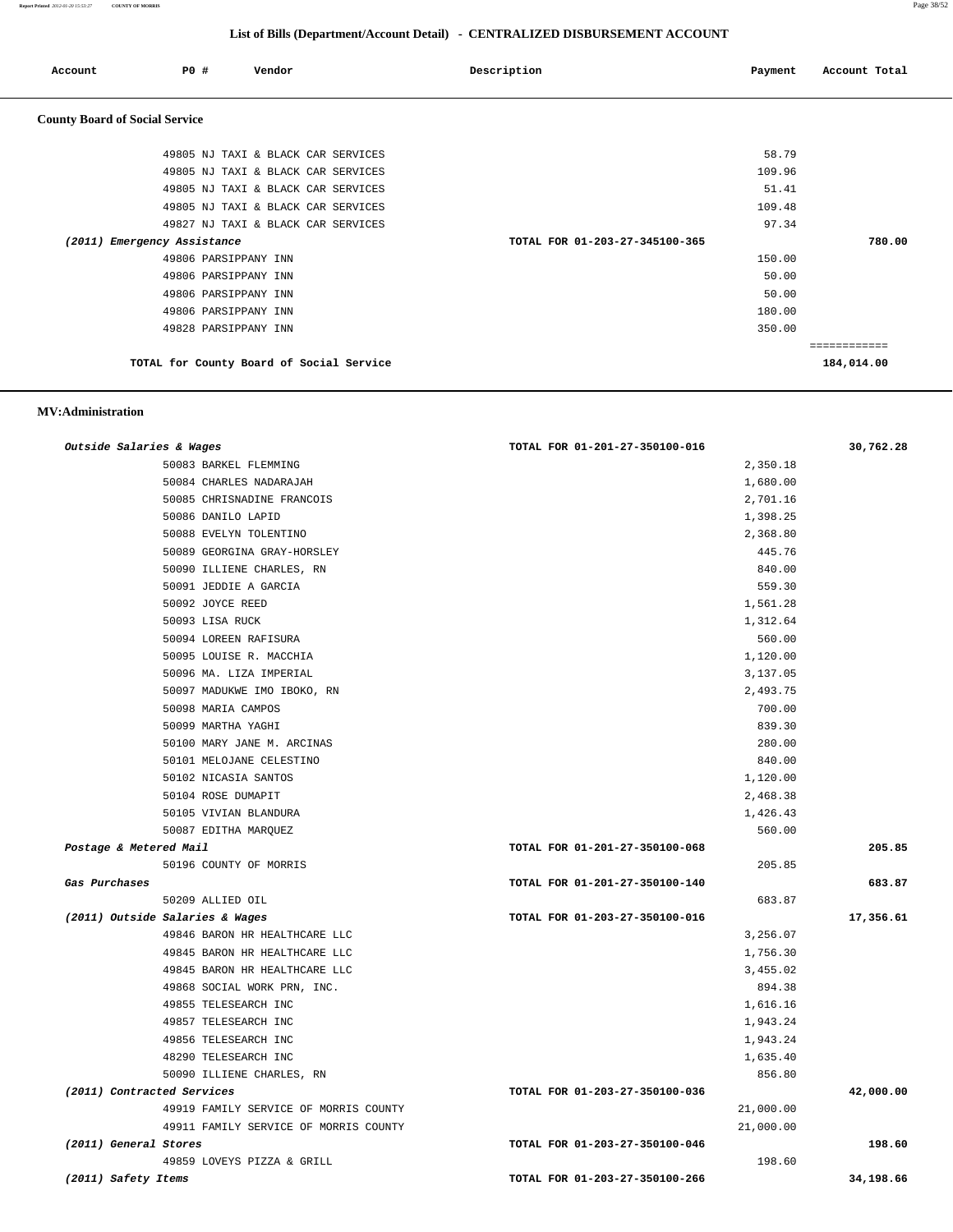**Report Printed** *2012-01-20 15:53:27* **COUNTY OF MORRIS** Page 38/52

## **List of Bills (Department/Account Detail) - CENTRALIZED DISBURSEMENT ACCOUNT**

| Account                               | P0 # | Vendor                                   | Description                    | Payment | Account Total              |
|---------------------------------------|------|------------------------------------------|--------------------------------|---------|----------------------------|
| <b>County Board of Social Service</b> |      |                                          |                                |         |                            |
|                                       |      | 49805 NJ TAXI & BLACK CAR SERVICES       |                                | 58.79   |                            |
|                                       |      | 49805 NJ TAXI & BLACK CAR SERVICES       |                                | 109.96  |                            |
|                                       |      | 49805 NJ TAXI & BLACK CAR SERVICES       |                                | 51.41   |                            |
|                                       |      | 49805 NJ TAXI & BLACK CAR SERVICES       |                                | 109.48  |                            |
|                                       |      | 49827 NJ TAXI & BLACK CAR SERVICES       |                                | 97.34   |                            |
| (2011) Emergency Assistance           |      |                                          | TOTAL FOR 01-203-27-345100-365 |         | 780.00                     |
|                                       |      | 49806 PARSIPPANY INN                     |                                | 150.00  |                            |
|                                       |      | 49806 PARSIPPANY INN                     |                                | 50.00   |                            |
|                                       |      | 49806 PARSIPPANY INN                     |                                | 50.00   |                            |
|                                       |      | 49806 PARSIPPANY INN                     |                                | 180.00  |                            |
|                                       |      | 49828 PARSIPPANY INN                     |                                | 350.00  |                            |
|                                       |      | TOTAL for County Board of Social Service |                                |         | ============<br>184,014.00 |

## **MV:Administration**

| Outside Salaries & Wages              | TOTAL FOR 01-201-27-350100-016 | 30,762.28 |
|---------------------------------------|--------------------------------|-----------|
| 50083 BARKEL FLEMMING                 | 2,350.18                       |           |
| 50084 CHARLES NADARAJAH               | 1,680.00                       |           |
| 50085 CHRISNADINE FRANCOIS            | 2,701.16                       |           |
| 50086 DANILO LAPID                    | 1,398.25                       |           |
| 50088 EVELYN TOLENTINO                | 2,368.80                       |           |
| 50089 GEORGINA GRAY-HORSLEY           | 445.76                         |           |
| 50090 ILLIENE CHARLES, RN             | 840.00                         |           |
| 50091 JEDDIE A GARCIA                 | 559.30                         |           |
| 50092 JOYCE REED                      | 1,561.28                       |           |
| 50093 LISA RUCK                       | 1,312.64                       |           |
| 50094 LOREEN RAFISURA                 | 560.00                         |           |
| 50095 LOUISE R. MACCHIA               | 1,120.00                       |           |
| 50096 MA. LIZA IMPERIAL               | 3,137.05                       |           |
| 50097 MADUKWE IMO IBOKO, RN           | 2,493.75                       |           |
| 50098 MARIA CAMPOS                    | 700.00                         |           |
| 50099 MARTHA YAGHI                    | 839.30                         |           |
| 50100 MARY JANE M. ARCINAS            | 280.00                         |           |
| 50101 MELOJANE CELESTINO              | 840.00                         |           |
| 50102 NICASIA SANTOS                  | 1,120.00                       |           |
| 50104 ROSE DUMAPIT                    | 2,468.38                       |           |
| 50105 VIVIAN BLANDURA                 | 1,426.43                       |           |
| 50087 EDITHA MARQUEZ                  | 560.00                         |           |
| Postage & Metered Mail                | TOTAL FOR 01-201-27-350100-068 | 205.85    |
| 50196 COUNTY OF MORRIS                | 205.85                         |           |
| Gas Purchases                         | TOTAL FOR 01-201-27-350100-140 | 683.87    |
| 50209 ALLIED OIL                      | 683.87                         |           |
| (2011) Outside Salaries & Wages       | TOTAL FOR 01-203-27-350100-016 | 17,356.61 |
| 49846 BARON HR HEALTHCARE LLC         | 3,256.07                       |           |
| 49845 BARON HR HEALTHCARE LLC         | 1,756.30                       |           |
| 49845 BARON HR HEALTHCARE LLC         | 3,455.02                       |           |
| 49868 SOCIAL WORK PRN, INC.           | 894.38                         |           |
| 49855 TELESEARCH INC                  | 1,616.16                       |           |
| 49857 TELESEARCH INC                  | 1,943.24                       |           |
| 49856 TELESEARCH INC                  | 1,943.24                       |           |
| 48290 TELESEARCH INC                  | 1,635.40                       |           |
| 50090 ILLIENE CHARLES, RN             | 856.80                         |           |
| (2011) Contracted Services            | TOTAL FOR 01-203-27-350100-036 | 42,000.00 |
| 49919 FAMILY SERVICE OF MORRIS COUNTY | 21,000.00                      |           |
| 49911 FAMILY SERVICE OF MORRIS COUNTY | 21,000.00                      |           |
| (2011) General Stores                 | TOTAL FOR 01-203-27-350100-046 | 198.60    |
| 49859 LOVEYS PIZZA & GRILL            | 198.60                         |           |
| (2011) Safety Items                   | TOTAL FOR 01-203-27-350100-266 | 34,198.66 |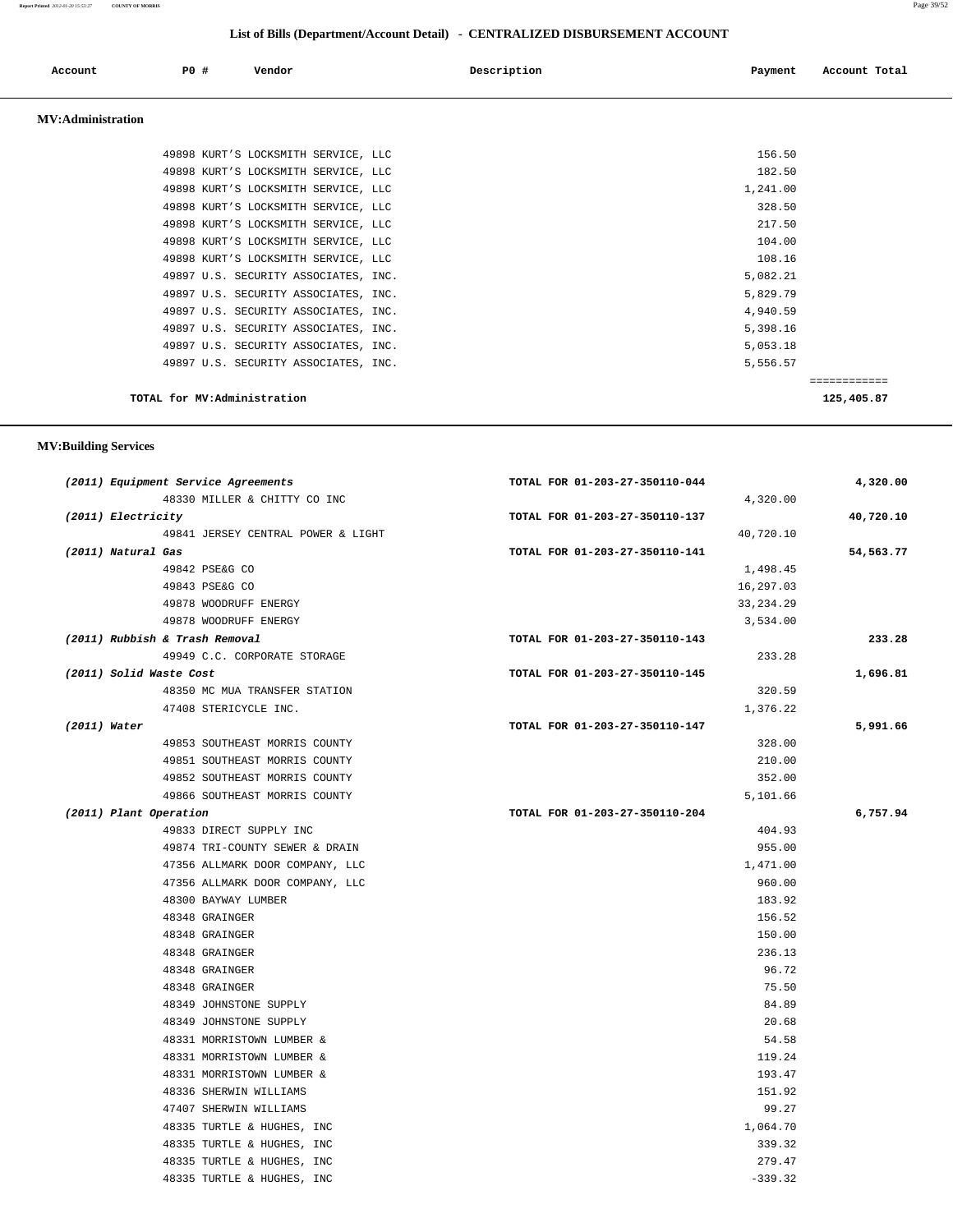#### **Report Printed** *2012-01-20 15:53:27* **COUNTY OF MORRIS** Page 39/52

# **List of Bills (Department/Account Detail) - CENTRALIZED DISBURSEMENT ACCOUNT**

|                          |     |                                      | $\frac{1}{2}$ |          |               |
|--------------------------|-----|--------------------------------------|---------------|----------|---------------|
| Account                  | PO# | Vendor                               | Description   | Payment  | Account Total |
| <b>MV:Administration</b> |     |                                      |               |          |               |
|                          |     | 49898 KURT'S LOCKSMITH SERVICE, LLC  |               | 156.50   |               |
|                          |     | 49898 KURT'S LOCKSMITH SERVICE, LLC  |               | 182.50   |               |
|                          |     | 49898 KURT'S LOCKSMITH SERVICE, LLC  |               | 1,241.00 |               |
|                          |     | 49898 KURT'S LOCKSMITH SERVICE, LLC  |               | 328.50   |               |
|                          |     | 49898 KURT'S LOCKSMITH SERVICE, LLC  |               | 217.50   |               |
|                          |     | 49898 KURT'S LOCKSMITH SERVICE, LLC  |               | 104.00   |               |
|                          |     | 49898 KURT'S LOCKSMITH SERVICE, LLC  |               | 108.16   |               |
|                          |     | 49897 U.S. SECURITY ASSOCIATES, INC. |               | 5,082.21 |               |
|                          |     | 49897 U.S. SECURITY ASSOCIATES, INC. |               | 5,829.79 |               |
|                          |     | 49897 U.S. SECURITY ASSOCIATES, INC. |               | 4,940.59 |               |
|                          |     | 49897 U.S. SECURITY ASSOCIATES, INC. |               | 5,398.16 |               |
|                          |     | 49897 U.S. SECURITY ASSOCIATES, INC. |               | 5,053.18 |               |
|                          |     | 49897 U.S. SECURITY ASSOCIATES, INC. |               | 5,556.57 |               |
|                          |     |                                      |               |          | ------------  |
|                          |     | TOTAL for MV:Administration          |               |          | 125,405.87    |

## **MV:Building Services**

| (2011) Equipment Service Agreements | TOTAL FOR 01-203-27-350110-044 | 4,320.00  |
|-------------------------------------|--------------------------------|-----------|
| 48330 MILLER & CHITTY CO INC        | 4,320.00                       |           |
| (2011) Electricity                  | TOTAL FOR 01-203-27-350110-137 | 40,720.10 |
| 49841 JERSEY CENTRAL POWER & LIGHT  | 40,720.10                      |           |
| (2011) Natural Gas                  | TOTAL FOR 01-203-27-350110-141 | 54,563.77 |
| 49842 PSE&G CO                      | 1,498.45                       |           |
| 49843 PSE&G CO                      | 16,297.03                      |           |
| 49878 WOODRUFF ENERGY               | 33, 234. 29                    |           |
| 49878 WOODRUFF ENERGY               | 3,534.00                       |           |
| (2011) Rubbish & Trash Removal      | TOTAL FOR 01-203-27-350110-143 | 233.28    |
| 49949 C.C. CORPORATE STORAGE        | 233.28                         |           |
| (2011) Solid Waste Cost             | TOTAL FOR 01-203-27-350110-145 | 1,696.81  |
| 48350 MC MUA TRANSFER STATION       | 320.59                         |           |
| 47408 STERICYCLE INC.               | 1,376.22                       |           |
| $(2011)$ Water                      | TOTAL FOR 01-203-27-350110-147 | 5,991.66  |
| 49853 SOUTHEAST MORRIS COUNTY       | 328.00                         |           |
| 49851 SOUTHEAST MORRIS COUNTY       | 210.00                         |           |
| 49852 SOUTHEAST MORRIS COUNTY       | 352.00                         |           |
| 49866 SOUTHEAST MORRIS COUNTY       | 5,101.66                       |           |
| (2011) Plant Operation              | TOTAL FOR 01-203-27-350110-204 | 6,757.94  |
| 49833 DIRECT SUPPLY INC             | 404.93                         |           |
| 49874 TRI-COUNTY SEWER & DRAIN      | 955.00                         |           |
| 47356 ALLMARK DOOR COMPANY, LLC     | 1,471.00                       |           |
| 47356 ALLMARK DOOR COMPANY, LLC     | 960.00                         |           |
| 48300 BAYWAY LUMBER                 | 183.92                         |           |
| 48348 GRAINGER                      | 156.52                         |           |
| 48348 GRAINGER                      | 150.00                         |           |
| 48348 GRAINGER                      | 236.13                         |           |
| 48348 GRAINGER                      | 96.72                          |           |
| 48348 GRAINGER                      | 75.50                          |           |
| 48349 JOHNSTONE SUPPLY              | 84.89                          |           |
| 48349 JOHNSTONE SUPPLY              | 20.68                          |           |
| 48331 MORRISTOWN LUMBER &           | 54.58                          |           |
| 48331 MORRISTOWN LUMBER &           | 119.24                         |           |
| 48331 MORRISTOWN LUMBER &           | 193.47                         |           |
| 48336 SHERWIN WILLIAMS              | 151.92                         |           |
| 47407 SHERWIN WILLIAMS              | 99.27                          |           |
| 48335 TURTLE & HUGHES, INC          | 1,064.70                       |           |
| 48335 TURTLE & HUGHES, INC          | 339.32                         |           |
| 48335 TURTLE & HUGHES, INC          | 279.47                         |           |
| 48335 TURTLE & HUGHES, INC          | $-339.32$                      |           |
|                                     |                                |           |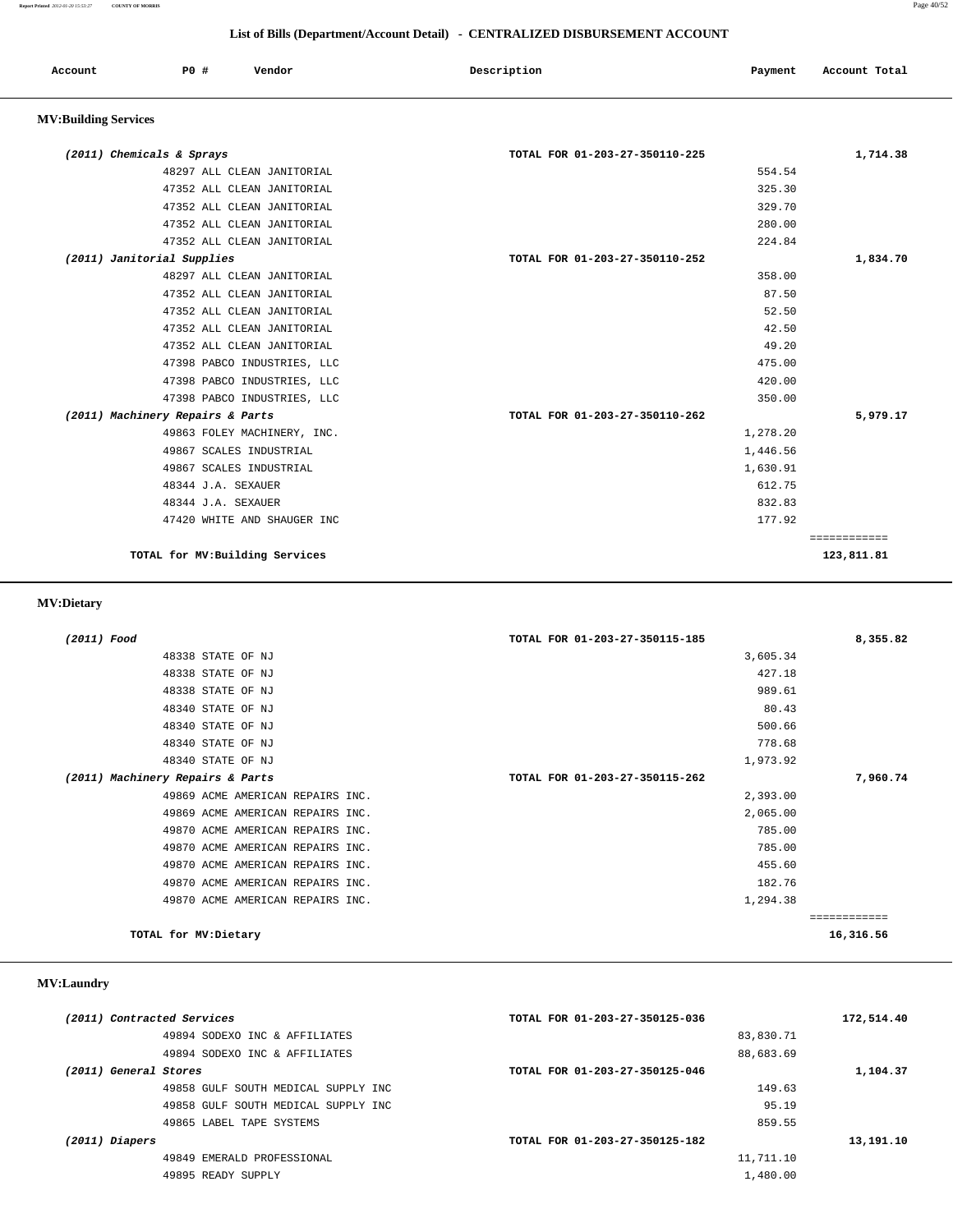| Account                     | PO#                        | Vendor                     | Description                    | Payment | Account Total |  |
|-----------------------------|----------------------------|----------------------------|--------------------------------|---------|---------------|--|
| <b>MV:Building Services</b> |                            |                            |                                |         |               |  |
|                             | (2011) Chemicals & Sprays  |                            | TOTAL FOR 01-203-27-350110-225 |         | 1,714.38      |  |
|                             |                            | 48297 ALL CLEAN JANITORIAL |                                | 554.54  |               |  |
|                             |                            | 47352 ALL CLEAN JANITORIAL |                                | 325.30  |               |  |
|                             |                            | 47352 ALL CLEAN JANITORIAL |                                | 329.70  |               |  |
|                             |                            | 47352 ALL CLEAN JANITORIAL |                                | 280.00  |               |  |
|                             |                            | 47352 ALL CLEAN JANITORIAL |                                | 224.84  |               |  |
|                             | (2011) Janitorial Supplies |                            | TOTAL FOR 01-203-27-350110-252 |         | 1,834.70      |  |
|                             |                            | 48297 ALL CLEAN JANITORIAL |                                | 358.00  |               |  |
|                             |                            | 47352 ALL CLEAN JANITORIAL |                                | 87.50   |               |  |
|                             |                            | 47352 ALL CLEAN JANITORIAL |                                | 52.50   |               |  |

 47352 ALL CLEAN JANITORIAL 42.50 47352 ALL CLEAN JANITORIAL 49.20 47398 PABCO INDUSTRIES, LLC 475.00 47398 PABCO INDUSTRIES, LLC 420.00 47398 PABCO INDUSTRIES, LLC 350.00  **(2011) Machinery Repairs & Parts TOTAL FOR 01-203-27-350110-262 5,979.17**

| <b>MV:Dietary</b> |                                 |          |            |
|-------------------|---------------------------------|----------|------------|
|                   | TOTAL for MV: Building Services |          | 123,811.81 |
|                   |                                 |          |            |
|                   | 47420 WHITE AND SHAUGER INC     | 177.92   |            |
|                   | 48344 J.A. SEXAUER              | 832.83   |            |
|                   | 48344 J.A. SEXAUER              | 612.75   |            |
|                   | 49867 SCALES INDUSTRIAL         | 1,630.91 |            |
|                   | 49867 SCALES INDUSTRIAL         | 1,446.56 |            |
|                   | 49863 FOLEY MACHINERY, INC.     | 1,278.20 |            |

| (2011) Food                      | TOTAL FOR 01-203-27-350115-185 | 8,355.82     |
|----------------------------------|--------------------------------|--------------|
| 48338 STATE OF NJ                | 3,605.34                       |              |
| 48338 STATE OF NJ                | 427.18                         |              |
| 48338 STATE OF NJ                | 989.61                         |              |
| 48340 STATE OF NJ                | 80.43                          |              |
| 48340 STATE OF NJ                | 500.66                         |              |
| 48340 STATE OF NJ                | 778.68                         |              |
| 48340 STATE OF NJ                | 1,973.92                       |              |
| (2011) Machinery Repairs & Parts | TOTAL FOR 01-203-27-350115-262 | 7,960.74     |
| 49869 ACME AMERICAN REPAIRS INC. | 2,393.00                       |              |
| 49869 ACME AMERICAN REPAIRS INC. | 2,065.00                       |              |
| 49870 ACME AMERICAN REPAIRS INC. | 785.00                         |              |
| 49870 ACME AMERICAN REPAIRS INC. | 785.00                         |              |
| 49870 ACME AMERICAN REPAIRS INC. | 455.60                         |              |
| 49870 ACME AMERICAN REPAIRS INC. | 182.76                         |              |
| 49870 ACME AMERICAN REPAIRS INC. | 1,294.38                       |              |
|                                  |                                | ------------ |
| TOTAL for MV: Dietary            |                                | 16,316.56    |

## **MV:Laundry**

| 172,514.40 | TOTAL FOR 01-203-27-350125-036 | (2011) Contracted Services          |
|------------|--------------------------------|-------------------------------------|
|            | 83,830.71                      | 49894 SODEXO INC & AFFILIATES       |
|            | 88,683.69                      | 49894 SODEXO INC & AFFILIATES       |
| 1,104.37   | TOTAL FOR 01-203-27-350125-046 | (2011) General Stores               |
|            | 149.63                         | 49858 GULF SOUTH MEDICAL SUPPLY INC |
|            | 95.19                          | 49858 GULF SOUTH MEDICAL SUPPLY INC |
|            | 859.55                         | 49865 LABEL TAPE SYSTEMS            |
| 13,191.10  | TOTAL FOR 01-203-27-350125-182 | (2011) Diapers                      |
|            | 11,711.10                      | 49849 EMERALD PROFESSIONAL          |
|            | 1,480.00                       | 49895 READY SUPPLY                  |
|            |                                |                                     |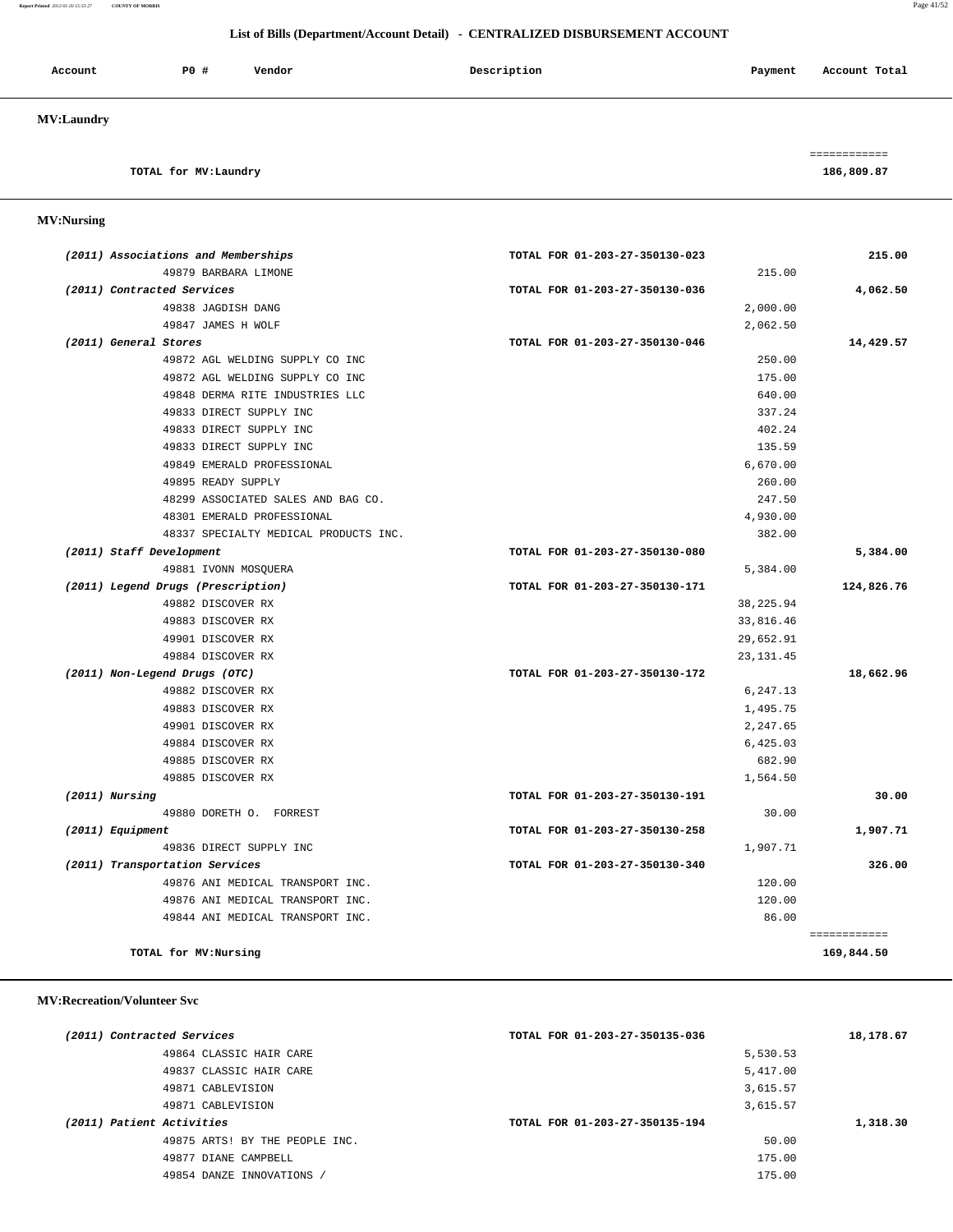**Report Printed** *2012-01-20 15:53:27* **COUNTY OF MORRIS** Page 41/52

## **List of Bills (Department/Account Detail) - CENTRALIZED DISBURSEMENT ACCOUNT**

| Account           | <b>PO #</b> | Vendor | Description | Payment | Account Total |
|-------------------|-------------|--------|-------------|---------|---------------|
| <b>MV:Laundry</b> |             |        |             |         |               |

# **TOTAL for MV:Laundry 186,809.87**

# **MV:Nursing**

| (2011) Associations and Memberships   | TOTAL FOR 01-203-27-350130-023 | 215.00       |
|---------------------------------------|--------------------------------|--------------|
| 49879 BARBARA LIMONE                  | 215.00                         |              |
| (2011) Contracted Services            | TOTAL FOR 01-203-27-350130-036 | 4,062.50     |
| 49838 JAGDISH DANG                    | 2,000.00                       |              |
| 49847 JAMES H WOLF                    | 2,062.50                       |              |
| (2011) General Stores                 | TOTAL FOR 01-203-27-350130-046 | 14,429.57    |
| 49872 AGL WELDING SUPPLY CO INC       | 250.00                         |              |
| 49872 AGL WELDING SUPPLY CO INC       | 175.00                         |              |
| 49848 DERMA RITE INDUSTRIES LLC       | 640.00                         |              |
| 49833 DIRECT SUPPLY INC               | 337.24                         |              |
| 49833 DIRECT SUPPLY INC               | 402.24                         |              |
| 49833 DIRECT SUPPLY INC               | 135.59                         |              |
| 49849 EMERALD PROFESSIONAL            | 6,670.00                       |              |
| 49895 READY SUPPLY                    | 260.00                         |              |
| 48299 ASSOCIATED SALES AND BAG CO.    | 247.50                         |              |
| 48301 EMERALD PROFESSIONAL            | 4,930.00                       |              |
| 48337 SPECIALTY MEDICAL PRODUCTS INC. | 382.00                         |              |
| (2011) Staff Development              | TOTAL FOR 01-203-27-350130-080 | 5,384.00     |
| 49881 IVONN MOSQUERA                  | 5,384.00                       |              |
| (2011) Legend Drugs (Prescription)    | TOTAL FOR 01-203-27-350130-171 | 124,826.76   |
| 49882 DISCOVER RX                     | 38, 225.94                     |              |
| 49883 DISCOVER RX                     | 33,816.46                      |              |
| 49901 DISCOVER RX                     | 29,652.91                      |              |
| 49884 DISCOVER RX                     | 23, 131.45                     |              |
| (2011) Non-Legend Drugs (OTC)         | TOTAL FOR 01-203-27-350130-172 | 18,662.96    |
| 49882 DISCOVER RX                     | 6,247.13                       |              |
| 49883 DISCOVER RX                     | 1,495.75                       |              |
| 49901 DISCOVER RX                     | 2,247.65                       |              |
| 49884 DISCOVER RX                     | 6,425.03                       |              |
| 49885 DISCOVER RX                     | 682.90                         |              |
| 49885 DISCOVER RX                     | 1,564.50                       |              |
| (2011) Nursing                        | TOTAL FOR 01-203-27-350130-191 | 30.00        |
| 49880 DORETH O. FORREST               | 30.00                          |              |
| (2011) Equipment                      | TOTAL FOR 01-203-27-350130-258 | 1,907.71     |
| 49836 DIRECT SUPPLY INC               | 1,907.71                       |              |
| (2011) Transportation Services        | TOTAL FOR 01-203-27-350130-340 | 326.00       |
| 49876 ANI MEDICAL TRANSPORT INC.      | 120.00                         |              |
| 49876 ANI MEDICAL TRANSPORT INC.      | 120.00                         |              |
| 49844 ANI MEDICAL TRANSPORT INC.      | 86.00                          |              |
|                                       |                                | ============ |
| TOTAL for MV:Nursing                  |                                | 169,844.50   |

## **MV:Recreation/Volunteer Svc**

| (2011) Contracted Services     | TOTAL FOR 01-203-27-350135-036 | 18,178.67 |
|--------------------------------|--------------------------------|-----------|
| 49864 CLASSIC HAIR CARE        | 5,530.53                       |           |
| 49837 CLASSIC HAIR CARE        | 5,417.00                       |           |
| 49871 CABLEVISION              | 3,615.57                       |           |
| 49871 CABLEVISION              | 3,615.57                       |           |
| (2011) Patient Activities      | TOTAL FOR 01-203-27-350135-194 | 1,318.30  |
| 49875 ARTS! BY THE PEOPLE INC. | 50.00                          |           |
| 49877 DIANE CAMPBELL           | 175.00                         |           |
| 49854 DANZE INNOVATIONS        | 175.00                         |           |
|                                |                                |           |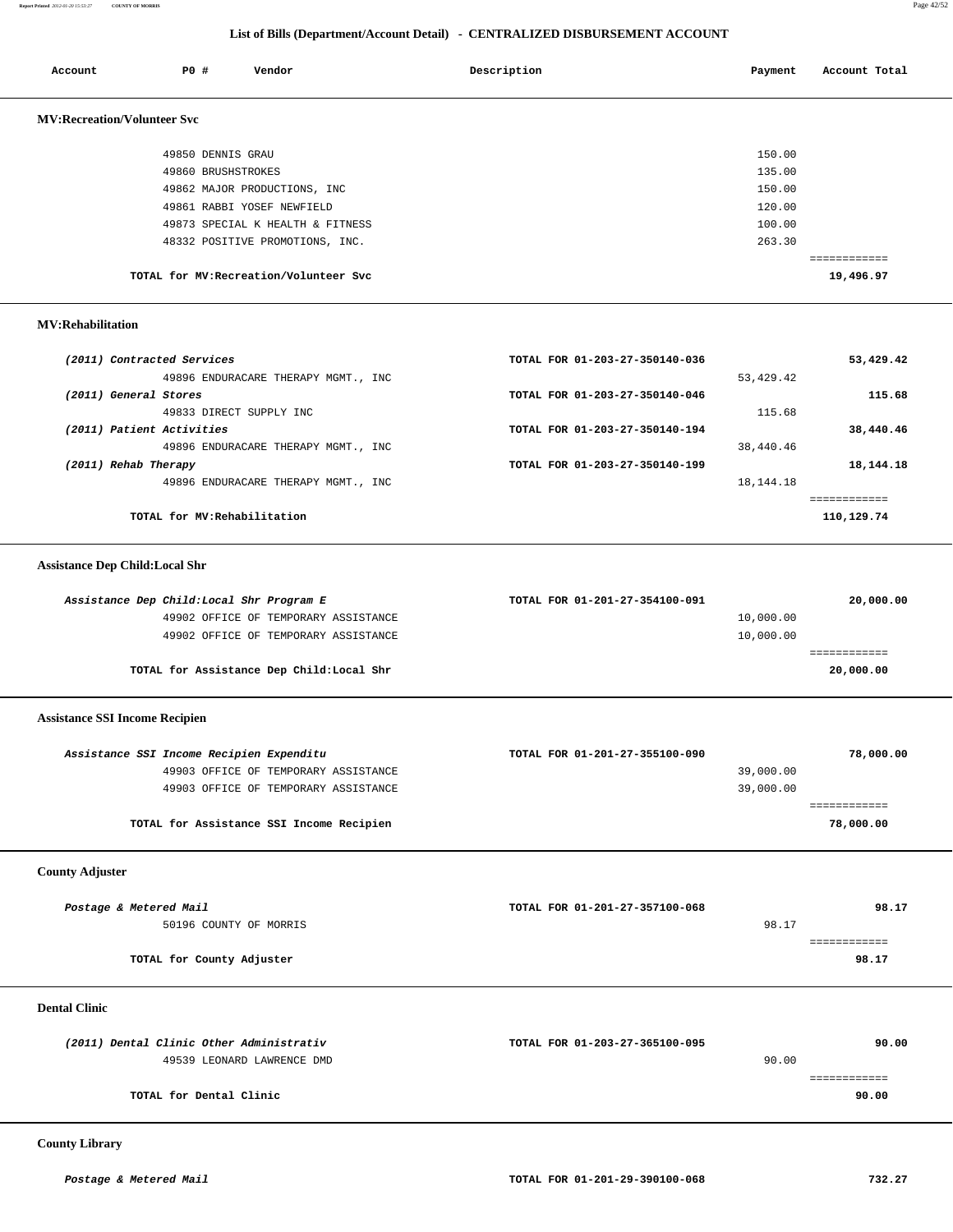**Report Printed** *2012-01-20 15:53:27* **COUNTY OF MORRIS** Page 42/52

## **List of Bills (Department/Account Detail) - CENTRALIZED DISBURSEMENT ACCOUNT**

| Account                               | <b>PO #</b>             | Vendor                                    | Description                    | Payment          | Account Total             |
|---------------------------------------|-------------------------|-------------------------------------------|--------------------------------|------------------|---------------------------|
| <b>MV:Recreation/Volunteer Svc</b>    |                         |                                           |                                |                  |                           |
|                                       |                         | 49850 DENNIS GRAU<br>49860 BRUSHSTROKES   |                                | 150.00<br>135.00 |                           |
|                                       |                         | 49862 MAJOR PRODUCTIONS, INC              |                                | 150.00           |                           |
|                                       |                         | 49861 RABBI YOSEF NEWFIELD                |                                | 120.00           |                           |
|                                       |                         | 49873 SPECIAL K HEALTH & FITNESS          |                                | 100.00           |                           |
|                                       |                         | 48332 POSITIVE PROMOTIONS, INC.           |                                | 263.30           |                           |
|                                       |                         | TOTAL for MV: Recreation/Volunteer Svc    |                                |                  | ============<br>19,496.97 |
| <b>MV:Rehabilitation</b>              |                         |                                           |                                |                  |                           |
| (2011) Contracted Services            |                         |                                           | TOTAL FOR 01-203-27-350140-036 |                  | 53,429.42                 |
|                                       |                         | 49896 ENDURACARE THERAPY MGMT., INC       |                                | 53,429.42        |                           |
| (2011) General Stores                 |                         |                                           | TOTAL FOR 01-203-27-350140-046 |                  | 115.68                    |
|                                       |                         | 49833 DIRECT SUPPLY INC                   |                                | 115.68           |                           |
| (2011) Patient Activities             |                         |                                           | TOTAL FOR 01-203-27-350140-194 |                  | 38,440.46                 |
|                                       |                         | 49896 ENDURACARE THERAPY MGMT., INC       |                                | 38,440.46        |                           |
| (2011) Rehab Therapy                  |                         |                                           | TOTAL FOR 01-203-27-350140-199 |                  | 18,144.18                 |
|                                       |                         | 49896 ENDURACARE THERAPY MGMT., INC       |                                | 18,144.18        |                           |
|                                       |                         |                                           |                                |                  | ============              |
|                                       |                         | TOTAL for MV:Rehabilitation               |                                |                  | 110,129.74                |
| <b>Assistance Dep Child:Local Shr</b> |                         |                                           |                                |                  |                           |
|                                       |                         | Assistance Dep Child: Local Shr Program E | TOTAL FOR 01-201-27-354100-091 |                  | 20,000.00                 |
|                                       |                         | 49902 OFFICE OF TEMPORARY ASSISTANCE      |                                | 10,000.00        |                           |
|                                       |                         | 49902 OFFICE OF TEMPORARY ASSISTANCE      |                                | 10,000.00        |                           |
|                                       |                         |                                           |                                |                  | ============              |
|                                       |                         | TOTAL for Assistance Dep Child:Local Shr  |                                |                  | 20,000.00                 |
| <b>Assistance SSI Income Recipien</b> |                         |                                           |                                |                  |                           |
|                                       |                         | Assistance SSI Income Recipien Expenditu  | TOTAL FOR 01-201-27-355100-090 |                  | 78,000.00                 |
|                                       |                         | 49903 OFFICE OF TEMPORARY ASSISTANCE      |                                | 39,000.00        |                           |
|                                       |                         | 49903 OFFICE OF TEMPORARY ASSISTANCE      |                                | 39,000.00        |                           |
|                                       |                         |                                           |                                |                  | ============              |
|                                       |                         | TOTAL for Assistance SSI Income Recipien  |                                |                  | 78,000.00                 |
| <b>County Adjuster</b>                |                         |                                           |                                |                  |                           |
|                                       |                         |                                           |                                |                  |                           |
| Postage & Metered Mail                |                         | 50196 COUNTY OF MORRIS                    | TOTAL FOR 01-201-27-357100-068 | 98.17            | 98.17                     |
|                                       |                         |                                           |                                |                  | ============              |
|                                       |                         | TOTAL for County Adjuster                 |                                |                  | 98.17                     |
| <b>Dental Clinic</b>                  |                         |                                           |                                |                  |                           |
|                                       |                         | (2011) Dental Clinic Other Administrativ  | TOTAL FOR 01-203-27-365100-095 |                  | 90.00                     |
|                                       |                         | 49539 LEONARD LAWRENCE DMD                |                                | 90.00            |                           |
|                                       |                         |                                           |                                |                  | ============              |
|                                       | TOTAL for Dental Clinic |                                           |                                |                  | 90.00                     |
| <b>County Library</b>                 |                         |                                           |                                |                  |                           |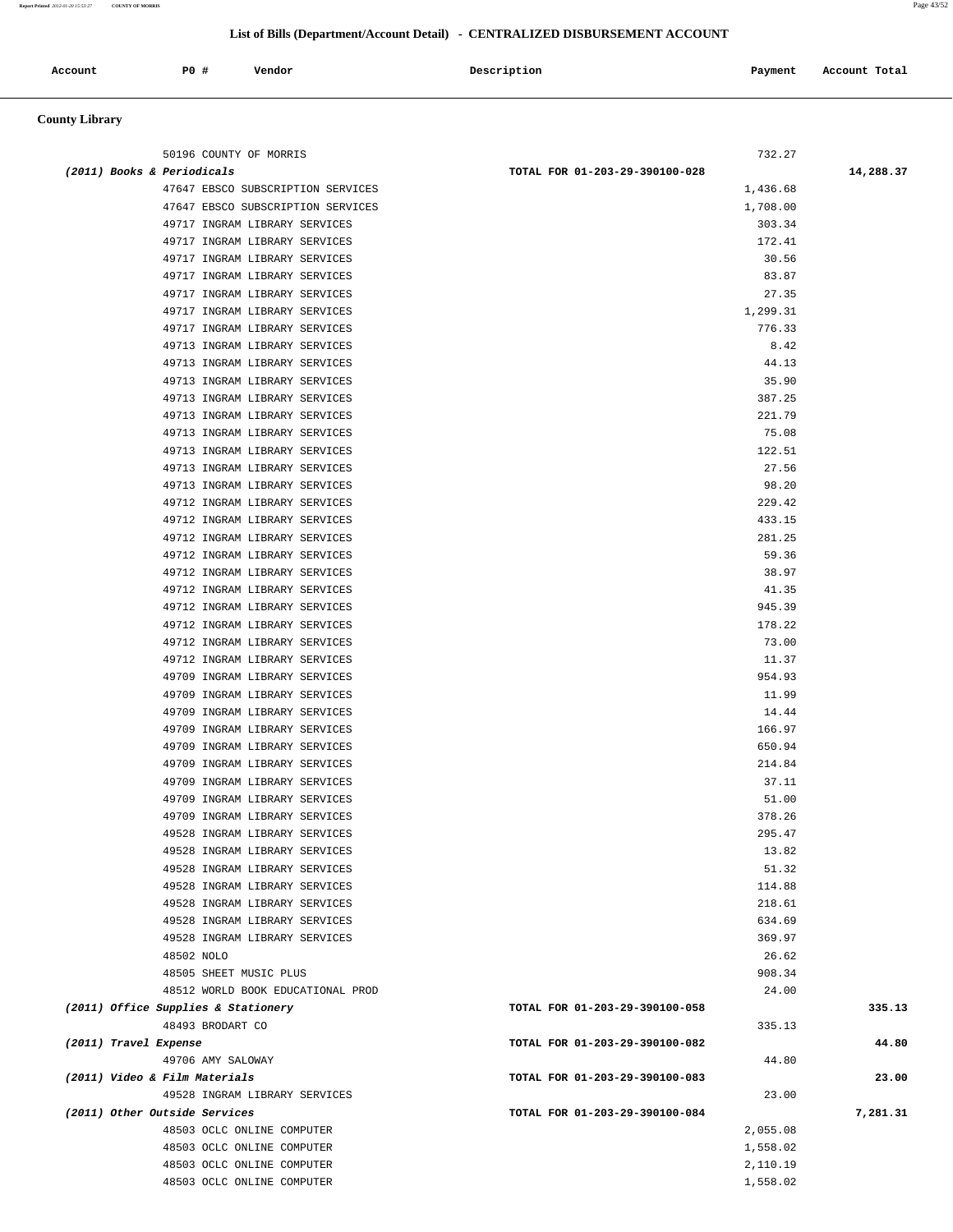#### **Report Printed** *2012-01-20 15:53:27* **COUNTY OF MORRIS** Page 43/52

## **List of Bills (Department/Account Detail) - CENTRALIZED DISBURSEMENT ACCOUNT**

| Account | <b>PO #</b> | Vendor | Description | Payment | Account Total |
|---------|-------------|--------|-------------|---------|---------------|
|         |             |        |             |         |               |

# **County Library**

| 50196 COUNTY OF MORRIS              | 732.27                         |           |
|-------------------------------------|--------------------------------|-----------|
| (2011) Books & Periodicals          | TOTAL FOR 01-203-29-390100-028 | 14,288.37 |
| 47647 EBSCO SUBSCRIPTION SERVICES   | 1,436.68                       |           |
| 47647 EBSCO SUBSCRIPTION SERVICES   | 1,708.00                       |           |
| 49717 INGRAM LIBRARY SERVICES       | 303.34                         |           |
| 49717 INGRAM LIBRARY SERVICES       | 172.41                         |           |
| 49717 INGRAM LIBRARY SERVICES       | 30.56                          |           |
| 49717 INGRAM LIBRARY SERVICES       | 83.87                          |           |
| 49717 INGRAM LIBRARY SERVICES       | 27.35                          |           |
| 49717 INGRAM LIBRARY SERVICES       | 1,299.31                       |           |
| 49717 INGRAM LIBRARY SERVICES       | 776.33                         |           |
| 49713 INGRAM LIBRARY SERVICES       | 8.42                           |           |
| 49713 INGRAM LIBRARY SERVICES       | 44.13                          |           |
| 49713 INGRAM LIBRARY SERVICES       | 35.90                          |           |
| 49713 INGRAM LIBRARY SERVICES       | 387.25                         |           |
| 49713 INGRAM LIBRARY SERVICES       | 221.79                         |           |
| 49713 INGRAM LIBRARY SERVICES       | 75.08                          |           |
| 49713 INGRAM LIBRARY SERVICES       | 122.51                         |           |
| 49713 INGRAM LIBRARY SERVICES       | 27.56                          |           |
| 49713 INGRAM LIBRARY SERVICES       | 98.20                          |           |
| 49712 INGRAM LIBRARY SERVICES       | 229.42                         |           |
| 49712 INGRAM LIBRARY SERVICES       | 433.15                         |           |
| 49712 INGRAM LIBRARY SERVICES       | 281.25                         |           |
|                                     |                                |           |
| 49712 INGRAM LIBRARY SERVICES       | 59.36                          |           |
| 49712 INGRAM LIBRARY SERVICES       | 38.97<br>41.35                 |           |
| 49712 INGRAM LIBRARY SERVICES       |                                |           |
| 49712 INGRAM LIBRARY SERVICES       | 945.39                         |           |
| 49712 INGRAM LIBRARY SERVICES       | 178.22                         |           |
| 49712 INGRAM LIBRARY SERVICES       | 73.00                          |           |
| 49712 INGRAM LIBRARY SERVICES       | 11.37                          |           |
| 49709 INGRAM LIBRARY SERVICES       | 954.93                         |           |
| 49709 INGRAM LIBRARY SERVICES       | 11.99                          |           |
| 49709 INGRAM LIBRARY SERVICES       | 14.44                          |           |
| 49709 INGRAM LIBRARY SERVICES       | 166.97                         |           |
| 49709 INGRAM LIBRARY SERVICES       | 650.94                         |           |
| 49709 INGRAM LIBRARY SERVICES       | 214.84                         |           |
| 49709 INGRAM LIBRARY SERVICES       | 37.11                          |           |
| 49709 INGRAM LIBRARY SERVICES       | 51.00                          |           |
| 49709 INGRAM LIBRARY SERVICES       | 378.26                         |           |
| 49528 INGRAM LIBRARY SERVICES       | 295.47                         |           |
| 49528 INGRAM LIBRARY SERVICES       | 13.82                          |           |
| 49528 INGRAM LIBRARY SERVICES       | 51.32                          |           |
| 49528 INGRAM LIBRARY SERVICES       | 114.88                         |           |
| 49528 INGRAM LIBRARY SERVICES       | 218.61                         |           |
| 49528 INGRAM LIBRARY SERVICES       | 634.69                         |           |
| 49528 INGRAM LIBRARY SERVICES       | 369.97                         |           |
| 48502 NOLO                          | 26.62                          |           |
| 48505 SHEET MUSIC PLUS              | 908.34                         |           |
| 48512 WORLD BOOK EDUCATIONAL PROD   | 24.00                          |           |
| (2011) Office Supplies & Stationery | TOTAL FOR 01-203-29-390100-058 | 335.13    |
| 48493 BRODART CO                    | 335.13                         |           |
| (2011) Travel Expense               | TOTAL FOR 01-203-29-390100-082 | 44.80     |
| 49706 AMY SALOWAY                   | 44.80                          |           |
| (2011) Video & Film Materials       | TOTAL FOR 01-203-29-390100-083 | 23.00     |
| 49528 INGRAM LIBRARY SERVICES       | 23.00                          |           |
| (2011) Other Outside Services       | TOTAL FOR 01-203-29-390100-084 | 7,281.31  |
| 48503 OCLC ONLINE COMPUTER          | 2,055.08                       |           |
| 48503 OCLC ONLINE COMPUTER          | 1,558.02                       |           |
| 48503 OCLC ONLINE COMPUTER          | 2,110.19                       |           |
| 48503 OCLC ONLINE COMPUTER          | 1,558.02                       |           |
|                                     |                                |           |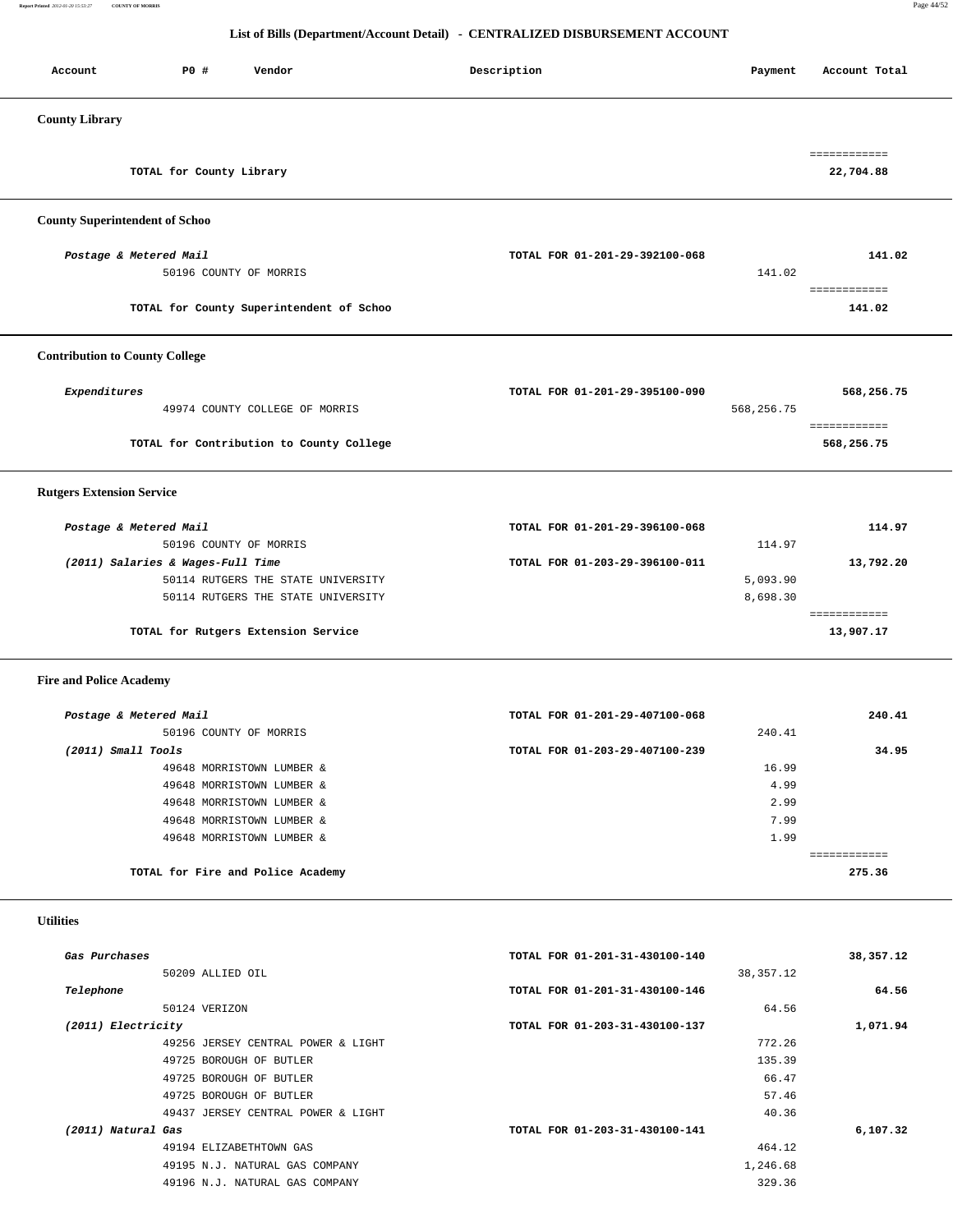**Report Printed** *2012-01-20 15:53:27* **COUNTY OF MORRIS** Page 44/52

## **List of Bills (Department/Account Detail) - CENTRALIZED DISBURSEMENT ACCOUNT**

Account P0 **#** Vendor **Description** Description Payment Account Total

| <b>County Library</b>                                                                                         |                                |                      |                            |
|---------------------------------------------------------------------------------------------------------------|--------------------------------|----------------------|----------------------------|
| TOTAL for County Library                                                                                      |                                |                      | 22,704.88                  |
| <b>County Superintendent of Schoo</b>                                                                         |                                |                      |                            |
| Postage & Metered Mail<br>50196 COUNTY OF MORRIS                                                              | TOTAL FOR 01-201-29-392100-068 | 141.02               | 141.02                     |
| TOTAL for County Superintendent of Schoo                                                                      |                                |                      | ============<br>141.02     |
| <b>Contribution to County College</b>                                                                         |                                |                      |                            |
| Expenditures<br>49974 COUNTY COLLEGE OF MORRIS                                                                | TOTAL FOR 01-201-29-395100-090 | 568,256.75           | 568,256.75                 |
| TOTAL for Contribution to County College                                                                      |                                |                      | ============<br>568,256.75 |
| <b>Rutgers Extension Service</b>                                                                              |                                |                      |                            |
| Postage & Metered Mail<br>50196 COUNTY OF MORRIS                                                              | TOTAL FOR 01-201-29-396100-068 | 114.97               | 114.97                     |
| (2011) Salaries & Wages-Full Time<br>50114 RUTGERS THE STATE UNIVERSITY<br>50114 RUTGERS THE STATE UNIVERSITY | TOTAL FOR 01-203-29-396100-011 | 5,093.90<br>8,698.30 | 13,792.20                  |
| TOTAL for Rutgers Extension Service                                                                           |                                |                      | ============<br>13,907.17  |
| <b>Fire and Police Academy</b>                                                                                |                                |                      |                            |
| Postage & Metered Mail<br>50196 COUNTY OF MORRIS                                                              | TOTAL FOR 01-201-29-407100-068 | 240.41               | 240.41                     |
| $(2011)$ Small Tools                                                                                          | TOTAL FOR 01-203-29-407100-239 |                      | 34.95                      |
| 49648 MORRISTOWN LUMBER &                                                                                     |                                | 16.99                |                            |
| 49648 MORRISTOWN LUMBER &                                                                                     |                                | 4.99                 |                            |
| 49648 MORRISTOWN LUMBER &                                                                                     |                                | 2.99                 |                            |
| 49648 MORRISTOWN LUMBER &                                                                                     |                                | 7.99                 |                            |
| 49648 MORRISTOWN LUMBER &                                                                                     |                                | 1.99                 | ============               |
| TOTAL for Fire and Police Academy                                                                             |                                |                      | 275.36                     |
| <b>Utilities</b>                                                                                              |                                |                      |                            |
| Gas Purchases<br>50209 ALLIED OIL                                                                             | TOTAL FOR 01-201-31-430100-140 | 38, 357. 12          | 38,357.12                  |
| Telephone                                                                                                     | TOTAL FOR 01-201-31-430100-146 |                      | 64.56                      |
| 50124 VERIZON                                                                                                 |                                | 64.56                |                            |
| (2011) Electricity                                                                                            | TOTAL FOR 01-203-31-430100-137 |                      | 1,071.94                   |
| 49256 JERSEY CENTRAL POWER & LIGHT                                                                            |                                | 772.26               |                            |
| 49725 BOROUGH OF BUTLER                                                                                       |                                | 135.39               |                            |
| 49725 BOROUGH OF BUTLER                                                                                       |                                | 66.47                |                            |
| 49725 BOROUGH OF BUTLER                                                                                       |                                | 57.46                |                            |
| 49437 JERSEY CENTRAL POWER & LIGHT                                                                            |                                | 40.36                |                            |
| (2011) Natural Gas                                                                                            | TOTAL FOR 01-203-31-430100-141 |                      | 6,107.32                   |
| 49194 ELIZABETHTOWN GAS                                                                                       |                                | 464.12               |                            |
| 49195 N.J. NATURAL GAS COMPANY                                                                                |                                | 1,246.68             |                            |
| 49196 N.J. NATURAL GAS COMPANY                                                                                |                                | 329.36               |                            |
|                                                                                                               |                                |                      |                            |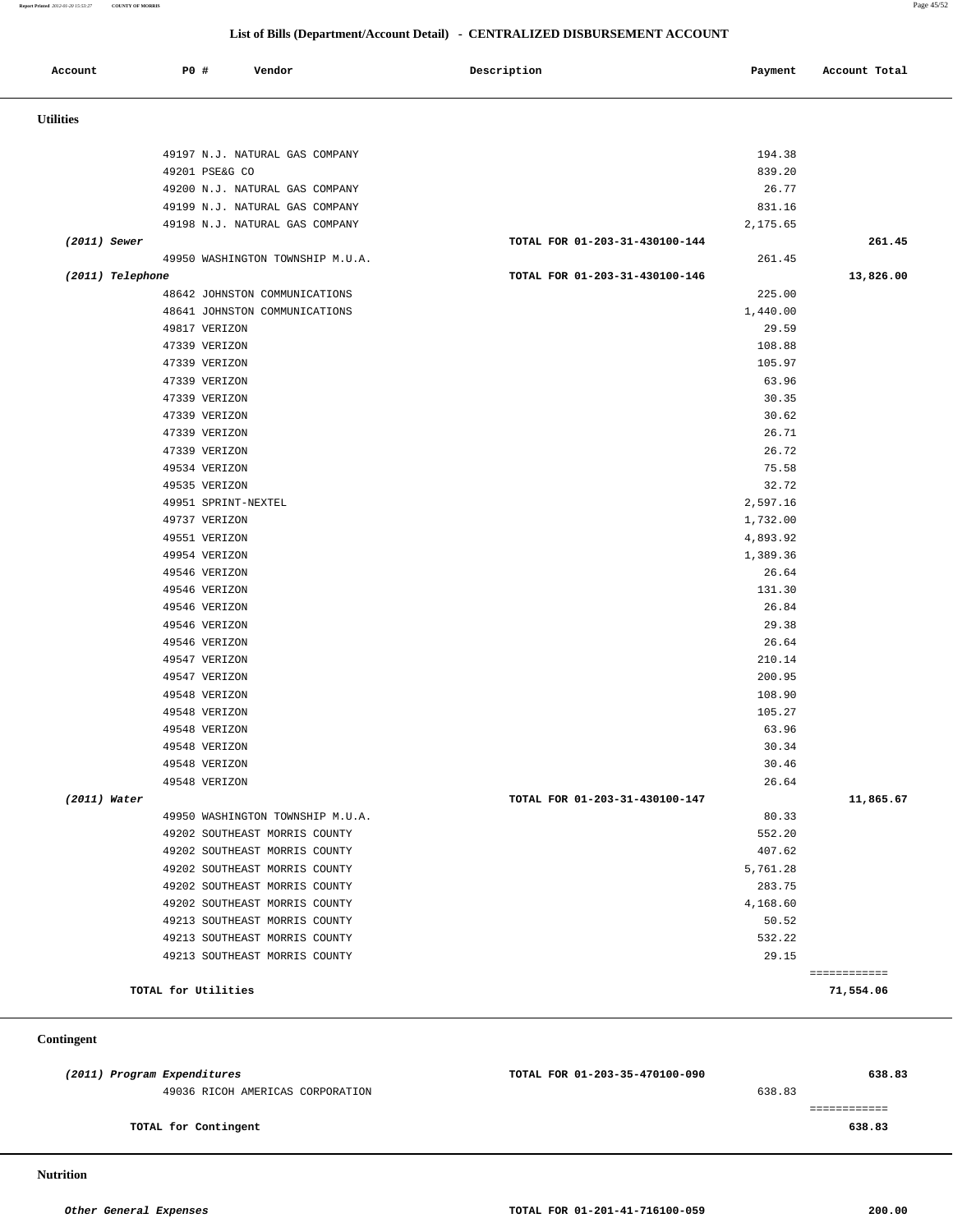**Report Printed** *2012-01-20 15:53:27* **COUNTY OF MORRIS** Page 45/52

## **List of Bills (Department/Account Detail) - CENTRALIZED DISBURSEMENT ACCOUNT**

| Account          | <b>PO #</b><br>Vendor            | Description                    | Payment        | Account Total |
|------------------|----------------------------------|--------------------------------|----------------|---------------|
| <b>Utilities</b> |                                  |                                |                |               |
|                  |                                  |                                |                |               |
|                  | 49197 N.J. NATURAL GAS COMPANY   |                                | 194.38         |               |
|                  | 49201 PSE&G CO                   |                                | 839.20         |               |
|                  | 49200 N.J. NATURAL GAS COMPANY   |                                | 26.77          |               |
|                  | 49199 N.J. NATURAL GAS COMPANY   |                                | 831.16         |               |
|                  | 49198 N.J. NATURAL GAS COMPANY   |                                | 2,175.65       |               |
| $(2011)$ Sewer   |                                  | TOTAL FOR 01-203-31-430100-144 |                | 261.45        |
|                  | 49950 WASHINGTON TOWNSHIP M.U.A. |                                | 261.45         |               |
| (2011) Telephone |                                  | TOTAL FOR 01-203-31-430100-146 |                | 13,826.00     |
|                  | 48642 JOHNSTON COMMUNICATIONS    |                                | 225.00         |               |
|                  | 48641 JOHNSTON COMMUNICATIONS    |                                | 1,440.00       |               |
|                  | 49817 VERIZON                    |                                | 29.59          |               |
|                  | 47339 VERIZON                    |                                | 108.88         |               |
|                  | 47339 VERIZON                    |                                | 105.97         |               |
|                  | 47339 VERIZON                    |                                | 63.96          |               |
|                  | 47339 VERIZON                    |                                | 30.35          |               |
|                  | 47339 VERIZON                    |                                | 30.62          |               |
|                  | 47339 VERIZON                    |                                | 26.71          |               |
|                  | 47339 VERIZON                    |                                | 26.72          |               |
|                  | 49534 VERIZON<br>49535 VERIZON   |                                | 75.58<br>32.72 |               |
|                  | 49951 SPRINT-NEXTEL              |                                | 2,597.16       |               |
|                  | 49737 VERIZON                    |                                | 1,732.00       |               |
|                  | 49551 VERIZON                    |                                | 4,893.92       |               |
|                  | 49954 VERIZON                    |                                | 1,389.36       |               |
|                  | 49546 VERIZON                    |                                | 26.64          |               |
|                  | 49546 VERIZON                    |                                | 131.30         |               |
|                  | 49546 VERIZON                    |                                | 26.84          |               |
|                  | 49546 VERIZON                    |                                | 29.38          |               |
|                  | 49546 VERIZON                    |                                | 26.64          |               |
|                  | 49547 VERIZON                    |                                | 210.14         |               |
|                  | 49547 VERIZON                    |                                | 200.95         |               |
|                  | 49548 VERIZON                    |                                | 108.90         |               |
|                  | 49548 VERIZON                    |                                | 105.27         |               |
|                  | 49548 VERIZON                    |                                | 63.96          |               |
|                  | 49548 VERIZON                    |                                | 30.34          |               |
|                  | 49548 VERIZON                    |                                | 30.46          |               |
|                  | 49548 VERIZON                    |                                | 26.64          |               |
| $(2011)$ Water   |                                  | TOTAL FOR 01-203-31-430100-147 |                | 11,865.67     |
|                  | 49950 WASHINGTON TOWNSHIP M.U.A. |                                | 80.33          |               |
|                  | 49202 SOUTHEAST MORRIS COUNTY    |                                | 552.20         |               |
|                  | 49202 SOUTHEAST MORRIS COUNTY    |                                | 407.62         |               |
|                  | 49202 SOUTHEAST MORRIS COUNTY    |                                | 5,761.28       |               |
|                  | 49202 SOUTHEAST MORRIS COUNTY    |                                | 283.75         |               |
|                  | 49202 SOUTHEAST MORRIS COUNTY    |                                | 4,168.60       |               |
|                  | 49213 SOUTHEAST MORRIS COUNTY    |                                | 50.52          |               |
|                  | 49213 SOUTHEAST MORRIS COUNTY    |                                | 532.22         |               |
|                  | 49213 SOUTHEAST MORRIS COUNTY    |                                | 29.15          | ============  |
|                  | TOTAL for Utilities              |                                |                | 71,554.06     |

#### **Contingent**

| (2011) Program Expenditures |                                  | TOTAL FOR 01-203-35-470100-090 |        | 638.83 |
|-----------------------------|----------------------------------|--------------------------------|--------|--------|
|                             | 49036 RICOH AMERICAS CORPORATION |                                | 638.83 |        |
|                             |                                  |                                |        |        |
|                             | TOTAL for Contingent             |                                |        | 638.83 |
|                             |                                  |                                |        |        |

 **Nutrition**